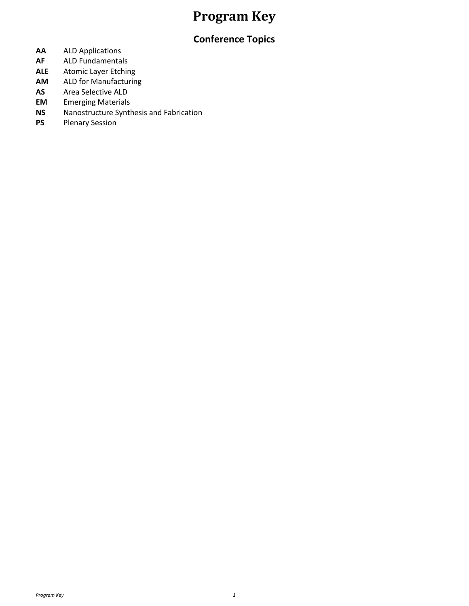## **Program Key**

### **Conference Topics**

- **AA** ALD Applications
- **AF** ALD Fundamentals
- **ALE** Atomic Layer Etching
- **AM** ALD for Manufacturing
- **AS** Area Selective ALD<br>**EM** Emerging Materials
- **Emerging Materials**
- **NS** Nanostructure Synthesis and Fabrication<br>**PS** Plenary Session
- **Plenary Session**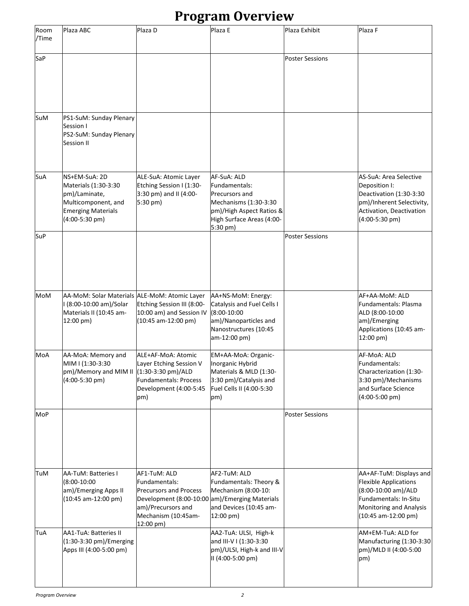## **Program Overview**

| Room<br>/Time | Plaza ABC                                                                                                                    | Plaza D                                                                                                                                                                    | Plaza E                                                                                                                                      | Plaza Exhibit          | Plaza F                                                                                                                                                          |
|---------------|------------------------------------------------------------------------------------------------------------------------------|----------------------------------------------------------------------------------------------------------------------------------------------------------------------------|----------------------------------------------------------------------------------------------------------------------------------------------|------------------------|------------------------------------------------------------------------------------------------------------------------------------------------------------------|
| SaP           |                                                                                                                              |                                                                                                                                                                            |                                                                                                                                              | <b>Poster Sessions</b> |                                                                                                                                                                  |
|               |                                                                                                                              |                                                                                                                                                                            |                                                                                                                                              |                        |                                                                                                                                                                  |
| SuM           | PS1-SuM: Sunday Plenary<br>Session I<br>PS2-SuM: Sunday Plenary<br>Session II                                                |                                                                                                                                                                            |                                                                                                                                              |                        |                                                                                                                                                                  |
| SuA           | NS+EM-SuA: 2D<br>Materials (1:30-3:30<br>pm)/Laminate,<br>Multicomponent, and<br><b>Emerging Materials</b><br>(4:00-5:30 pm) | ALE-SuA: Atomic Layer<br>Etching Session I (1:30-<br>3:30 pm) and II (4:00-<br>5:30 pm)                                                                                    | AF-SuA: ALD<br>Fundamentals:<br>Precursors and<br>Mechanisms (1:30-3:30<br>pm)/High Aspect Ratios &<br>High Surface Areas (4:00-<br>5:30 pm) |                        | AS-SuA: Area Selective<br>Deposition I:<br>Deactivation (1:30-3:30<br>pm)/Inherent Selectivity,<br>Activation, Deactivation<br>$(4:00-5:30$ pm)                  |
| SuP           |                                                                                                                              |                                                                                                                                                                            |                                                                                                                                              | <b>Poster Sessions</b> |                                                                                                                                                                  |
| MoM           | AA-MoM: Solar Materials ALE-MoM: Atomic Layer<br>I (8:00-10:00 am)/Solar<br>Materials II (10:45 am-<br>12:00 pm)             | Etching Session III (8:00-<br>10:00 am) and Session IV<br>(10:45 am-12:00 pm)                                                                                              | AA+NS-MoM: Energy:<br>Catalysis and Fuel Cells I<br>$(8:00-10:00)$<br>am)/Nanoparticles and<br>Nanostructures (10:45<br>am-12:00 pm)         |                        | AF+AA-MoM: ALD<br>Fundamentals: Plasma<br>ALD (8:00-10:00<br>am)/Emerging<br>Applications (10:45 am-<br>12:00 pm)                                                |
| MoA           | AA-MoA: Memory and<br>MIM I (1:30-3:30<br>pm)/Memory and MIM II (1:30-3:30 pm)/ALD<br>$(4:00-5:30$ pm)                       | ALE+AF-MoA: Atomic<br>Layer Etching Session V<br><b>Fundamentals: Process</b><br>Development (4:00-5:45<br>pm)                                                             | EM+AA-MoA: Organic-<br>Inorganic Hybrid<br>Materials & MLD (1:30-<br>3:30 pm)/Catalysis and<br>Fuel Cells II (4:00-5:30<br>pm)               |                        | AF-MoA: ALD<br>Fundamentals:<br>Characterization (1:30-<br>3:30 pm)/Mechanisms<br>and Surface Science<br>$(4:00-5:00$ pm)                                        |
| MoP           |                                                                                                                              |                                                                                                                                                                            |                                                                                                                                              | <b>Poster Sessions</b> |                                                                                                                                                                  |
| TuM           | <b>AA-TuM: Batteries I</b><br>$(8:00-10:00)$<br>am)/Emerging Apps II<br>(10:45 am-12:00 pm)                                  | AF1-TuM: ALD<br>Fundamentals:<br><b>Precursors and Process</b><br>Development (8:00-10:00 am)/Emerging Materials<br>am)/Precursors and<br>Mechanism (10:45am-<br>12:00 pm) | AF2-TuM: ALD<br>Fundamentals: Theory &<br>Mechanism (8:00-10:<br>and Devices (10:45 am-<br>$12:00$ pm)                                       |                        | AA+AF-TuM: Displays and<br><b>Flexible Applications</b><br>(8:00-10:00 am)/ALD<br>Fundamentals: In-Situ<br><b>Monitoring and Analysis</b><br>(10:45 am-12:00 pm) |
| TuA           | <b>AA1-TuA: Batteries II</b><br>(1:30-3:30 pm)/Emerging<br>Apps III (4:00-5:00 pm)                                           |                                                                                                                                                                            | AA2-TuA: ULSI, High-k<br>and III-V I (1:30-3:30<br>pm)/ULSI, High-k and III-V<br>II (4:00-5:00 pm)                                           |                        | AM+EM-TuA: ALD for<br>Manufacturing (1:30-3:30<br>pm)/MLD II (4:00-5:00<br>pm)                                                                                   |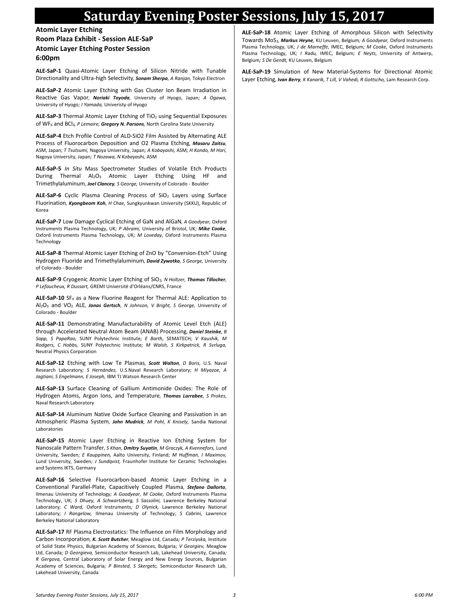### **Saturday Evening Poster Sessions, July 15, 2017**

**Atomic Layer Etching Room Plaza Exhibit - Session ALE-SaP Atomic Layer Etching Poster Session 6:00pm**

**ALE-SaP-1** Quasi-Atomic Layer Etching of Silicon Nitride with Tunable Directionality and Ultra-high Selectivity*, Sonam Sherpa, A Ranjan,* Tokyo Electron

**ALE-SaP-2** Atomic Layer Etching with Gas Cluster Ion Beam Irradiation in Reactive Gas Vapor*, Noriaki Toyoda,* University of Hyogo, Japan*; A Ogawa,*  University of Hyogo*; I Yamada,* Univeristy of Hyogo

ALE-SaP-3 Thermal Atomic Layer Etching of TiO<sub>2</sub> using Sequential Exposures of WF<sup>6</sup> and BCl3*, P Lemaire, Gregory N. Parsons,* North Carolina State University

**ALE-SaP-4** Etch Profile Control of ALD-SiO2 Film Assisted by Alternating ALE Process of Fluorocarbon Deposition and O2 Plasma Etching*, Masaru Zaitsu,*  ASM, Japan*; T Tsutsumi,* Nagoya University, Japan*; A Kobayashi,* ASM*; H Kondo, M Hori,*  Nagoya University, Japan*; T Nozawa, N Kobayashi,* ASM

**ALE-SaP-5** *In Situ* Mass Spectrometer Studies of Volatile Etch Products During Thermal Al<sub>2</sub>O<sub>3</sub> Atomic Layer Etching Using HF and Trimethylaluminum*, Joel Clancey, S George,* University of Colorado - Boulder

ALE-SaP-6 Cyclic Plasma Cleaning Process of SiO<sub>2</sub> Layers using Surface Fluorination*, Kyongbeom Koh, H Chae,* Sungkyunkwan University (SKKU), Republic of Korea

**ALE-SaP-7** Low Damage Cyclical Etching of GaN and AlGaN*, A Goodyear,* Oxford Instruments Plasma Technology, UK*; P Abrami,* University of Bristol, UK*; Mike Cooke,*  Oxford Instruments Plasma Technology, UK*; M Loveday,* Oxford Instruments Plasma **Technology** 

**ALE-SaP-8** Thermal Atomic Layer Etching of ZnO by "Conversion-Etch" Using Hydrogen Fluoride and Trimethylaluminum*, David Zywotko, S George,* University of Colorado - Boulder

**ALE-SaP-9** Cryogenic Atomic Layer Etching of SiO2*, N Holtzer, Thomas Tillocher, P Lefaucheux, R Dussart,* GREMI Université d'Orléans/CNRS, France

**ALE-SaP-10** SF<sup>4</sup> as a New Fluorine Reagent for Thermal ALE: Application to Al2O<sup>3</sup> and VO<sup>2</sup> ALE*, Jonas Gertsch, N Johnson, V Bright, S George,* University of Colorado - Boulder

**ALE-SaP-11** Demonstrating Manufacturability of Atomic Level Etch (ALE) through Accelerated Neutral Atom Beam (ANAB) Processing*, Daniel Steinke, B Sapp, S PapaRao,* SUNY Polytechnic Institute*; E Barth,* SEMATECH*; V Kaushik, M Rodgers, C Hobbs,* SUNY Polytechnic Institute*; M Walsh, S Kirkpatrick, R Svrluga,*  Neutral Physics Corporation

**ALE-SaP-12** Etching with Low Te Plasmas*, Scott Walton, D Boris,* U.S. Naval Research Laboratory*; S Hernández,* U.S.Naval Research Laboratory*; H Miyazoe, A Jagtiani, S Engelmann, E Joseph,* IBM TJ Watson Research Center

**ALE-SaP-13** Surface Cleaning of Gallium Antimonide Oxides: The Role of Hydrogen Atoms, Argon Ions, and Temperature*, Thomas Larrabee, S Prokes,*  Naval Research Laboratory

**ALE-SaP-14** Aluminum Native Oxide Surface Cleaning and Passivation in an Atmospheric Plasma System*, John Mudrick, M Pohl, K Knisely,* Sandia National Laboratories

**ALE-SaP-15** Atomic Layer Etching in Reactive Ion Etching System for Nanoscale Pattern Transfer*, S Khan, Dmitry Suyatin, M Graczyk, A Kvennefors,* Lund University, Sweden*; E Kauppinen,* Aalto University, Finland*; M Huffman, I Maximov,*  Lund University, Sweden*; J Sundqvist,* Fraunhofer Institute for Ceramic Technologies and Systems IKTS, Germany

**ALE-SaP-16** Selective Fluorocarbon-based Atomic Layer Etching in a Conventional Parallel-Plate, Capacitively Coupled Plasma*, Stefano Dallorto,*  Ilmenau University of Technology*; A Goodyear, M Cooke,* Oxford Instruments Plasma Technology, UK*; S Dhuey, A Schwartzberg, S Sassolini,* Lawrence Berkeley National Laboratory*; C Ward,* Oxford Instruments*; D Olynick,* Lawrence Berkeley National Laboratory*; I Rangelow,* Ilmenau University of Technology*; S Cabrini,* Lawrence Berkeley National Laboratory

**ALE-SaP-17** RF Plasma Electrostatics: The Influence on Film Morphology and Carbon Incorporation*, K. Scott Butcher,* Meaglow Ltd, Canada*; P Terziyska,* Institute of Solid State Physics, Bulgarian Academy of Sciences, Bulgaria*; V Georgiev,* Meaglow Ltd, Canada*; D Georgieva,* Semiconductor Research Lab, Lakehead University, Canada*; R Gergova,* Central Laboratory of Solar Energy and New Energy Sources, Bulgarian Academy of Sciences, Bulgaria*; P Binsted, S Skergetc,* Semiconductor Research Lab, Lakehead University, Canada

**ALE-SaP-18** Atomic Layer Etching of Amorphous Silicon with Selectivity Towards MoS2*, Markus Heyne,* KU Leuven, Belgium*; A Goodyear,* Oxford Instruments Plasma Technology, UK*; J de Marneffe,* IMEC, Belgium*; M Cooke,* Oxford Instruments Plasma Technology, UK*; I Radu,* IMEC, Belgium*; E Neyts,* University of Antwerp, Belgium*; S De Gendt,* KU Leuven, Belgium

**ALE-SaP-19** Simulation of New Material-Systems for Directional Atomic Layer Etching*, Ivan Berry, K Kanarik, T Lill, V Vahedi, R Gottscho,* Lam Research Corp.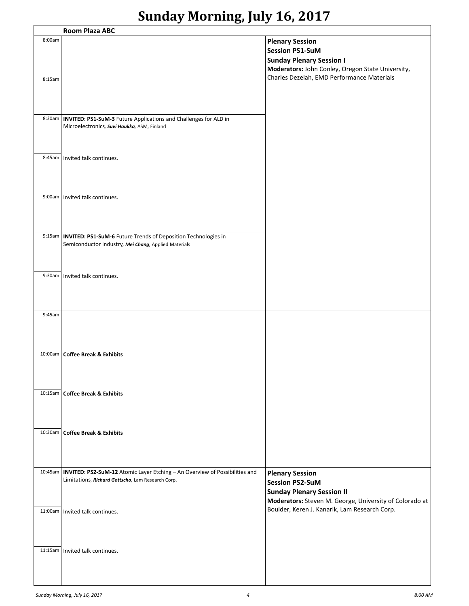# **Sunday Morning, July 16, 2017**

|         | <b>Room Plaza ABC</b>                                                                                                                      |                                                                                                                                                 |  |  |  |
|---------|--------------------------------------------------------------------------------------------------------------------------------------------|-------------------------------------------------------------------------------------------------------------------------------------------------|--|--|--|
| 8:00am  |                                                                                                                                            | <b>Plenary Session</b><br><b>Session PS1-SuM</b><br><b>Sunday Plenary Session I</b><br>Moderators: John Conley, Oregon State University,        |  |  |  |
| 8:15am  |                                                                                                                                            | Charles Dezelah, EMD Performance Materials                                                                                                      |  |  |  |
|         | 8:30am   INVITED: PS1-SuM-3 Future Applications and Challenges for ALD in<br>Microelectronics, Suvi Haukka, ASM, Finland                   |                                                                                                                                                 |  |  |  |
| 8:45am  | Invited talk continues.                                                                                                                    |                                                                                                                                                 |  |  |  |
| 9:00am  | Invited talk continues.                                                                                                                    |                                                                                                                                                 |  |  |  |
|         | 9:15am   INVITED: PS1-SuM-6 Future Trends of Deposition Technologies in<br>Semiconductor Industry, Mei Chang, Applied Materials            |                                                                                                                                                 |  |  |  |
| 9:30am  | Invited talk continues.                                                                                                                    |                                                                                                                                                 |  |  |  |
| 9:45am  |                                                                                                                                            |                                                                                                                                                 |  |  |  |
| 10:00am | <b>Coffee Break &amp; Exhibits</b>                                                                                                         |                                                                                                                                                 |  |  |  |
|         | 10:15am   Coffee Break & Exhibits                                                                                                          |                                                                                                                                                 |  |  |  |
|         | 10:30am   Coffee Break & Exhibits                                                                                                          |                                                                                                                                                 |  |  |  |
|         |                                                                                                                                            |                                                                                                                                                 |  |  |  |
|         | 10:45am   INVITED: PS2-SuM-12 Atomic Layer Etching - An Overview of Possibilities and<br>Limitations, Richard Gottscho, Lam Research Corp. | <b>Plenary Session</b><br><b>Session PS2-SuM</b><br><b>Sunday Plenary Session II</b><br>Moderators: Steven M. George, University of Colorado at |  |  |  |
|         | 11:00am   Invited talk continues.                                                                                                          | Boulder, Keren J. Kanarik, Lam Research Corp.                                                                                                   |  |  |  |
| 11:15am | Invited talk continues.                                                                                                                    |                                                                                                                                                 |  |  |  |
|         |                                                                                                                                            |                                                                                                                                                 |  |  |  |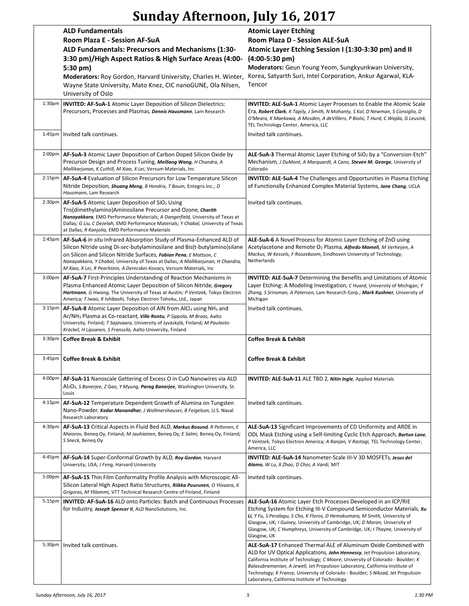# **Sunday Afternoon, July 16, 2017**

|                    | <b>ALD Fundamentals</b>                                                                                                                                 | <b>Atomic Layer Etching</b>                                                                                                                                    |  |
|--------------------|---------------------------------------------------------------------------------------------------------------------------------------------------------|----------------------------------------------------------------------------------------------------------------------------------------------------------------|--|
|                    | Room Plaza E - Session AF-SuA                                                                                                                           | Room Plaza D - Session ALE-SuA                                                                                                                                 |  |
|                    | ALD Fundamentals: Precursors and Mechanisms (1:30-                                                                                                      | Atomic Layer Etching Session I (1:30-3:30 pm) and II                                                                                                           |  |
|                    | 3:30 pm)/High Aspect Ratios & High Surface Areas (4:00-                                                                                                 | $(4:00-5:30 \text{ pm})$                                                                                                                                       |  |
|                    |                                                                                                                                                         |                                                                                                                                                                |  |
|                    | 5:30 pm)                                                                                                                                                | Moderators: Geun Young Yeom, Sungkyunkwan University,                                                                                                          |  |
|                    | Moderators: Roy Gordon, Harvard University, Charles H. Winter,                                                                                          | Korea, Satyarth Suri, Intel Corporation, Ankur Agarwal, KLA-                                                                                                   |  |
|                    | Wayne State University, Mato Knez, CIC nanoGUNE, Ola Nilsen,                                                                                            | Tencor                                                                                                                                                         |  |
|                    | University of Oslo                                                                                                                                      |                                                                                                                                                                |  |
| 1:30 <sub>pm</sub> | <b>INVITED: AF-SuA-1</b> Atomic Layer Deposition of Silicon Dielectrics:                                                                                | <b>INVITED: ALE-SuA-1</b> Atomic Layer Processes to Enable the Atomic Scale                                                                                    |  |
|                    | Precursors, Processes and Plasmas, Dennis Hausmann, Lam Research                                                                                        | Era, Robert Clark, K Tapily, J Smith, N Mohanty, S Kal, D Newman, S Consiglio, D                                                                               |  |
|                    |                                                                                                                                                         | O'Meara, K Maekawa, A Mosden, A deVilliers, P Biolsi, T Hurd, C Wajda, G Leusink,                                                                              |  |
|                    |                                                                                                                                                         | TEL Technology Center, America, LLC                                                                                                                            |  |
| $1:45$ pm          | Invited talk continues.                                                                                                                                 | Invited talk continues.                                                                                                                                        |  |
|                    |                                                                                                                                                         |                                                                                                                                                                |  |
| 2:00pm             | AF-SuA-3 Atomic Layer Deposition of Carbon Doped Silicon Oxide by                                                                                       | ALE-SuA-3 Thermal Atomic Layer Etching of SiO <sub>2</sub> by a "Conversion-Etch"                                                                              |  |
|                    | Precursor Design and Process Tuning, Meiliang Wang, H Chandra, A                                                                                        | Mechanism, J DuMont, A Marquardt, A Cano, Steven M. George, University of                                                                                      |  |
|                    | Mallikarjunan, K Cuthill, M Xiao, X Lei, Versum Materials, Inc                                                                                          | Colorado                                                                                                                                                       |  |
| 2:15 <sub>pm</sub> | AF-SuA-4 Evaluation of Silicon Precursors for Low Temperature Silicon                                                                                   | <b>INVITED: ALE-SuA-4</b> The Challenges and Opportunities in Plasma Etching                                                                                   |  |
|                    | Nitride Deposition, Shuang Meng, B Hendrix, T Baum, Entegris Inc.; D                                                                                    | of Functionally Enhanced Complex Material Systems, Jane Chang, UCLA                                                                                            |  |
|                    | Hausmann, Lam Research                                                                                                                                  |                                                                                                                                                                |  |
| 2:30 <sub>pm</sub> | AF-SuA-5 Atomic Layer Deposition of SiO <sub>2</sub> Using                                                                                              | Invited talk continues.                                                                                                                                        |  |
|                    | Tris(dimethylamino)Aminosilane Precursor and Ozone, Charith                                                                                             |                                                                                                                                                                |  |
|                    | Nanayakkara, EMD Performance Materials; A Dangerfield, University of Texas at                                                                           |                                                                                                                                                                |  |
|                    | Dallas; G Liu, C Dezelah, EMD Performance Materials; Y Chabal, University of Texas<br>at Dallas; R Kanjolia, EMD Performance Materials                  |                                                                                                                                                                |  |
| 2:45 <sub>pm</sub> | AF-SuA-6 In situ Infrared Absorption Study of Plasma-Enhanced ALD of                                                                                    | <b>ALE-SuA-6</b> A Novel Process for Atomic Layer Etching of ZnO using                                                                                         |  |
|                    | Silicon Nitride using Di-sec-butylaminosilane and Bis(t-butylamino) silane                                                                              | Acetylacetone and Remote O <sub>2</sub> Plasma, Alfredo Mameli, M Verheijen, A                                                                                 |  |
|                    | on Silicon and Silicon Nitride Surfaces, Fabian Pena, E Mattson, C                                                                                      | Mackus, W Kessels, F Roozeboom, Eindhoven University of Technology,                                                                                            |  |
|                    | Nanayakkara, Y Chabal, University of Texas at Dallas; A Mallikarjunan, H Chandra,                                                                       | Netherlands                                                                                                                                                    |  |
|                    | M Xiao, X Lei, R Pearlstein, A Derecskei-Kovacs, Versum Materials, Inc                                                                                  |                                                                                                                                                                |  |
| 3:00pm             | AF-SuA-7 First-Principles Understanding of Reaction Mechanisms in                                                                                       | <b>INVITED: ALE-SuA-7</b> Determining the Benefits and Limitations of Atomic                                                                                   |  |
|                    | Plasma Enhanced Atomic Layer Deposition of Silicon Nitride, Gregory                                                                                     | Layer Etching: A Modeling Investigation, C Huard, University of Michigan; Y                                                                                    |  |
|                    | Hartmann, G Hwang, The University of Texas at Austin; P Ventzek, Tokyo Electron                                                                         | Zhang, S Sriraman, A Paterson, Lam Research Corp.; Mark Kushner, University of                                                                                 |  |
|                    | America; T Iwao, K Ishibashi, Tokyo Electron Tohoku, Ltd., Japan                                                                                        | Michigan                                                                                                                                                       |  |
| 3:15 <sub>pm</sub> | <b>AF-SuA-8</b> Atomic Layer Deposition of AIN from AICI <sub>3</sub> using $NH3$ and                                                                   | Invited talk continues.                                                                                                                                        |  |
|                    | Ar/NH <sub>3</sub> Plasma as Co-reactant, <i>Ville Rontu</i> , <i>P Sippola</i> , <i>M Broas</i> , Aalto                                                |                                                                                                                                                                |  |
|                    | University, Finland; T Sajavaara, University of Jyväskylä, Finland; M Paulasto-<br>Kröckel, H Lipsanen, S Franssila, Aalto University, Finland          |                                                                                                                                                                |  |
| 3:30 <sub>pm</sub> | <b>Coffee Break &amp; Exhibit</b>                                                                                                                       | <b>Coffee Break &amp; Exhibit</b>                                                                                                                              |  |
|                    |                                                                                                                                                         |                                                                                                                                                                |  |
| 3:45 <sub>pm</sub> | <b>Coffee Break &amp; Exhibit</b>                                                                                                                       | <b>Coffee Break &amp; Exhibit</b>                                                                                                                              |  |
|                    |                                                                                                                                                         |                                                                                                                                                                |  |
|                    |                                                                                                                                                         |                                                                                                                                                                |  |
| 4:00pm             | AF-SuA-11 Nanoscale Gettering of Excess O in CuO Nanowires via ALD                                                                                      | <b>INVITED: ALE-SuA-11 ALE TBD 2, Nitin Ingle, Applied Materials</b>                                                                                           |  |
|                    | Al <sub>2</sub> O <sub>3</sub> , <i>S Banerjee</i> , <i>Z Gao</i> , <i>Y Myung</i> , <i>Parag Banerjee</i> , Washington University, St.<br>Louis        |                                                                                                                                                                |  |
|                    |                                                                                                                                                         |                                                                                                                                                                |  |
| 4:15 <sub>pm</sub> | AF-SuA-12 Temperature Dependent Growth of Alumina on Tungsten                                                                                           | Invited talk continues.                                                                                                                                        |  |
|                    | Nano-Powder, Kedar Manandhar, J Wollmershauser, B Feigelson, U.S. Naval<br>Research Laboratory                                                          |                                                                                                                                                                |  |
| 4:30 <sub>pm</sub> | AF-SuA-13 Critical Aspects in Fluid Bed ALD, Markus Bosund, R Peltonen, E                                                                               |                                                                                                                                                                |  |
|                    | Maiorov, Beneq Oy, Finland; M Jauhiainen, Beneq Oy; E Salmi, Beneq Oy, Finland;                                                                         | <b>ALE-SuA-13</b> Significant Improvements of CD Uniformity and ARDE in<br>ODL Mask Etching using a Self-limiting Cyclic Etch Approach, Barton Lane,           |  |
|                    | S Sneck, Beneg Oy                                                                                                                                       | P Ventzek, Tokyo Electron America; A Ranjan, V Rastogi, TEL Technology Center,                                                                                 |  |
|                    |                                                                                                                                                         | America, LLC                                                                                                                                                   |  |
| 4:45pm             | AF-SuA-14 Super-Conformal Growth by ALD, Roy Gordon, Harvard                                                                                            | INVITED: ALE-SuA-14 Nanometer-Scale III-V 3D MOSFETs, Jesus del                                                                                                |  |
|                    | University, USA; J Feng, Harvard University                                                                                                             | Alamo, W Lu, X Zhao, D Choi, A Vardi, MIT                                                                                                                      |  |
|                    |                                                                                                                                                         |                                                                                                                                                                |  |
| 5:00 <sub>pm</sub> | AF-SuA-15 Thin Film Conformality Profile Analysis with Microscopic All-<br>Silicon Lateral High Aspect Ratio Structures, Riikka Puurunen, O Ylivaara, K | Invited talk continues.                                                                                                                                        |  |
|                    | Grigoras, M Ylilammi, VTT Technical Research Centre of Finland, Finland                                                                                 |                                                                                                                                                                |  |
| 5:15pm             | <b>INVITED: AF-SuA-16 ALD onto Particles: Batch and Continuous Processes</b>                                                                            | ALE-SuA-16 Atomic Layer Etch Processes Developed in an ICP/RIE                                                                                                 |  |
|                    | for Industry, Joseph Spencer II, ALD NanoSolutions, Inc.                                                                                                | Etching System for Etching III-V Compound Semiconductor Materials, Xu                                                                                          |  |
|                    |                                                                                                                                                         | Li, Y Fu, S Peralagu, S Cho, K Floros, D Hemakumara, M Smith, University of                                                                                    |  |
|                    |                                                                                                                                                         | Glasgow, UK; I Guiney, University of Cambridge, UK; D Moran, University of                                                                                     |  |
|                    |                                                                                                                                                         | Glasgow, UK; C Humphreys, University of Cambridge, UK; I Thayne, University of                                                                                 |  |
|                    |                                                                                                                                                         | Glasgow, UK                                                                                                                                                    |  |
| 5:30pm             | Invited talk continues.                                                                                                                                 | ALE-SuA-17 Enhanced Thermal ALE of Aluminum Oxide Combined with                                                                                                |  |
|                    |                                                                                                                                                         | ALD for UV Optical Applications, John Hennessy, Jet Propulsion Laboratory,<br>California Institute of Technology; C Moore, University of Colorado - Boulder; K |  |
|                    |                                                                                                                                                         | Balasubramanian, A Jewell, Jet Propulsion Laboratory, California Institute of                                                                                  |  |
|                    |                                                                                                                                                         | Technology; K France, University of Colorado - Boulder; S Nikzad, Jet Propulsion                                                                               |  |
|                    |                                                                                                                                                         | Laboratory, California Institute of Technology                                                                                                                 |  |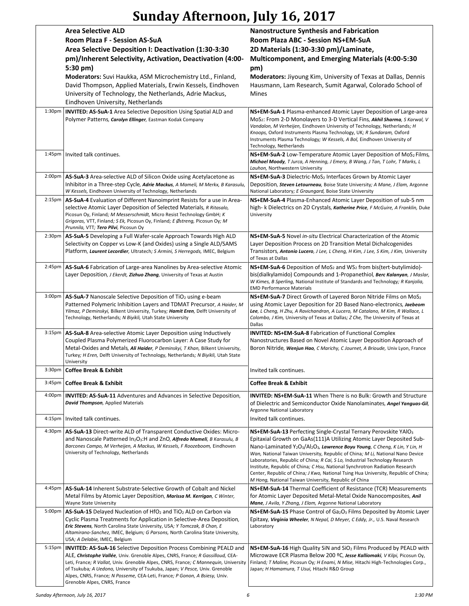# **Sunday Afternoon, July 16, 2017**

|                     | <b>Area Selective ALD</b><br>Room Plaza F - Session AS-SuA<br>Area Selective Deposition I: Deactivation (1:30-3:30<br>pm)/Inherent Selectivity, Activation, Deactivation (4:00-<br>5:30 pm)<br>Moderators: Suvi Haukka, ASM Microchemistry Ltd., Finland,<br>David Thompson, Applied Materials, Erwin Kessels, Eindhoven<br>University of Technology, the Netherlands, Adrie Mackus,<br>Eindhoven University, Netherlands                        | <b>Nanostructure Synthesis and Fabrication</b><br>Room Plaza ABC - Session NS+EM-SuA<br>2D Materials (1:30-3:30 pm)/Laminate,<br><b>Multicomponent, and Emerging Materials (4:00-5:30</b><br>pm)<br>Moderators: Jiyoung Kim, University of Texas at Dallas, Dennis<br>Hausmann, Lam Research, Sumit Agarwal, Colorado School of<br><b>Mines</b>                                                                                                                                                                                                                                                                                                                           |
|---------------------|--------------------------------------------------------------------------------------------------------------------------------------------------------------------------------------------------------------------------------------------------------------------------------------------------------------------------------------------------------------------------------------------------------------------------------------------------|---------------------------------------------------------------------------------------------------------------------------------------------------------------------------------------------------------------------------------------------------------------------------------------------------------------------------------------------------------------------------------------------------------------------------------------------------------------------------------------------------------------------------------------------------------------------------------------------------------------------------------------------------------------------------|
| 1:30 <sub>p</sub> m | <b>INVITED: AS-SuA-1</b> Area Selective Deposition Using Spatial ALD and<br>Polymer Patterns, Carolyn Ellinger, Eastman Kodak Company                                                                                                                                                                                                                                                                                                            | NS+EM-SuA-1 Plasma-enhanced Atomic Layer Deposition of Large-area<br>MoS <sub>2</sub> : From 2-D Monolayers to 3-D Vertical Fins, Akhil Sharma, S Karwal, V<br>Vandalon, M Verheijen, Eindhoven University of Technology, Netherlands; H<br>Knoops, Oxford Instruments Plasma Technology, UK; R Sundaram, Oxford<br>Instruments Plasma Technology; W Kessels, A Bol, Eindhoven University of<br>Technology, Netherlands                                                                                                                                                                                                                                                   |
| 1:45pm              | Invited talk continues.                                                                                                                                                                                                                                                                                                                                                                                                                          | NS+EM-SuA-2 Low-Temperature Atomic Layer Deposition of MoS <sub>2</sub> Films,<br>Michael Moody, T Jurca, A Henning, J Emery, B Wang, J Tan, T Lohr, T Marks, L<br>Lauhon, Northwestern University                                                                                                                                                                                                                                                                                                                                                                                                                                                                        |
| $2:00p$ m           | AS-SuA-3 Area-selective ALD of Silicon Oxide using Acetylacetone as<br>Inhibitor in a Three-step Cycle, Adrie Mackus, A Mameli, M Merkx, B Karasulu,<br>W Kessels, Eindhoven University of Technology, Netherlands                                                                                                                                                                                                                               | NS+EM-SuA-3 Dielectric-MoS <sub>2</sub> Interfaces Grown by Atomic Layer<br>Deposition, Steven Letourneau, Boise State University; A Mane, J Elam, Argonne<br>National Laboratory; E Graungard, Boise State University                                                                                                                                                                                                                                                                                                                                                                                                                                                    |
| 2:15 <sub>pm</sub>  | AS-SuA-4 Evaluation of Different Nanoimprint Resists for a use in Area-<br>selective Atomic Layer Deposition of Selected Materials, R Ritasalo,<br>Picosun Oy, Finland; M Messerschmidt, Micro Resist Technology GmbH; K<br>Grigoras, VTT, Finland; S Ek, Picosun Oy, Finland; E Østreng, Picosun Oy; M<br>Prunnila, VTT; Tero Pilvi, Picosun Oy                                                                                                 | NS+EM-SuA-4 Plasma-Enhanced Atomic Layer Deposition of sub-5 nm<br>high- k Dielectrics on 2D Crystals, Katherine Price, F McGuire, A Franklin, Duke<br>University                                                                                                                                                                                                                                                                                                                                                                                                                                                                                                         |
| 2:30 <sub>p</sub> m | AS-SuA-5 Developing a Full Wafer-scale Approach Towards High ALD<br>Selectivity on Copper vs Low-K (and Oxides) using a Single ALD/SAMS<br>Platform, Laurent Lecordier, Ultratech; S Armini, S Herregods, IMEC, Belgium                                                                                                                                                                                                                          | NS+EM-SuA-5 Novel in-situ Electrical Characterization of the Atomic<br>Layer Deposition Process on 2D Transition Metal Dichalcogenides<br>Transistors, Antonio Lucero, J Lee, L Cheng, H Kim, J Lee, S Kim, J Kim, University<br>of Texas at Dallas                                                                                                                                                                                                                                                                                                                                                                                                                       |
| 2:45 <sub>pm</sub>  | AS-SuA-6 Fabrication of Large-area Nanolines by Area-selective Atomic<br>Layer Deposition, J Ekerdt, Zizhuo Zhang, University of Texas at Austin                                                                                                                                                                                                                                                                                                 | $NS+EM-SuA-6$ Deposition of MoS <sub>2</sub> and WS <sub>2</sub> from bis(tert-butylimido)-<br>bis(dialkylamido) Compounds and 1-Propanethiol, Berc Kalanyan, J Maslar,<br>W Kimes, B Sperling, National Institute of Standards and Technology; R Kanjolia,<br><b>EMD Performance Materials</b>                                                                                                                                                                                                                                                                                                                                                                           |
| 3:00 <sub>pm</sub>  | AS-SuA-7 Nanoscale Selective Deposition of TiO <sub>2</sub> using e-beam<br>Patterned Polymeric Inhibition Layers and TDMAT Precursor, A Haider, M<br>Yilmaz, P Deminskyi, Bilkent University, Turkey; Hamit Eren, Delft University of<br>Technology, Netherlands; N Biyikli, Utah State University                                                                                                                                              | NS+EM-SuA-7 Direct Growth of Layered Boron Nitride Films on MoS2<br>using Atomic Layer Deposition for 2D Based Nano-electronics, Jaebeom<br>Lee, L Cheng, H Zhu, A Ravichandran, A Lucero, M Catalano, M Kim, R Wallace, L<br>Colombo, J Kim, University of Texas at Dallas; Z Che, The University of Texas at<br>Dallas                                                                                                                                                                                                                                                                                                                                                  |
| 3:15pm              | AS-SuA-8 Area-selective Atomic Layer Deposition using Inductively<br>Coupled Plasma Polymerized Fluorocarbon Layer: A Case Study for<br>Metal-Oxides and Metals, Ali Haider, P Deminskyi, T Khan, Bilkent University,<br>Turkey; H Eren, Delft University of Technology, Netherlands; N Biyikli, Utah State<br>University                                                                                                                        | <b>INVITED: NS+EM-SuA-8 Fabrication of Functional Complex</b><br>Nanostructures Based on Novel Atomic Layer Deposition Approach of<br>Boron Nitride, Wenjun Hao, C Marichy, C Journet, A Brioude, Univ Lyon, France                                                                                                                                                                                                                                                                                                                                                                                                                                                       |
|                     | 3:30pm   Coffee Break & Exhibit                                                                                                                                                                                                                                                                                                                                                                                                                  | Invited talk continues.                                                                                                                                                                                                                                                                                                                                                                                                                                                                                                                                                                                                                                                   |
| 3:45 <sub>pm</sub>  | <b>Coffee Break &amp; Exhibit</b>                                                                                                                                                                                                                                                                                                                                                                                                                | <b>Coffee Break &amp; Exhibit</b>                                                                                                                                                                                                                                                                                                                                                                                                                                                                                                                                                                                                                                         |
| $4:00p$ m           | <b>INVITED: AS-SuA-11</b> Adventures and Advances in Selective Deposition,<br>David Thompson, Applied Materials                                                                                                                                                                                                                                                                                                                                  | <b>INVITED: NS+EM-SuA-11</b> When There is no Bulk: Growth and Structure<br>of Dielectric and Semiconductor Oxide Nanolaminates, Angel Yanguas-Gil,<br>Argonne National Laboratory                                                                                                                                                                                                                                                                                                                                                                                                                                                                                        |
| 4:15 <sub>pm</sub>  | Invited talk continues.                                                                                                                                                                                                                                                                                                                                                                                                                          | Invited talk continues.                                                                                                                                                                                                                                                                                                                                                                                                                                                                                                                                                                                                                                                   |
| 4:30 <sub>pm</sub>  | AS-SuA-13 Direct-write ALD of Transparent Conductive Oxides: Micro-<br>and Nanoscale Patterned $In_2O_3$ :H and ZnO, Alfredo Mameli, B Karasulu, B<br>Barcones Campo, M Verheijen, A Mackus, W Kessels, F Roozeboom, Eindhoven<br>University of Technology, Netherlands                                                                                                                                                                          | NS+EM-SuA-13 Perfecting Single-Crystal Ternary Perovskite YAIO3<br>Epitaxial Growth on GaAs(111)A Utilizing Atomic Layer Deposited Sub-<br>Nano-Laminated Y <sub>2</sub> O <sub>3</sub> /Al <sub>2</sub> O <sub>3</sub> , Lawrence Boyu Young, C Cheng, K Lin, Y Lin, H<br>Wan, National Taiwan University, Republic of China; M Li, National Nano Device<br>Laboratories, Republic of China; R Cai, S Lo, Industrial Technology Research<br>Institute, Republic of China; C Hsu, National Synchrotron Radiation Research<br>Center, Republic of China; J Kwo, National Tsing Hua University, Republic of China;<br>M Hong, National Taiwan University, Republic of China |
| 4:45pm              | AS-SuA-14 Inherent Substrate-Selective Growth of Cobalt and Nickel<br>Metal Films by Atomic Layer Deposition, Marissa M. Kerrigan, C Winter,<br>Wayne State University                                                                                                                                                                                                                                                                           | NS+EM-SuA-14 Thermal Coefficient of Resistance (TCR) Measurements<br>for Atomic Layer Deposited Metal-Metal Oxide Nanocomposites, Anil<br>Mane, J Avila, Y Zhang, J Elam, Argonne National Laboratory                                                                                                                                                                                                                                                                                                                                                                                                                                                                     |
| $5:00p$ m           | AS-SuA-15 Delayed Nucleation of $HfO2$ and TiO <sub>2</sub> ALD on Carbon via<br>Cyclic Plasma Treatments for Application in Selective-Area Deposition,<br>Eric Stevens, North Carolina State University, USA; Y Tomczak, B Chan, E<br>Altamirano-Sanchez, IMEC, Belgium; G Parsons, North Carolina State University,<br>USA; A Delabie, IMEC, Belgium                                                                                           | $NS+EM-SuA-15$ Phase Control of $Ga2O3$ Films Deposited by Atomic Layer<br>Epitaxy, Virginia Wheeler, N Nepal, D Meyer, C Eddy, Jr., U.S. Naval Research<br>Laboratory                                                                                                                                                                                                                                                                                                                                                                                                                                                                                                    |
| 5:15pm              | <b>INVITED: AS-SuA-16</b> Selective Deposition Process Combining PEALD and<br>ALE, Christophe Vallée, Univ. Grenoble Alpes, CNRS, France; R Gassilloud, CEA-<br>Leti, France; R Vallat, Univ. Grenoble Alpes, CNRS, France; C Mannequin, University<br>of Tsukuba; A Uedono, University of Tsukuba, Japan; V Pesce, Univ. Grenoble<br>Alpes, CNRS, France; N Posseme, CEA-Leti, France; P Gonon, A Bsiesy, Univ.<br>Grenoble Alpes, CNRS, France | NS+EM-SuA-16 High Quality SiN and SiO <sub>2</sub> Films Produced by PEALD with<br>Microwave ECR Plasma Below 200 °C, Jesse Kalliomaki, V Kilpi, Picosun Oy,<br>Finland; T Maline, Picosun Oy; H Enami, N Mise, Hitachi High-Technologies Corp.,<br>Japan; H Hamamura, T Usui, Hitachi R&D Group                                                                                                                                                                                                                                                                                                                                                                          |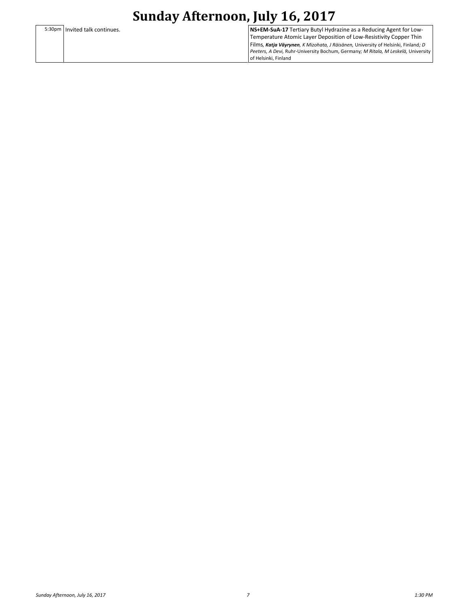5:30pm Invited talk continues. **NS+EM-SuA-17** Tertiary Butyl Hydrazine as a Reducing Agent for Low-Temperature Atomic Layer Deposition of Low-Resistivity Copper Thin Films*, Katja Väyrynen, K Mizohata, J Räisänen,* University of Helsinki, Finland*; D Peeters, A Devi,* Ruhr-University Bochum, Germany*; M Ritala, M Leskelä,* University of Helsinki, Finland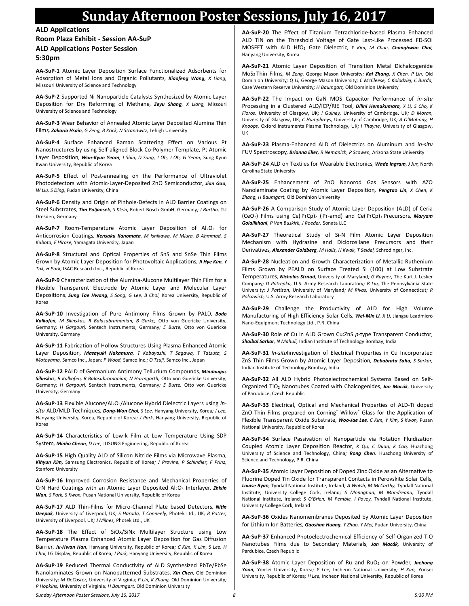### **Sunday Afternoon Poster Sessions, July 16, 2017**

**ALD Applications Room Plaza Exhibit - Session AA-SuP ALD Applications Poster Session 5:30pm**

**AA-SuP-1** Atomic Layer Deposition Surface Functionalized Adsorbents for Adsorption of Metal Ions and Organic Pollutants*, Xiaofeng Wang, X Liang,*  Missouri University of Science and Technology

**AA-SuP-2** Supported Ni Nanoparticle Catalysts Synthesized by Atomic Layer Deposition for Dry Reforming of Methane*, Zeyu Shang, X Liang,* Missouri University of Science and Technology

**AA-SuP-3** Wear Behavior of Annealed Atomic Layer Deposited Alumina Thin Films*, Zakaria Hsain, G Zeng, B Krick, N Strandwitz,* Lehigh University

**AA-SuP-4** Surface Enhanced Raman Scattering Effect on Various Pt Nanostructures by using Self-aligned Block Co-Polymer Template, Pt Atomic Layer Deposition*, Won-Kyun Yeom, J Shin, D Sung, J Oh, J Oh, G Yeom,* Sung Kyun Kwan University, Republic of Korea

**AA-SuP-5** Effect of Post-annealing on the Performance of Ultraviolet Photodetectors with Atomic-Layer-Deposited ZnO Semiconductor*, Jian Gao, W Liu, S Ding,* Fudan University, China

**AA-SuP-6** Density and Origin of Pinhole-Defects in ALD Barrier Coatings on Steel Substrates*, Tim Poljansek, S Klein,* Robert Bosch GmbH, Germany*; J Bartha,* TU Dresden, Germany

AA-SuP-7 Room-Temperature Atomic Layer Deposition of Al<sub>2</sub>O<sub>3</sub> for Anticorrosion Coatings*, Kensaku Kanomata, M Ishikawa, M Miura, B Ahmmad, S Kubota, F Hirose,* Yamagata University, Japan

**AA-SuP-8** Structural and Optical Properties of SnS and SnSe Thin Films Grown by Atomic Layer Deposition for Photovoltaic Applications*, Ji Hye Kim, Y Tak, H Park,* ISAC Research Inc., Republic of Korea

**AA-SuP-9** Characterization of the Alumina-Alucone Multilayer Thin Film for a Flexible Transparent Electrode by Atomic Layer and Molecular Layer Depositions*, Sung Tae Hwang, S Song, G Lee, B Choi,* Korea University, Republic of Korea

**AA-SuP-10** Investigation of Pure Antimony Films Grown by PALD*, Bodo Kalkofen, M Silinskas, R Balasubramanian, B Garke,* Otto von Guericke University, Germany*; H Gargouri,* Sentech Instruments, Germany*; E Burte,* Otto von Guericke University, Germany

**AA-SuP-11** Fabrication of Hollow Structures Using Plasma Enhanced Atomic Layer Deposition*, Masayuki Nakamura, T Kobayashi, T Sagawa, T Tatsuta, S Motoyama,* Samco Inc., Japan*; P Wood,* Samco Inc.*; O Tsuji,* Samco Inc., Japan

**AA-SuP-12** PALD of Germanium Antimony Tellurium Compounds*, Mindaugas Silinskas, B Kalkofen, R Balasubramanian, N Harmgarth,* Otto von Guericke University, Germany*; H Gargouri,* Sentech Instruments, Germany*; E Burte,* Otto von Guericke University, Germany

AA-SuP-13 Flexible Alucone/Al<sub>2</sub>O<sub>3</sub>/Alucone Hybrid Dielectric Layers using in*situ* ALD/MLD Techniques*, Dong-Won Choi, S Lee,* Hanyang University, Korea*; J Lee,*  Hanyang University, Korea, Republic of Korea*; J Park,* Hanyang University, Republic of Korea

**AA-SuP-14** Characteristics of Low-k Film at Low Temperature Using SDP System*, Minho Cheon, D Lee,* JUSUNG Engineering, Republic of Korea

**AA-SuP-15** High Quality ALD of Silicon Nitride Films via Microwave Plasma*, Kihyun Kim,* Samsung Electronics, Republic of Korea*; J Provine, P Schindler, F Prinz,*  Stanford University

**AA-SuP-16** Improved Corrosion Resistance and Mechanical Properties of CrN Hard Coatings with an Atomic Layer Deposited Al2O<sup>3</sup> Interlayer*, Zhixin Wan, S Park, S Kwon,* Pusan National University, Republic of Korea

**AA-SuP-17** ALD Thin-Films for Micro-Channel Plate based Detectors*, Nitin Deepak,* University of Liverpool, UK*; S Harada, T Conneely,* Photek Ltd., UK*; R Potter,*  University of Liverpool, UK*; J Milnes,* Photek Ltd., UK

**AA-SuP-18** The Effect of SiOx/SiNx Multilayer Structure using Low Temperature Plasma Enhanced Atomic Layer Deposition for Gas Diffusion Barrier*, Ju-Hwan Han,* Hanyang University, Republic of Korea*; C Kim, K Lim, S Lee, H Choi,* LG Display, Republic of Korea*; J Park,* Hanyang University, Republic of Korea

**AA-SuP-19** Reduced Thermal Conductivity of ALD Synthesized PbTe/PbSe Nanolaminates Grown on Nanopatterned Substrates*, Xin Chen,* Old Dominion University*; M DeCoster,* University of Virginia*; P Lin, K Zhang,* Old Dominion University*; P Hopkins,* University of Virginia*; H Baumgart,* Old Dominion University

**AA-SuP-20** The Effect of Titanium Tetrachloride-based Plasma Enhanced ALD TiN on the Threshold Voltage of Gate Last-Like Processed FD-SOI MOSFET with ALD HfO<sup>2</sup> Gate Dielectric*, Y Kim, M Chae, Changhwan Choi,*  Hanyang University, Korea

**AA-SuP-21** Atomic Layer Deposition of Transition Metal Dichalcogenide MoS2 Thin Films*, M Zeng,* George Mason University*; Kai Zhang, X Chen, P Lin,* Old Dominion University*; Q Li,* George Mason University*; C McCleese, C Kolodziej, C Burda,*  Case Western Reserve University*; H Baumgart,* Old Dominion University

**AA-SuP-22** The Impact on GaN MOS Capacitor Performance of *in-situ* Processing in a Clustered ALD/ICP/RIE Tool*, Dilini Hemakumara, X Li, S Cho, K Floros,* University of Glasgow, UK*; I Guiney,* University of Cambridge, UK*; D Moran,*  University of Glasgow, UK*; C Humphreys,* University of Cambridge, UK*; A O'Mahony, H Knoops,* Oxford Instruments Plasma Technology, UK*; I Thayne,* University of Glasgow, UK

**AA-SuP-23** Plasma-Enhanced ALD of Dielectrics on Aluminum and *in-situ* FUV Spectroscopy*, Brianna Eller, R Nemanich, P Scowen,* Arizona State University

**AA-SuP-24** ALD on Textiles for Wearable Electronics*, Wade Ingram, J Jur,* North Carolina State University

**AA-SuP-25** Enhancement of ZnO Nanorod Gas Sensors with AZO Nanolaminate Coating by Atomic Layer Deposition*, Pengtao Lin, X Chen, K Zhang, H Baumgart,* Old Dominion University

**AA-SuP-26** A Comparison Study of Atomic Layer Deposition (ALD) of Ceria (CeO2) Films using Ce(<sup>i</sup>PrCp)<sup>2</sup> ( <sup>i</sup>Pr-amd) and Ce(<sup>i</sup>PrCp)3 Precursors*, Maryam Golalikhani, P Van Buskirk, J Roeder,* Sonata LLC

**AA-SuP-27** Theoretical Study of Si-N Film Atomic Layer Deposition Mechanism with Hydrazine and Diclorosilane Precursors and their Derivatives*, Alexander Goldberg, M Halls, H Kwak, T Seidel,* Schrodinger, Inc.

**AA-SuP-28** Nucleation and Growth Characterization of Metallic Ruthenium Films Grown by PEALD on Surface Treated Si (100) at Low Substrate Temperatures*, Nicholas Strnad,* University of Maryland*; G Rayner,* The Kurt J. Lesker Company*; D Potrepka,* U.S. Army Research Laboratory*; B Liu,* The Pennsylvania State University*; J Pattison,* University of Maryland*; M Rivas,* University of Connecticut*; R Polcawich,* U.S. Army Research Laboratory

**AA-SuP-29** Challenge the Productivity of ALD for High Volume Manufacturing of High Efficiency Solar Cells*, Wei-Min Li, X Li,* Jiangsu Leadmicro Nano-Equipment Technology Ltd., P.R. China

**AA-SuP-30** Role of Cu in ALD Grown Cu:ZnS *p-*type Transparent Conductor*, Shaibal Sarkar, N Mahuli,* Indian Institute of Technology Bombay, India

**AA-SuP-31** *In-situ*Iinvestigation of Electrical Properties in Cu Incorporated ZnS Thin Films Grown by Atomic Layer Deposition*, Debabrata Saha, S Sarkar,*  Indian Institute of Technology Bombay, India

**AA-SuP-32** All ALD Hybrid Photoelectrochemical Systems Based on Self-Organized TiO<sup>2</sup> Nanotubes Coated with Chalcogenides*, Jan Macák,* University of Pardubice, Czech Republic

**AA-SuP-33** Electrical, Optical and Mechanical Properties of ALD-Ti doped ZnO Thin Films prepared on Corning® Willow® Glass for the Application of Flexible Transparent Oxide Substrate*, Woo-Jae Lee, C Kim, Y Kim, S Kwon,* Pusan National University, Republic of Korea

**AA-SuP-34** Surface Passivation of Nanoparticle via Rotation Fluidization Coupled Atomic Layer Deposition Reactor*, K Qu, C Duan, K Cao,* Huazhong University of Science and Technology, China*; Rong Chen,* Huazhong University of Science and Technology, P.R. China

**AA-SuP-35** Atomic Layer Deposition of Doped Zinc Oxide as an Alternative to Fluorine Doped Tin Oxide for Transparent Contacts in Perovskite Solar Cells*, Louise Ryan,* Tyndall National Institute, Ireland*; A Walsh, M McCarthy,* Tyndall National Institute, University College Cork, Ireland*; S Monaghan, M Mondreanu,* Tyndall National Institute, Ireland*; S O'Brien, M Pemble, I Povey,* Tyndall National Institute, University College Cork, Ireland

**AA-SuP-36** Oxides Nanomembranes Deposited by Atomic Layer Deposition for Lithium Ion Batteries*, Gaoshan Huang, Y Zhao, Y Mei,* Fudan University, China

**AA-SuP-37** Enhanced Photoelectrochemical Efficiency of Self-Organized TiO Nanotubes Films due to Secondary Materials*, Jan Macák,* University of Pardubice, Czech Republic

**AA-SuP-38** Atomic Layer Deposition of Ru and RuO<sup>2</sup> on Powder*, Jaehong Yoon,* Yonsei University, Korea*; Y Lee,* Incheon National University*; H Kim,* Yonsei University, Republic of Korea*; H Lee,* Incheon National University, Republic of Korea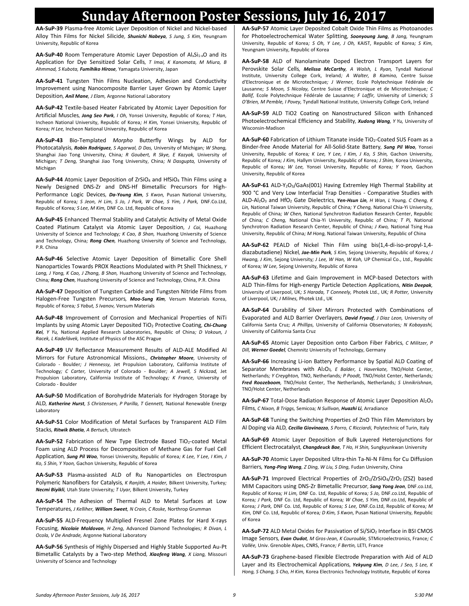### **Sunday Afternoon Poster Sessions, July 16, 2017**

**AA-SuP-39** Plasma-free Atomic Layer Deposition of Nickel and Nickel-based Alloy Thin Films for Nickel Silicide*, Shunichi Nabeya, S Jung, S Kim,* Yeungnam University, Republic of Korea

AA-SuP-40 Room Temperature Atomic Layer Depostion of Al<sub>x</sub>Si<sub>1-x</sub>O and its Application for Dye Sensitized Solar Cells*, T Imai, K Kanomata, M Miura, B Ahmmad, S Kubota, Fumihiko Hirose,* Yamagata University, Japan

**AA-SuP-41** Tungsten Thin Films Nucleation, Adhesion and Conductivity Improvement using Nanocomposite Barrier Layer Grown by Atomic Layer Deposition*, Anil Mane, J Elam,* Argonne National Laboratory

**AA-SuP-42** Textile-based Heater Fabricated by Atomic Layer Deposition for Artificial Muscles*, Jong Seo Park, I Oh,* Yonsei University, Republic of Korea*; T Han,*  Incheon National University, Republic of Korea*; H Kim,* Yonsei University, Republic of Korea*; H Lee,* Incheon National University, Republic of Korea

**AA-SuP-43** Bio-Templated *Morpho* Butterfly Wings by ALD for Photocatalysis*, Robin Rodriguez, S Agarwal, D Das,* University of Michigan*; W Shang,*  Shanghai Jiao Tong University, China*; R Goubert, R Skye, E Kazyak,* University of Michigan*; T Deng,* Shanghai Jiao Tong University, China*; N Dasgupta,* University of Michigan

**AA-SuP-44** Atomic Layer Deposition of ZrSiO<sup>4</sup> and HfSiO<sup>4</sup> Thin Films using a Newly Designed DNS-Zr and DNS-Hf Bimetallic Precursors for High-Performance Logic Devices*, Da-Young Kim, S Kwon,* Pusan National University, Republic of Korea*; S Jeon, H Lim, S Jo, J Park, W Chae, S Yim, J Park,* DNF.Co.Ltd, Republic of Korea*; S Lee, M Kim,* DNF Co. Ltd, Republic of Korea

**AA-SuP-45** Enhanced Thermal Stability and Catalytic Activity of Metal Oxide Coated Platinum Catalyst via Atomic Layer Deposition*, J Cai,* Huazhong University of Science and Technology*; K Cao, B Shan,* Huazhong University of Science and Technology, China*; Rong Chen,* Huazhong University of Science and Technology, P.R. China

**AA-SuP-46** Selective Atomic Layer Deposition of Bimetallic Core Shell Nanoparticles Towards PROX Reactions Modulated with Pt Shell Thickness*, Y Lang, J Yang, K Cao, J Zhang, B Shan,* Huazhong University of Science and Technology, China*; Rong Chen,* Huazhong University of Science and Technology, China, P.R. China

**AA-SuP-47** Deposition of Tungsten Carbide and Tungsten Nitride Films from Halogen-Free Tungsten Precursors*, Moo-Sung Kim,* Versum Materials Korea, Republic of Korea*; S Yabut, S Ivanov,* Versum Materials

**AA-SuP-48** Improvement of Corrosion and Mechanical Properties of NiTi Implants by using Atomic Layer Deposited TiO<sup>2</sup> Protective Coating*, Chi-Chung Kei, Y Yu,* National Applied Research Laboratories, Republic of China*; D Vokoun, J Racek, L Kadeřávek,* Institute of Physics of the ASC Prague

**AA-SuP-49** UV Reflectance Measurement Results of ALD-ALE Modified Al Mirrors for Future Astronomical Missions.*, Christopher Moore,* University of Colorado - Boulder*; J Hennessy,* Jet Propulsion Laboratory, California Institute of Technology*; C Carter,* University of Colorado - Boulder*; A Jewell, S Nickzad,* Jet Propulsion Laboratory, California Institute of Technology*; K France,* University of Colorado - Boulder

**AA-SuP-50** Modification of Borohydride Materials for Hydrogen Storage by ALD*, Katherine Hurst, S Christensen, P Parilla, T Gennett,* National Renewable Energy Laboratory

**AA-SuP-51** Color Modification of Metal Surfaces by Transparent ALD Film Stacks*, Ritwik Bhatia, A Bertuch,* Ultratech

AA-SuP-52 Fabrication of New Type Electrode Based TiO<sub>2</sub>-coated Metal Foam using ALD Process for Decomposition of Methane Gas for Fuel Cell Application*, Sung Pil Woo,* Yonsei University, Republic of Korea*; K Lee, Y Lee, I Kim, J Ko, S Shin, Y Yoon,* Gachon University, Republic of Korea

**AA-SuP-53** Plasma-assisted ALD of Ru Nanoparticles on Electrospun Polymeric Nanofibers for Catalysis*, K Ranjith, A Haider,* Bilkent University, Turkey*; Necmi Biyikli,* Utah State University*; T Uyar,* Bilkent University, Turkey

**AA-SuP-54** The Adhesion of Thermal ALD to Metal Surfaces at Low Temperatures*, J Kelliher, William Sweet, N Crain, C Roske,* Northrop Grumman

**AA-SuP-55** ALD-Frequency Multiplied Fresnel Zone Plates for Hard X-rays Focusing*, Nicolaie Moldovan, H Zeng,* Advanced Diamond Technologies*; R Divan, L Ocola, V De Andrade,* Argonne National Laboratory

**AA-SuP-56** Synthesis of Highly Dispersed and Highly Stable Supported Au-Pt Bimetallic Catalysts by a Two-step Method*, Xiaofeng Wang, X Liang,* Missouri University of Science and Technology

**AA-SuP-57** Atomic Layer Deposited Cobalt Oxide Thin Films as Photoanodes for Photoelectrochemical Water Splitting*, Soonyoung Jung, B Jang,* Yeungnam University, Republic of Korea*; S Oh, Y Lee, J Oh,* KAIST, Republic of Korea*; S Kim,*  Yeungnam University, Republic of Korea

**AA-SuP-58** ALD of Nanolaminate Doped Electron Transport Layers for Perovskite Solar Cells*, Melissa McCarthy, A Walsh, L Ryan,* Tyndall National Institute, University College Cork, Ireland*; A Walter, B Kamino,* Centre Suisse d'Electronique et de Microtechnique*; J Werner,* Ecole Polytechnique Fédérale de Lausanne*; S Moon, S Nicolay,* Centre Suisse d'Electronique et de Microtechnique*; C Ballif,* Ecole Polytechnique Fédérale de Lausanne*; F Laffir,* University of Limerick*; S O'Brien, M Pemble, I Povey,* Tyndall National Institute, University College Cork, Ireland

**AA-SuP-59** ALD TiO2 Coating on Nanostructured Silicon with Enhanced Photoelectrochemical Efficiency and Stability*, Xudong Wang, Y Yu,* University of Wisconsin-Madison

**AA-SuP-60** Fabrication of Lithium Titanate inside TiO<sub>2</sub>-Coated SUS Foam as a Binder-free Anode Material for All-Solid-State Battery*, Sung Pil Woo,* Yonsei University, Republic of Korea*; K Lee, Y Lee, I Kim, J Ko, S Shin,* Gachon University, Republic of Korea*; J Kim,* Hallym University, Republic of Korea*; J Shim,* Korea University, Republic of Korea*; W Lee,* Yonsei University, Republic of Korea*; Y Yoon,* Gachon University, Republic of Korea

**AA-SuP-61** ALD-Y2O3/GaAs(001) Having Extremley High Thermal Stability at 900 °C and Very Low Interfacial Trap Densities - Comparative Studies with ALD-Al2O<sup>3</sup> and HfO<sup>2</sup> Gate Dielectrics*, Yen-Hsun Lin, H Wan, L Young, C Cheng, K Lin,* National Taiwan University, Republic of China*; Y Cheng,* National Chia-Yi University, Republic of China*; W Chen,* National Synchrotron Radiation Research Center, Republic of China*; C Cheng,* National Chia-Yi University, Republic of China*; T Pi,* National Synchrotron Radiation Research Center, Republic of China*; J Kwo,* National Tsing Hua University, Republic of China*; M Hong,* National Taiwan University, Republic of China

**AA-SuP-62** PEALD of Nickel Thin Film using bis(1,4-di-iso-propyl-1,4 diazabutadiene) Nickel*, Jae-Min Park, S Kim,* Sejong University, Republic of Korea*; J Hwang, J Kim,* Sejong University*; J Lee, W Han, W Koh,* UP Chemical Co., Ltd., Republic of Korea*; W Lee,* Sejong University, Republic of Korea

**AA-SuP-63** Lifetime and Gain Improvement in MCP-based Detectors with ALD Thin-films for High-energy Particle Detection Applications*, Nitin Deepak,*  University of Liverpool, UK*; S Harada, T Conneely,* Photek Ltd., UK*; R Potter,* University of Liverpool, UK*; J Milnes,* Photek Ltd., UK

**AA-SuP-64** Durability of Silver Mirrors Protected with Combinations of Evaporated and ALD Barrier Overlayers*, David Fryauf, J Diaz Leon,* University of California Santa Cruz*; A Phillips,* University of California Observatories*; N Kobayashi,*  University of California Santa Cruz

**AA-SuP-65** Atomic Layer Deposition onto Carbon Fiber Fabrics*, C Militzer, P Dill, Werner Goedel,* Chemnitz University of Technology, Germany

**AA-SuP-66** Increasing Li-ion Battery Performance by Spatial ALD Coating of Separator Membranes with Al2O3*, E Balder, L Haverkate,* TNO/Holst Center, Netherlands*; Y Creyghton,* TNO, Netherlands*; P Poodt,* TNO/Holst Center, Netherlands*; Fred Roozeboom,* TNO/Holst Center, The Netherlands, Netherlands*; S Unnikrishnan,*  TNO/Holst Center, Netherlands

**AA-SuP-67** Total-Dose Radiation Response of Atomic Layer Deposition Al2O<sup>3</sup> Films*, C Nixon, B Triggs,* Semicoa*; N Sullivan, Huazhi Li,* Arradiance

**AA-SuP-68** Tuning the Switching Properties of ZnO Thin Film Memristors by Al Doping via ALD*, Cecilia Giovinazzo, S Porro, C Ricciardi,* Polytechnic of Turin, Italy

**AA-SuP-69** Atomic Layer Deposition of Bulk Layered Heterojunctions for Efficient Electrocatalyst*, Changdeuck Bae, T Ho, H Shin,* Sungkyunkwan University

**AA-SuP-70** Atomic Layer Deposited Ultra-thin Ta-Ni-N Films for Cu Diffusion Barriers*, Yong-Ping Wang, Z Ding, W Liu, S Ding,* Fudan University, China

AA-SuP-71 Improved Electrical Properties of ZrO<sub>2</sub>/ZrSiO<sub>4</sub>/ZrO<sub>2</sub> (ZSZ) based MIM Capacitors using DNS-Zr Bimetallic Precursor*, Sang Yong Jeon,* DNF.co.Ltd, Republic of Korea*; H Lim,* DNF Co. Ltd, Republic of Korea*; S Jo,* DNF.co.Ltd, Republic of Korea*; J Park,* DNF Co. Ltd, Republic of Korea*; W Chae, S Yim,* DNF.co.Ltd, Republic of Korea*; J Park,* DNF Co. Ltd, Republic of Korea*; S Lee,* DNF.Co.Ltd, Republic of Korea*; M Kim,* DNF Co. Ltd, Republic of Korea*; D Kim, S Kwon,* Pusan National University, Republic of Korea

**AA-SuP-72** ALD Metal Oxides for Passivation of Si/SiO<sup>2</sup> Interface in BSI CMOS Image Sensors*, Evan Oudot, M Gros-Jean, K Courouble,* STMicroelectronics, France*; C Vallée,* Univ. Grenoble Alpes, CNRS, France*; F Bertin,* LETI, France

**AA-SuP-73** Graphene-based Flexible Electrode Preparation with Aid of ALD Layer and its Electrochemical Applications*, Yekyung Kim, D Lee, J Seo, S Lee, K Hong, S Chang, S Cho, H Kim,* Korea Electronics Technology Institute, Republic of Korea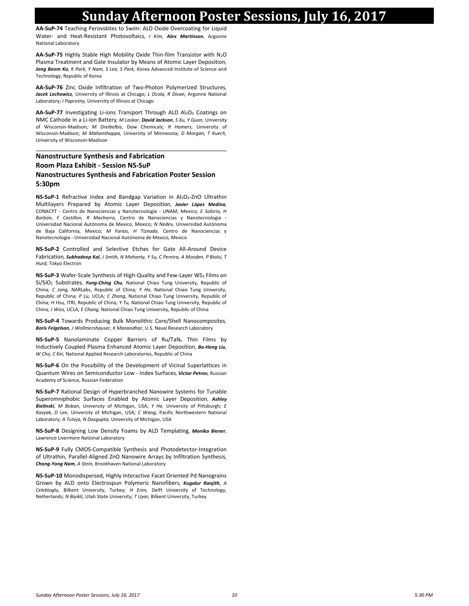### **Sunday Afternoon Poster Sessions, July 16, 2017**

**AA-SuP-74** Teaching Perovskites to Swim: ALD Oxide Overcoating for Liquid Water- and Heat-Resistant Photovoltaics*, I Kim, Alex Martinson,* Argonne National Laboratory

**AA-SuP-75** Highly Stable High Mobility Oxide Thin-film Transistor with N2O Plasma Treatment and Gate Insulator by Means of Atomic Layer Deposition*, Jong Beom Ko, K Park, Y Nam, S Lee, S Park,* Korea Advanced Institute of Science and Technology, Republic of Korea

**AA-SuP-76** Zinc Oxide Infiltration of Two-Photon Polymerized Structures*, Jacek Lechowicz,* University of Illinois at Chicago*; L Ocola, R Divan,* Argonne National Laboratory*; I Paprotny,* University of Illinois at Chicago

AA-SuP-77 Investigating Li-ions Transport Through ALD Al<sub>2</sub>O<sub>3</sub> Coatings on NMC Cathode in a Li-ion Battery*, M Laskar, David Jackson, S Xu, Y Guan,* University of Wisconsin-Madison*; M Dreibelbis,* Dow Chemicals*; R Hamers,* University of Wisconsin-Madison*; M Mahanthappa,* University of Minnesota*; D Morgan, T Kuech,*  University of Wisconsin-Madison

#### **Nanostructure Synthesis and Fabrication Room Plaza Exhibit - Session NS-SuP Nanostructures Synthesis and Fabrication Poster Session 5:30pm**

**NS-SuP-1** Refractive Index and Bandgap Variation in Al<sub>2</sub>O<sub>3</sub>-ZnO Ultrathin Multilayers Prepared by Atomic Layer Deposition*, Javier López Medina,*  CONACYT - Centro de Nanociencias y Nanotecnologia - UNAM, Mexico*; E Solorio, H Borbón, F Castillon, R Machorro,* Centro de Nanociencias y Nanotecnologia - Universidad Nacional Autónoma de Mexico, Mexico*; N Nedev,* Universidad Autónoma de Baja California, Mexico*; M Farias, H Tiznado,* Centro de Nanociencias y Nanotecnologia - Universidad Nacional Autónoma de Mexico, Mexico

**NS-SuP-2** Controlled and Selective Etches for Gate All-Around Device Fabrication*, Subhadeep Kal, J Smith, N Mohanty, Y Su, C Pereira, A Mosden, P Biolsi, T Hurd,* Tokyo Electron

**NS-SuP-3** Wafer-Scale Synthesis of High-Quality and Few-Layer WS<sub>2</sub> Films on Si/SiO<sup>2</sup> Substrates*, Yung-Ching Chu,* National Chiao Tung University, Republic of China*; C Jong,* NARLabs, Republic of China*; Y Ho,* National Chiao Tung University, Republic of China*; P Lu,* UCLA*; C Zhong,* National Chiao Tung University, Republic of China*; H Hsu,* ITRI, Republic of China*; Y Tu,* National Chiao Tung University, Republic of China*; J Woo,* UCLA*; E Chang,* National Chiao Tung University, Republic of China

**NS-SuP-4** Towards Producing Bulk Monolithic Core/Shell Nanocomposites*, Boris Feigelson, J Wollmershauser, K Manandhar,* U.S. Naval Research Laboratory

**NS-SuP-5** Nanolaminate Copper Barriers of Ru/TaN<sub>x</sub> Thin Films by Inductively Coupled Plasma Enhanced Atomic Layer Deposition*, Bo-Heng Liu, W Cho, C Kei,* National Applied Research Laboratories, Republic of China

**NS-SuP-6** On the Possibility of the Development of Vicinal Superlattices in Quantum Wires on Semiconductor Low - Index Surfaces*, Victor Petrov,* Russian Academy of Science, Russian Federation

**NS-SuP-7** Rational Design of Hyperbranched Nanowire Systems for Tunable Superomniphobic Surfaces Enabled by Atomic Layer Deposition*, Ashley Bielinski, M Boban,* University of Michigan, USA*; Y He,* University of Pittsburgh*; E Kazyak, D Lee,* University of Michigan, USA*; C Wang,* Pacific Northwestern National Laboratory*; A Tuteja, N Dasgupta,* University of Michigan, USA

**NS-SuP-8** Designing Low Density Foams by ALD Templating*, Monika Biener,*  Lawrence Livermore National Laboratory

**NS-SuP-9** Fully CMOS-Compatible Synthesis and Photodetector-Integration of Ultrathin, Parallel-Aligned ZnO Nanowire Arrays by Infiltration Synthesis*, Chang-Yong Nam, A Stein,* Brookhaven National Laboratory

**NS-SuP-10** Monodispersed, Highly Interactive Facet Oriented Pd Nanograins Grown by ALD onto Electrospun Polymeric Nanofibers*, Kugalur Ranjith, A Celebioglu,* Bilkent University, Turkey*; H Eren,* Delft University of Technology, Netherlands*; N Biyikli,* Utah State University*; T Uyar,* Bilkent University, Turkey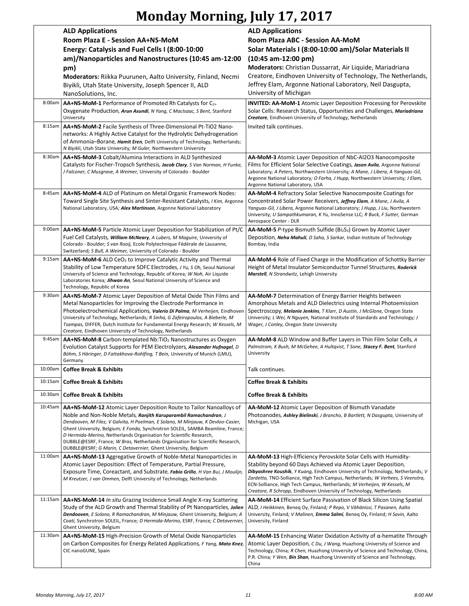## **Monday Morning, July 17, 2017**

|         | <b>ALD Applications</b>                                                                                                                                            | <b>ALD Applications</b>                                                                                                                                           |
|---------|--------------------------------------------------------------------------------------------------------------------------------------------------------------------|-------------------------------------------------------------------------------------------------------------------------------------------------------------------|
|         | Room Plaza E - Session AA+NS-MoM                                                                                                                                   | Room Plaza ABC - Session AA-MoM                                                                                                                                   |
|         | Energy: Catalysis and Fuel Cells I (8:00-10:00                                                                                                                     | Solar Materials I (8:00-10:00 am)/Solar Materials II                                                                                                              |
|         | am)/Nanoparticles and Nanostructures (10:45 am-12:00                                                                                                               | $(10:45 am-12:00 pm)$                                                                                                                                             |
|         | pm)                                                                                                                                                                | Moderators: Christian Dussarrat, Air Liquide, Mariadriana                                                                                                         |
|         | Moderators: Riikka Puurunen, Aalto University, Finland, Necmi                                                                                                      | Creatore, Eindhoven University of Technology, The Netherlands,                                                                                                    |
|         | Biyikli, Utah State University, Joseph Spencer II, ALD                                                                                                             | Jeffrey Elam, Argonne National Laboratory, Neil Dasgupta,                                                                                                         |
|         | NanoSolutions, Inc.                                                                                                                                                | University of Michigan                                                                                                                                            |
|         |                                                                                                                                                                    |                                                                                                                                                                   |
| 8:00am  | AA+NS-MoM-1 Performance of Promoted Rh Catalysts for C2+                                                                                                           | <b>INVITED: AA-MoM-1</b> Atomic Layer Deposition Processing for Perovskite                                                                                        |
|         | Oxygenate Production, Arun Asundi, N Yang, C MacIsaac, S Bent, Stanford<br>University                                                                              | Solar Cells: Research Status, Opportunities and Challenges, Mariadriana<br>Creatore, Eindhoven University of Technology, Netherlands                              |
| 8:15am  |                                                                                                                                                                    | Invited talk continues.                                                                                                                                           |
|         | AA+NS-MoM-2 Facile Synthesis of Three-Dimensional Pt-TiO2 Nano-<br>networks: A Highly Active Catalyst for the Hydrolytic Dehydrogenation                           |                                                                                                                                                                   |
|         | of Ammonia–Borane, <i>Hamit Eren</i> , Delft University of Technology, Netherlands;                                                                                |                                                                                                                                                                   |
|         | N Biyikli, Utah State University; M Guler, Northwestern University                                                                                                 |                                                                                                                                                                   |
| 8:30am  | AA+NS-MoM-3 Cobalt/Alumina Interactions in ALD Synthesized                                                                                                         | AA-MoM-3 Atomic Layer Deposition of NbC-Al2O3 Nanocomposite                                                                                                       |
|         | Catalysts for Fischer-Tropsch Synthesis, Jacob Clary, S Van Norman, H Funke,                                                                                       | Films for Efficient Solar Selective Coatings, Jason Avila, Argonne National                                                                                       |
|         | J Falconer, C Musgrave, A Weimer, University of Colorado - Boulder                                                                                                 | Laboratory; A Peters, Northwestern University; A Mane, J Libera, A Yanguas-Gil,                                                                                   |
|         |                                                                                                                                                                    | Argonne National Laboratory; O Farha, J Hupp, Northwestern University; J Elam,                                                                                    |
|         |                                                                                                                                                                    | Argonne National Laboratory, USA                                                                                                                                  |
| 8:45am  | AA+NS-MoM-4 ALD of Platinum on Metal Organic Framework Nodes:                                                                                                      | AA-MoM-4 Refractory Solar Selective Nanocomposite Coatings for                                                                                                    |
|         | Toward Single Site Synthesis and Sinter-Resistant Catalysts, I Kim, Argonne<br>National Laboratory, USA; Alex Martinson, Argonne National Laboratory               | Concentrated Solar Power Receivers, Jeffrey Elam, A Mane, J Avila, A<br>Yanguas-Gil, J Libera, Argonne National Laboratory; J Hupp, J Liu, Northwestern           |
|         |                                                                                                                                                                    | University; U Sampathkumaran, K Yu, InnoSense LLC; R Buck, F Sutter, German                                                                                       |
|         |                                                                                                                                                                    | Aerospace Center - DLR                                                                                                                                            |
| 9:00am  | AA+NS-MoM-5 Particle Atomic Layer Deposition for Stabilization of Pt/C                                                                                             | <b>AA-MoM-5</b> P-type Bismuth Sulfide ( $Bi2S3$ ) Grown by Atomic Layer                                                                                          |
|         | Fuel Cell Catalysts, William McNeary, A Lubers, M Maguire, University of                                                                                           | Deposition, Neha Mahuli, D Saha, S Sarkar, Indian Institute of Technology                                                                                         |
|         | Colorado - Boulder; S van Rooij, Ecole Polytechnique Fédérale de Lausanne,                                                                                         | Bombay, India                                                                                                                                                     |
|         | Switzerland; S Bull, A Weimer, University of Colorado - Boulder                                                                                                    |                                                                                                                                                                   |
| 9:15am  | AA+NS-MoM-6 ALD CeO <sub>2</sub> to Improve Catalytic Activity and Thermal                                                                                         | AA-MoM-6 Role of Fixed Charge in the Modification of Schottky Barrier                                                                                             |
|         | Stability of Low Temperature SOFC Electrodes, J Yu, S Oh, Seoul National<br>University of Science and Technology, Republic of Korea; W Noh, Air Liquide            | Height of Metal Insulator Semiconductor Tunnel Structures, Roderick<br>Marstell, N Strandwitz, Lehigh University                                                  |
|         | Laboratories Korea; Jihwan An, Seoul National University of Science and                                                                                            |                                                                                                                                                                   |
|         | Technology, Republic of Korea                                                                                                                                      |                                                                                                                                                                   |
| 9:30am  | AA+NS-MoM-7 Atomic Layer Deposition of Metal Oxide Thin Films and                                                                                                  | AA-MoM-7 Determination of Energy Barrier Heights between                                                                                                          |
|         | Metal Nanoparticles for Improving the Electrode Performance in                                                                                                     | Amorphous Metals and ALD Dielectrics using Internal Photoemission                                                                                                 |
|         | Photoelectrochemical Applications, Valerio Di Palma, M Verheijen, Eindhoven                                                                                        | Spectroscopy, Melanie Jenkins, T Klarr, D Austin, J McGlone, Oregon State                                                                                         |
|         | University of Technology, Netherlands; R Sinha, G Zafeiropoulos, A Bieberle, M<br>Tsampas, DIFFER, Dutch Institute for Fundamental Energy Research; W Kessels, M   | University; L Wei, N Nguyen, National Institute of Standards and Technology; J<br>Wager, J Conley, Oregon State University                                        |
|         | Creatore, Eindhoven University of Technology, Netherlands                                                                                                          |                                                                                                                                                                   |
| 9:45am  | AA+NS-MoM-8 Carbon-templated Nb:TiO <sub>2</sub> Nanostructures as Oxygen                                                                                          | AA-MoM-8 ALD Window and Buffer Layers in Thin Film Solar Cells, A                                                                                                 |
|         | Evolution Catalyst Supports for PEM Electrolyzers, Alexander Hufnagel, D                                                                                           | Palmstrom, K Bush, M McGehee, A Hultqvist, T Sone, Stacey F. Bent, Stanford                                                                                       |
|         | Böhm, S Häringer, D Fattakhova-Rohlfing, T Bein, University of Munich (LMU),                                                                                       | University                                                                                                                                                        |
|         | Germany                                                                                                                                                            |                                                                                                                                                                   |
| 10:00am | <b>Coffee Break &amp; Exhibits</b>                                                                                                                                 | Talk continues.                                                                                                                                                   |
| 10:15am | <b>Coffee Break &amp; Exhibits</b>                                                                                                                                 | <b>Coffee Break &amp; Exhibits</b>                                                                                                                                |
| 10:30am |                                                                                                                                                                    |                                                                                                                                                                   |
|         | <b>Coffee Break &amp; Exhibits</b>                                                                                                                                 | <b>Coffee Break &amp; Exhibits</b>                                                                                                                                |
| 10:45am | AA+NS-MoM-12 Atomic Layer Deposition Route to Tailor Nanoalloys of                                                                                                 | AA-MoM-12 Atomic Layer Deposition of Bismuth Vanadate                                                                                                             |
|         | Noble and Non-Noble Metals, Ranjith Karuparambil Ramachandran, J                                                                                                   | Photoanodes, Ashley Bielinski, J Brancho, B Bartlett, N Dasgupta, University of                                                                                   |
|         | Dendooven, M Filez, V Galvita, H Poelman, E Solano, M Minjauw, K Devloo-Casier,<br>Ghent University, Belgium; E Fonda, Synchrotron SOLEIL, SAMBA Beamline, France; | Michigan, USA                                                                                                                                                     |
|         | D Hermida-Merino, Netherlands Organisation for Scientific Research,                                                                                                |                                                                                                                                                                   |
|         | DUBBLE@ESRF, France; W Bras, Netherlands Organisation for Scientific Research,                                                                                     |                                                                                                                                                                   |
|         | DUBBLE@ESRF; G Marin, C Detavernier, Ghent University, Belgium                                                                                                     |                                                                                                                                                                   |
| 11:00am | AA+NS-MoM-13 Aggregative Growth of Noble-Metal Nanoparticles in                                                                                                    | AA-MoM-13 High-Efficiency Perovskite Solar Cells with Humidity-                                                                                                   |
|         | Atomic Layer Deposition: Effect of Temperature, Partial Pressure,                                                                                                  | Stability beyond 60 Days Achieved via Atomic Layer Deposition,                                                                                                    |
|         | Exposure Time, Coreactant, and Substrate, Fabio Grillo, H Van Bui, J Moulijn,                                                                                      | Dibyashree Koushik, Y Kuang, Eindhoven University of Technology, Netherlands; V<br>Zardetto, TNO-Solliance, High Tech Campus, Netherlands; W Verhees, S Veenstra, |
|         | M Kreutzer, J van Ommen, Delft University of Technology, Netherlands                                                                                               | ECN-Solliance, High Tech Campus, Netherlands; M Verheijen, W Kessels, M                                                                                           |
|         |                                                                                                                                                                    | Creatore, R Schropp, Eindhoven University of Technology, Netherlands                                                                                              |
| 11:15am | AA+NS-MoM-14 In situ Grazing Incidence Small Angle X-ray Scattering                                                                                                | <b>AA-MoM-14</b> Efficient Surface Passivation of Black Silicon Using Spatial                                                                                     |
|         | Study of the ALD Growth and Thermal Stability of Pt Nanoparticles, Jolien                                                                                          | ALD, I Heikkinen, Beneq Oy, Finland; P Repo, V Vähänissi, T Pasanen, Aalto                                                                                        |
|         | Dendooven, E Solano, R Ramachandran, M Minjauw, Ghent University, Belgium; A                                                                                       | University, Finland; V Malinen, Emma Salmi, Beneg Oy, Finland; H Savin, Aalto                                                                                     |
|         | Coati, Synchrotron SOLEIL, France; D Hermida-Merino, ESRF, France; C Detavernier,<br>Ghent University, Belgium                                                     | University, Finland                                                                                                                                               |
| 11:30am | <b>AA+NS-MoM-15</b> High-Precision Growth of Metal Oxide Nanoparticles                                                                                             | <b>AA-MoM-15</b> Enhancing Water Oxidation Activity of α-hematite Through                                                                                         |
|         | on Carbon Composites for Energy Related Applications, F Yang, Mato Knez,                                                                                           | Atomic Layer Deposition, C Du, J Wang, Huazhong University of Science and                                                                                         |
|         | CIC nanoGUNE, Spain                                                                                                                                                | Technology, China; R Chen, Huazhong University of Science and Technology, China,                                                                                  |
|         |                                                                                                                                                                    | P.R. China; Y Wen, Bin Shan, Huazhong University of Science and Technology,                                                                                       |
|         |                                                                                                                                                                    | China                                                                                                                                                             |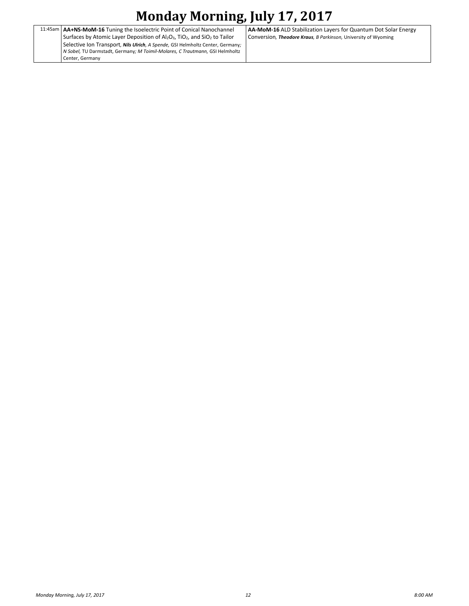## **Monday Morning, July 17, 2017**

|  | 11:45am   AA+NS-MoM-16 Tuning the Isoelectric Point of Conical Nanochannel                           |
|--|------------------------------------------------------------------------------------------------------|
|  | Surfaces by Atomic Layer Deposition of $Al_2O_3$ , TiO <sub>2</sub> , and SiO <sub>2</sub> to Tailor |
|  | Selective Ion Transport, Nils Ulrich, A Spende, GSI Helmholtz Center, Germany;                       |
|  | N Sobel, TU Darmstadt, Germany; M Toimil-Molares, C Trautmann, GSI Helmholtz                         |
|  | Center, Germany                                                                                      |

**AA-MoM-16** ALD Stabilization Layers for Quantum Dot Solar Energy Conversion*, Theodore Kraus, B Parkinson,* University of Wyoming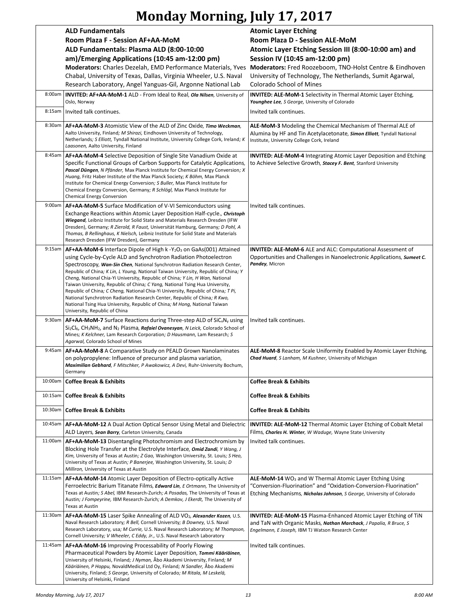## **Monday Morning, July 17, 2017**

|         | <b>ALD Fundamentals</b>                                                                                                                                                                                                                                                                                                                                                                                                                                                                                                                                                                                                                                                                                                                                                                   | <b>Atomic Layer Etching</b>                                                                                                                                                                                        |
|---------|-------------------------------------------------------------------------------------------------------------------------------------------------------------------------------------------------------------------------------------------------------------------------------------------------------------------------------------------------------------------------------------------------------------------------------------------------------------------------------------------------------------------------------------------------------------------------------------------------------------------------------------------------------------------------------------------------------------------------------------------------------------------------------------------|--------------------------------------------------------------------------------------------------------------------------------------------------------------------------------------------------------------------|
|         | Room Plaza F - Session AF+AA-MoM                                                                                                                                                                                                                                                                                                                                                                                                                                                                                                                                                                                                                                                                                                                                                          | Room Plaza D - Session ALE-MoM                                                                                                                                                                                     |
|         | ALD Fundamentals: Plasma ALD (8:00-10:00                                                                                                                                                                                                                                                                                                                                                                                                                                                                                                                                                                                                                                                                                                                                                  | Atomic Layer Etching Session III (8:00-10:00 am) and                                                                                                                                                               |
|         | am)/Emerging Applications (10:45 am-12:00 pm)                                                                                                                                                                                                                                                                                                                                                                                                                                                                                                                                                                                                                                                                                                                                             | Session IV (10:45 am-12:00 pm)                                                                                                                                                                                     |
|         | Moderators: Charles Dezelah, EMD Performance Materials, Yves Moderators: Fred Roozeboom, TNO-Holst Centre & Eindhoven                                                                                                                                                                                                                                                                                                                                                                                                                                                                                                                                                                                                                                                                     |                                                                                                                                                                                                                    |
|         | Chabal, University of Texas, Dallas, Virginia Wheeler, U.S. Naval<br>Research Laboratory, Angel Yanguas-Gil, Argonne National Lab                                                                                                                                                                                                                                                                                                                                                                                                                                                                                                                                                                                                                                                         | University of Technology, The Netherlands, Sumit Agarwal,<br>Colorado School of Mines                                                                                                                              |
| 8:00am  | INVITED: AF+AA-MoM-1 ALD - From Ideal to Real, Ola Nilsen, University of<br>Oslo, Norway                                                                                                                                                                                                                                                                                                                                                                                                                                                                                                                                                                                                                                                                                                  | INVITED: ALE-MoM-1 Selectivity in Thermal Atomic Layer Etching,<br>Younghee Lee, S George, University of Colorado                                                                                                  |
| 8:15am  | Invited talk continues.                                                                                                                                                                                                                                                                                                                                                                                                                                                                                                                                                                                                                                                                                                                                                                   | Invited talk continues.                                                                                                                                                                                            |
| 8:30am  | AF+AA-MoM-3 Atomistic View of the ALD of Zinc Oxide, Timo Weckman,<br>Aalto University, Finland; M Shirazi, Eindhoven University of Technology,<br>Netherlands; S Elliott, Tyndall National Institute, University College Cork, Ireland; K<br>Laasonen, Aalto University, Finland                                                                                                                                                                                                                                                                                                                                                                                                                                                                                                         | ALE-MoM-3 Modeling the Chemical Mechanism of Thermal ALE of<br>Alumina by HF and Tin Acetylacetonate, Simon Elliott, Tyndall National<br>Institute, University College Cork, Ireland                               |
| 8:45am  | AF+AA-MoM-4 Selective Deposition of Single Site Vanadium Oxide at<br>Specific Functional Groups of Carbon Supports for Catalytic Applications,<br>Pascal Düngen, N Pfänder, Max Planck Institute for Chemical Energy Conversion; X<br>Huang, Fritz Haber Institute of the Max Planck Society; K Böhm, Max Planck<br>Institute for Chemical Energy Conversion; S Buller, Max Planck Institute for<br>Chemical Energy Conversion, Germany; R Schlögl, Max Planck Institute for<br><b>Chemical Energy Conversion</b>                                                                                                                                                                                                                                                                         | <b>INVITED: ALE-MoM-4</b> Integrating Atomic Layer Deposition and Etching<br>to Achieve Selective Growth, Stacey F. Bent, Stanford University                                                                      |
| 9:00am  | AF+AA-MoM-5 Surface Modification of V-VI Semiconductors using<br>Exchange Reactions within Atomic Layer Deposition Half-cycle., Christoph<br>Wiegand, Leibniz Institute for Solid State and Materials Research Dresden (IFW<br>Dresden), Germany; R Zierold, R Faust, Universität Hamburg, Germany; D Pohl, A<br>Thomas, B Rellinghaus, K Nielsch, Leibniz Institute for Solid State and Materials<br>Research Dresden (IFW Dresden), Germany                                                                                                                                                                                                                                                                                                                                             | Invited talk continues.                                                                                                                                                                                            |
| 9:15am  | $AF+AA$ -MoM-6 Interface Dipole of High k -Y <sub>2</sub> O <sub>3</sub> on GaAs(001) Attained<br>using Cycle-by-Cycle ALD and Synchrotron Radiation Photoelectron<br>Spectroscopy, Wan-Sin Chen, National Synchrotron Radiation Research Center,<br>Republic of China; K Lin, L Young, National Taiwan University, Republic of China; Y<br>Cheng, National Chia-Yi University, Republic of China; Y Lin, H Wan, National<br>Taiwan University, Republic of China; C Yang, National Tsing Hua University,<br>Republic of China; C Cheng, National Chia-Yi University, Republic of China; T Pi,<br>National Synchrotron Radiation Research Center, Republic of China; R Kwo,<br>National Tsing Hua University, Republic of China; M Hong, National Taiwan<br>University, Republic of China | INVITED: ALE-MoM-6 ALE and ALC: Computational Assessment of<br>Opportunities and Challenges in Nanoelectronic Applications, Sumeet C.<br>Pandey, Micron                                                            |
| 9:30am  | <b>AF+AA-MoM-7</b> Surface Reactions during Three-step ALD of $\text{SiC}_x\text{N}_y$ using<br>Si <sub>2</sub> Cl <sub>6</sub> , CH <sub>3</sub> NH <sub>2</sub> , and N <sub>2</sub> Plasma, Rafaiel Ovanesyan, N Leick, Colorado School of<br>Mines; K Kelchner, Lam Research Corporation; D Hausmann, Lam Research; S<br>Agarwal, Colorado School of Mines                                                                                                                                                                                                                                                                                                                                                                                                                            | Invited talk continues.                                                                                                                                                                                            |
| 9:45am  | AF+AA-MoM-8 A Comparative Study on PEALD Grown Nanolaminates<br>on polypropylene: Influence of precursor and plasma variation,<br>Maximilian Gebhard, F Mitschker, P Awakowicz, A Devi, Ruhr-University Bochum,<br>Germany                                                                                                                                                                                                                                                                                                                                                                                                                                                                                                                                                                | ALE-MoM-8 Reactor Scale Uniformity Enabled by Atomic Layer Etching,<br><b>Chad Huard, S Lanham, M Kushner, University of Michigan</b>                                                                              |
| 10:00am | <b>Coffee Break &amp; Exhibits</b>                                                                                                                                                                                                                                                                                                                                                                                                                                                                                                                                                                                                                                                                                                                                                        | <b>Coffee Break &amp; Exhibits</b>                                                                                                                                                                                 |
| 10:15am | <b>Coffee Break &amp; Exhibits</b>                                                                                                                                                                                                                                                                                                                                                                                                                                                                                                                                                                                                                                                                                                                                                        | <b>Coffee Break &amp; Exhibits</b>                                                                                                                                                                                 |
| 10:30am | <b>Coffee Break &amp; Exhibits</b>                                                                                                                                                                                                                                                                                                                                                                                                                                                                                                                                                                                                                                                                                                                                                        | <b>Coffee Break &amp; Exhibits</b>                                                                                                                                                                                 |
| 10:45am | AF+AA-MoM-12 A Dual Action Optical Sensor Using Metal and Dielectric<br>ALD Layers, Sean Barry, Carleton University, Canada                                                                                                                                                                                                                                                                                                                                                                                                                                                                                                                                                                                                                                                               | <b>INVITED: ALE-MoM-12 Thermal Atomic Layer Etching of Cobalt Metal</b><br>Films, Charles H. Winter, W Waduge, Wayne State University                                                                              |
| 11:00am | AF+AA-MoM-13 Disentangling Photochromism and Electrochromism by<br>Blocking Hole Transfer at the Electrolyte Interface, <i>Omid Zandi</i> , Y Wang, J<br>Kim, University of Texas at Austin; Z Gao, Washington University, St. Louis; S Heo,<br>University of Texas at Austin; P Banerjee, Washington University, St. Louis; D<br>Milliron, University of Texas at Austin                                                                                                                                                                                                                                                                                                                                                                                                                 | Invited talk continues.                                                                                                                                                                                            |
| 11:15am | AF+AA-MoM-14 Atomic Layer Deposition of Electro-optically Active<br>Ferroelectric Barium Titanate Films, Edward Lin, E Ortmann, The University of<br>Texas at Austin; S Abel, IBM Research-Zurich; A Posadas, The University of Texas at<br>Austin; J Fompeyrine, IBM Research-Zurich; A Demkov, J Ekerdt, The University of<br><b>Texas at Austin</b>                                                                                                                                                                                                                                                                                                                                                                                                                                    | ALE-MoM-14 WO <sub>3</sub> and W Thermal Atomic Layer Etching Using<br>"Conversion-Fluorination" and "Oxidation-Conversion-Fluorination"<br>Etching Mechanisms, Nicholas Johnson, S George, University of Colorado |
| 11:30am | AF+AA-MoM-15 Laser Spike Annealing of ALD VO <sub>2</sub> , Alexander Kozen, U.S.<br>Naval Research Laboratory; R Bell, Cornell University; B Downey, U.S. Naval<br>Research Laboratory, usa; M Currie, U.S. Naval Research Laboratory; M Thompson,<br>Cornell University; V Wheeler, C Eddy, Jr., U.S. Naval Research Laboratory                                                                                                                                                                                                                                                                                                                                                                                                                                                         | <b>INVITED: ALE-MoM-15 Plasma-Enhanced Atomic Layer Etching of TiN</b><br>and TaN with Organic Masks, Nathan Marchack, J Papalia, R Bruce, S<br>Engelmann, E Joseph, IBM TJ Watson Research Center                 |
| 11:45am | AF+AA-MoM-16 Improving Processability of Poorly Flowing<br>Pharmaceutical Powders by Atomic Layer Deposition, Tommi Kääriäinen,<br>University of Helsinki, Finland; J Nyman, Abo Akademi University, Finland; M<br>Kääriäinen, P Hoppu, NovaldMedical Ltd Oy, Finland; N Sandler, Åbo Akademi<br>University, Finland; S George, University of Colorado; M Ritala, M Leskelä,<br>University of Helsinki, Finland                                                                                                                                                                                                                                                                                                                                                                           | Invited talk continues.                                                                                                                                                                                            |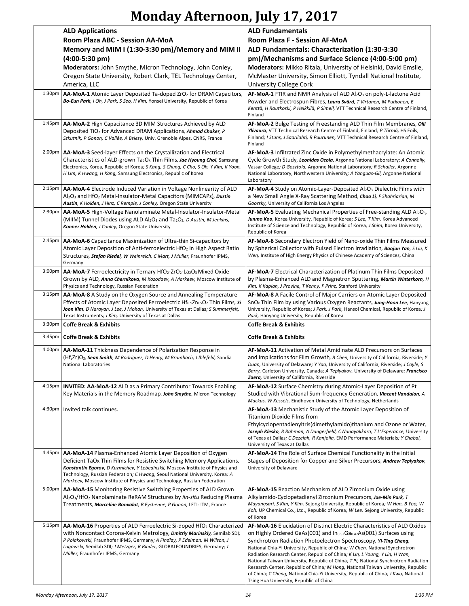# **Monday Afternoon, July 17, 2017**

|                    | <b>ALD Applications</b><br>Room Plaza ABC - Session AA-MoA                                                                                                                                                                                                                                                                                                                         | <b>ALD Fundamentals</b><br>Room Plaza F - Session AF-MoA                                                                                                                                                                                                                                                                                                                                                                                                                                                                                                                                                                                                                                                                |
|--------------------|------------------------------------------------------------------------------------------------------------------------------------------------------------------------------------------------------------------------------------------------------------------------------------------------------------------------------------------------------------------------------------|-------------------------------------------------------------------------------------------------------------------------------------------------------------------------------------------------------------------------------------------------------------------------------------------------------------------------------------------------------------------------------------------------------------------------------------------------------------------------------------------------------------------------------------------------------------------------------------------------------------------------------------------------------------------------------------------------------------------------|
|                    | Memory and MIM I (1:30-3:30 pm)/Memory and MIM II<br>$(4:00-5:30 \text{ pm})$<br>Moderators: John Smythe, Micron Technology, John Conley,<br>Oregon State University, Robert Clark, TEL Technology Center,<br>America, LLC                                                                                                                                                         | ALD Fundamentals: Characterization (1:30-3:30<br>pm)/Mechanisms and Surface Science (4:00-5:00 pm)<br>Moderators: Mikko Ritala, University of Helsinki, David Emslie,<br>McMaster University, Simon Elliott, Tyndall National Institute,<br><b>University College Cork</b>                                                                                                                                                                                                                                                                                                                                                                                                                                              |
| 1:30 <sub>pm</sub> | <b>AA-MoA-1</b> Atomic Layer Deposited Ta-doped $ZrO2$ for DRAM Capacitors,<br>Bo-Eun Park, I Oh, J Park, S Seo, H Kim, Yonsei University, Republic of Korea                                                                                                                                                                                                                       | $AF$ -MoA-1 FTIR and NMR Analysis of ALD Al <sub>2</sub> O <sub>3</sub> on poly-L-lactone Acid<br>Powder and Electrospun Fibres, Laura Svärd, T Virtanen, M Putkonen, E<br>Kenttä, H Rautkoski, P Heikkilä, P Simell, VTT Technical Research Centre of Finland,<br>Finland                                                                                                                                                                                                                                                                                                                                                                                                                                              |
| 1:45 <sub>pm</sub> | AA-MoA-2 High Capacitance 3D MIM Structures Achieved by ALD<br>Deposited TiO <sub>2</sub> for Advanced DRAM Applications, <b>Ahmad Chaker</b> , P<br>Szkutnik, P Gonon, C Vallée, A Bsiesy, Univ. Grenoble Alpes, CNRS, France                                                                                                                                                     | AF-MoA-2 Bulge Testing of Freestanding ALD Thin Film Membranes, Oili<br>Ylivaara, VTT Technical Research Centre of Finland, Finland; P Törmä, HS Foils,<br>Finland; I Stuns, J Saarilahti, R Puurunen, VTT Technical Research Centre of Finland,<br>Finland                                                                                                                                                                                                                                                                                                                                                                                                                                                             |
| 2:00 <sub>pm</sub> | AA-MoA-3 Seed-layer Effects on the Crystallization and Electrical<br>Characteristics of ALD-grown Ta <sub>2</sub> O <sub>5</sub> Thin Films, Jae Hyoung Choi, Samsung<br>Electronics, Korea, Republic of Korea; S Kang, S Chung, C Cho, S Oh, Y Kim, K Yoon,<br>H Lim, K Hwang, H Kang, Samsung Electronics, Republic of Korea                                                     | AF-MoA-3 Infiltrated Zinc Oxide in Polymethylmethacrylate: An Atomic<br>Cycle Growth Study, Leonidas Ocola, Argonne National Laboratory; A Connolly,<br>Vassar College; D Gosztola, Argonne National Laboratory; R Schaller, Argonne<br>National Laboratory, Northwestern University; A Yanguas-Gil, Argonne National<br>Laboratory                                                                                                                                                                                                                                                                                                                                                                                     |
| 2:15pm             | AA-MoA-4 Electrode Induced Variation in Voltage Nonlinearity of ALD<br>Al <sub>2</sub> O <sub>3</sub> and HfO <sub>2</sub> Metal-Insulator-Metal Capacitors (MIMCAPs), Dustin<br>Austin, K Holden, J Hinz, C Remple, J Conley, Oregon State University                                                                                                                             | $AF$ -MoA-4 Study on Atomic-Layer-Deposited Al <sub>2</sub> O <sub>3</sub> Dielectric Films with<br>a New Small Angle X-Ray Scattering Method, Chao Li, F Shahriarian, M<br>Goorsky, University of California Los Angeles                                                                                                                                                                                                                                                                                                                                                                                                                                                                                               |
| 2:30 <sub>pm</sub> | AA-MoA-5 High-Voltage Nanolaminate Metal-Insulator-Insulator-Metal<br>(MIIM) Tunnel Diodes using ALD Al <sub>2</sub> O <sub>3</sub> and Ta <sub>2</sub> O <sub>5</sub> , <i>D Austin, M Jenkins,</i><br>Konner Holden, J Conley, Oregon State University                                                                                                                           | <b>AF-MoA-5</b> Evaluating Mechanical Properties of Free-standing ALD $Al_2O_3$ ,<br>Junmo Koo, Korea University, Republic of Korea; S Lee, T Kim, Korea Advanced<br>Institute of Science and Technology, Republic of Korea; J Shim, Korea University,<br>Republic of Korea                                                                                                                                                                                                                                                                                                                                                                                                                                             |
| 2:45pm             | AA-MoA-6 Capacitance Maximization of Ultra-thin Si-capacitors by<br>Atomic Layer Deposition of Anti-ferroelectric HfO <sub>2</sub> in High Aspect Ratio<br>Structures, Stefan Riedel, W Weinreich, C Mart, J Müller, Fraunhofer IPMS,<br>Germany                                                                                                                                   | AF-MoA-6 Secondary Electron Yield of Nano-oxide Thin Films Measured<br>by Spherical Collector with Pulsed Electron Irradiation, Baojun Yan, S Liu, K<br>Wen, Institute of High Energy Physics of Chinese Academy of Sciences, China                                                                                                                                                                                                                                                                                                                                                                                                                                                                                     |
| 3:00 <sub>pm</sub> | $AA$ -MoA-7 Ferroelectricity in Ternary HfO <sub>2</sub> -ZrO <sub>2</sub> -La <sub>2</sub> O <sub>3</sub> Mixed Oxide<br>Grown by ALD, Anna Chernikova, M Kozodaev, A Markeev, Moscow Institute of<br>Physics and Technology, Russian Federation                                                                                                                                  | <b>AF-MoA-7</b> Electrical Characterization of Platinum Thin Films Deposited<br>by Plasma-Enhanced ALD and Magnetron Sputtering, Martin Winterkorn, H<br>Kim, K Kaplan, J Provine, T Kenny, F Prinz, Stanford University                                                                                                                                                                                                                                                                                                                                                                                                                                                                                                |
| 3:15 <sub>pm</sub> | <b>AA-MoA-8</b> A Study on the Oxygen Source and Annealing Temperature<br>Effects of Atomic Layer Deposited Ferroelectric $Hf_{0.5}Zr_{0.5}O_2$ Thin Films, si<br>Joon Kim, D Narayan, J Lee, J Mohan, University of Texas at Dallas; S Summerfelt,<br>Texas Instruments; J Kim, University of Texas at Dallas                                                                     | AF-MoA-8 A Facile Control of Major Carriers on Atomic Layer Deposited<br>SnO <sub>x</sub> Thin Film by using Various Oxygen Reactants, Jung-Hoon Lee, Hanyang<br>University, Republic of Korea; J Park, J Park, Hansol Chemical, Republic of Korea; J<br>Park, Hanyang University, Republic of Korea                                                                                                                                                                                                                                                                                                                                                                                                                    |
| 3:30 <sub>pm</sub> | <b>Coffe Break &amp; Exhibits</b>                                                                                                                                                                                                                                                                                                                                                  | <b>Coffe Break &amp; Exhibits</b>                                                                                                                                                                                                                                                                                                                                                                                                                                                                                                                                                                                                                                                                                       |
| 3:45pm             | <b>Coffe Break &amp; Exhibits</b>                                                                                                                                                                                                                                                                                                                                                  | <b>Coffe Break &amp; Exhibits</b>                                                                                                                                                                                                                                                                                                                                                                                                                                                                                                                                                                                                                                                                                       |
| 4:00pm             | AA-MoA-11 Thickness Dependence of Polarization Response in<br>(Hf,Zr)O <sub>2</sub> , Sean Smith, M Rodriguez, D Henry, M Brumbach, J Ihlefeld, Sandia<br>National Laboratories                                                                                                                                                                                                    | AF-MoA-11 Activation of Metal Amidinate ALD Precursors on Surfaces<br>and Implications for Film Growth, B Chen, University of California, Riverside; Y<br>Duan, University of Delaware; Y Yao, University of California, Riverside; J Coyle, S<br>Barry, Carleton University, Canada; A Teplyakov, University of Delaware; Francisco<br>Zaera, University of California, Riverside                                                                                                                                                                                                                                                                                                                                      |
| 4:15 <sub>pm</sub> | <b>INVITED: AA-MoA-12</b> ALD as a Primary Contributor Towards Enabling<br>Key Materials in the Memory Roadmap, John Smythe, Micron Technology                                                                                                                                                                                                                                     | AF-MoA-12 Surface Chemistry during Atomic-Layer Deposition of Pt<br>Studied with Vibrational Sum-frequency Generation, Vincent Vandalon, A<br>Mackus, W Kessels, Eindhoven University of Technology, Netherlands                                                                                                                                                                                                                                                                                                                                                                                                                                                                                                        |
| 4:30pm             | Invited talk continues.                                                                                                                                                                                                                                                                                                                                                            | AF-MoA-13 Mechanistic Study of the Atomic Layer Deposition of<br><b>Titanium Dioxide Films from</b><br>Ethylcyclopentadienyltris (dimethylamido) titanium and Ozone or Water,<br>Joseph Klesko, R Rahman, A Dangerfield, C Nanayakkara, T L'Esperance, University<br>of Texas at Dallas; C Dezelah, R Kanjolia, EMD Performance Materials; Y Chabal,<br>University of Texas at Dallas                                                                                                                                                                                                                                                                                                                                   |
| 4:45pm             | AA-MoA-14 Plasma-Enhanced Atomic Layer Deposition of Oxygen<br>Deficient TaOx Thin Films for Resistive Switching Memory Applications,<br>Konstantin Egorov, D Kuzmichev, Y Lebedinskii, Moscow Institute of Physics and<br>Technology, Russian Federation; C Hwang, Seoul National University, Korea; A<br>Markeev, Moscow Institute of Physics and Technology, Russian Federation | AF-MoA-14 The Role of Surface Chemical Functionality in the Initial<br>Stages of Deposition for Copper and Silver Precursors, Andrew Teplyakov,<br>University of Delaware                                                                                                                                                                                                                                                                                                                                                                                                                                                                                                                                               |
| 5:00 <sub>pm</sub> | AA-MoA-15 Monitoring Resistive Switching Properties of ALD Grown<br>Al <sub>2</sub> O <sub>3</sub> /HfO <sub>2</sub> Nanolaminate ReRAM Structures by <i>iin-situ</i> Reducing Plasma<br>Treatments, Marceline Bonvalot, B Eychenne, P Gonon, LETI-LTM, France                                                                                                                     | AF-MoA-15 Reaction Mechanism of ALD Zirconium Oxide using<br>Alkylamido-Cyclopetadienyl Zirconium Precursors, Jae-Min Park, T<br>Mayangsari, S Kim, Y Kim, Sejong University, Republic of Korea; W Han, B Yoo, W<br>Koh, UP Chemical Co., Ltd., Republic of Korea; W Lee, Sejong University, Republic<br>of Korea                                                                                                                                                                                                                                                                                                                                                                                                       |
| 5:15 <sub>pm</sub> | AA-MoA-16 Properties of ALD Ferroelectric Si-doped HfO <sub>2</sub> Characterized<br>with Noncontact Corona-Kelvin Metrology, Dmitriy Marinskiy, Semilab SDI;<br>P Polakowski, Fraunhofer IPMS, Germany; A Findlay, P Edelman, M Wilson, J<br>Lagowski, Semilab SDI; J Metzger, R Binder, GLOBALFOUNDRIES, Germany; J<br>Müller, Fraunhofer IPMS, Germany                          | AF-MoA-16 Elucidation of Distinct Electric Characteristics of ALD Oxides<br>on Highly Ordered GaAs(001) and In <sub>0.53</sub> Ga <sub>0.47</sub> As(001) Surfaces using<br>Synchrotron Radiation Photoelectron Spectroscopy, Yi-Ting Cheng,<br>National Chia-Yi University, Republic of China; W Chen, National Synchrotron<br>Radiation Research Center, Republic of China; K Lin, L Young, Y Lin, H Wan,<br>National Taiwan University, Republic of China; T Pi, National Synchrotron Radiation<br>Research Center, Republic of China; M Hong, National Taiwan University, Republic<br>of China; C Cheng, National Chia-Yi University, Republic of China; J Kwo, National<br>Tsing Hua University, Republic of China |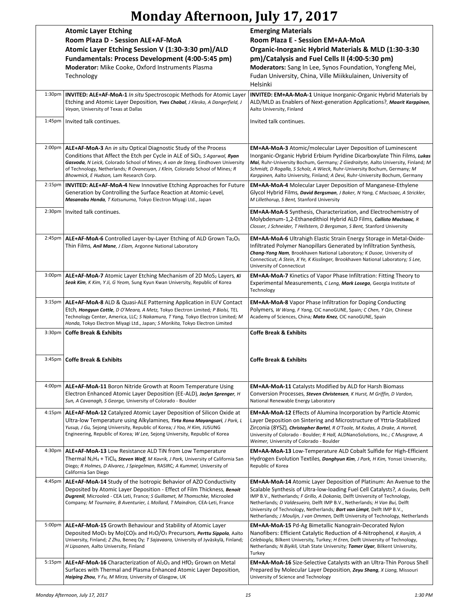# **Monday Afternoon, July 17, 2017**

|                     | <b>Atomic Layer Etching</b>                                                                                                                                                                                                                                                                                                                                                             | <b>Emerging Materials</b>                                                                                                                                                                                                                                                                                                                                                                                                                                                            |
|---------------------|-----------------------------------------------------------------------------------------------------------------------------------------------------------------------------------------------------------------------------------------------------------------------------------------------------------------------------------------------------------------------------------------|--------------------------------------------------------------------------------------------------------------------------------------------------------------------------------------------------------------------------------------------------------------------------------------------------------------------------------------------------------------------------------------------------------------------------------------------------------------------------------------|
|                     | Room Plaza D - Session ALE+AF-MoA                                                                                                                                                                                                                                                                                                                                                       | Room Plaza E - Session EM+AA-MoA                                                                                                                                                                                                                                                                                                                                                                                                                                                     |
|                     | Atomic Layer Etching Session V (1:30-3:30 pm)/ALD<br>Fundamentals: Process Development (4:00-5:45 pm)                                                                                                                                                                                                                                                                                   | Organic-Inorganic Hybrid Materials & MLD (1:30-3:30<br>pm)/Catalysis and Fuel Cells II (4:00-5:30 pm)                                                                                                                                                                                                                                                                                                                                                                                |
|                     | <b>Moderator:</b> Mike Cooke, Oxford Instruments Plasma<br>Technology                                                                                                                                                                                                                                                                                                                   | Moderators: Sang In Lee, Synos Foundation, Yongfeng Mei,<br>Fudan University, China, Ville Miikkulainen, University of<br>Helsinki                                                                                                                                                                                                                                                                                                                                                   |
| $1:30p$ m           | <b>INVITED: ALE+AF-MoA-1</b> In situ Spectroscopic Methods for Atomic Layer<br>Etching and Atomic Layer Deposition, Yves Chabal, J Klesko, A Dangerfield, J<br>Veyan, University of Texas at Dallas                                                                                                                                                                                     | <b>INVITED: EM+AA-MoA-1</b> Unique Inorganic-Organic Hybrid Materials by<br>ALD/MLD as Enablers of Next-generation Applications?, Maarit Karppinen,<br>Aalto University, Finland                                                                                                                                                                                                                                                                                                     |
|                     | 1:45pm   Invited talk continues.                                                                                                                                                                                                                                                                                                                                                        | Invited talk continues.                                                                                                                                                                                                                                                                                                                                                                                                                                                              |
| $2:00p$ m           | ALE+AF-MoA-3 An in situ Optical Diagnostic Study of the Process<br>Conditions that Affect the Etch per Cycle in ALE of SiO <sub>2</sub> , <i>S Agarwal</i> , <b>Ryan</b><br>Gasvoda, N Leick, Colorado School of Mines; A van de Steeg, Eindhoven University<br>of Technology, Netherlands; R Ovanesyan, J Klein, Colorado School of Mines; R<br>Bhowmick, E Hudson, Lam Research Corp. | <b>EM+AA-MoA-3</b> Atomic/molecular Layer Deposition of Luminescent<br>Inorganic-Organic Hybrid Erbium Pyridine Dicarboxylate Thin Films, Lukas<br>Mai, Ruhr-University Bochum, Germany; Z Giedraityte, Aalto University, Finland; M<br>Schmidt, D Rogalla, S Scholz, A Wieck, Ruhr-University Bochum, Germany; M<br>Karppinen, Aalto University, Finland; A Devi, Ruhr-University Bochum, Germany                                                                                   |
| 2:15 <sub>pm</sub>  | <b>INVITED: ALE+AF-MoA-4 New Innovative Etching Approaches for Future</b><br>Generation by Controlling the Surface Reaction at Atomic-Level,<br>Masanobu Honda, T Katsunuma, Tokyo Electron Miyagi Ltd., Japan                                                                                                                                                                          | <b>EM+AA-MoA-4</b> Molecular Layer Deposition of Manganese-Ethylene<br>Glycol Hybrid Films, David Bergsman, J Baker, N Yang, C MacIsaac, A Strickler,<br>M Lillethorup, S Bent, Stanford University                                                                                                                                                                                                                                                                                  |
|                     | 2:30pm   Invited talk continues.                                                                                                                                                                                                                                                                                                                                                        | <b>EM+AA-MoA-5</b> Synthesis, Characterization, and Electrochemistry of<br>Molybdenum-1,2-Ethanedithiol Hybrid ALD Films, Callisto MacIsaac, R<br>Closser, J Schneider, T Hellstern, D Bergsman, S Bent, Stanford University                                                                                                                                                                                                                                                         |
| 2:45 <sub>pm</sub>  | ALE+AF-MoA-6 Controlled Layer-by-Layer Etching of ALD Grown Ta <sub>2</sub> O <sub>5</sub><br>Thin Films, <i>Anil Mane, J Elam</i> , Argonne National Laboratory                                                                                                                                                                                                                        | <b>EM+AA-MoA-6</b> Ultrahigh Elastic Strain Energy Storage in Metal-Oxide-<br>Infiltrated Polymer Nanopillars Generated by Infiltration Synthesis,<br>Chang-Yong Nam, Brookhaven National Laboratory; K Dusoe, University of<br>Connecticut; A Stein, X Ye, K Kisslinger, Brookhaven National Laboratory; S Lee,<br>University of Connecticut                                                                                                                                        |
| $3:00p$ m           | <b>ALE+AF-MoA-7</b> Atomic Layer Etching Mechanism of 2D MoS <sub>2</sub> Layers, $\kappa$<br>Seok Kim, K Kim, Y Ji, G Yeom, Sung Kyun Kwan University, Republic of Korea                                                                                                                                                                                                               | <b>EM+AA-MoA-7</b> Kinetics of Vapor Phase Infiltration: Fitting Theory to<br>Experimental Measurements, C Leng, Mark Losego, Georgia Institute of<br>Technology                                                                                                                                                                                                                                                                                                                     |
|                     | 3:15pm   ALE+AF-MoA-8 ALD & Quasi-ALE Patterning Application in EUV Contact<br>Etch, Hongyun Cottle, D O'Meara, A Metz, Tokyo Electron Limited; P Biolsi, TEL<br>Technology Center, America, LLC; S Nakamura, T Yang, Tokyo Electron Limited; M<br>Honda, Tokyo Electron Miyagi Ltd., Japan; S Morikita, Tokyo Electron Limited                                                         | <b>EM+AA-MoA-8</b> Vapor Phase Infiltration for Doping Conducting<br>Polymers, W Wang, F Yang, CIC nanoGUNE, Spain; C Chen, Y Qin, Chinese<br>Academy of Sciences, China; Mato Knez, CIC nanoGUNE, Spain                                                                                                                                                                                                                                                                             |
|                     | 3:30pm   Coffe Break & Exhibits                                                                                                                                                                                                                                                                                                                                                         | <b>Coffe Break &amp; Exhibits</b>                                                                                                                                                                                                                                                                                                                                                                                                                                                    |
|                     | 3:45pm   Coffe Break & Exhibits                                                                                                                                                                                                                                                                                                                                                         | <b>Coffe Break &amp; Exhibits</b>                                                                                                                                                                                                                                                                                                                                                                                                                                                    |
| $4:00p$ m           | ALE+AF-MoA-11 Boron Nitride Growth at Room Temperature Using<br>Electron Enhanced Atomic Layer Deposition (EE-ALD), Jaclyn Sprenger, H<br>Sun, A Cavanagh, S George, University of Colorado - Boulder                                                                                                                                                                                   | <b>EM+AA-MoA-11</b> Catalysts Modified by ALD for Harsh Biomass<br>Conversion Processes, Steven Christensen, K Hurst, M Griffin, D Vardon,<br>National Renewable Energy Laboratory                                                                                                                                                                                                                                                                                                   |
| 4:15 <sub>pm</sub>  | <b>ALE+AF-MoA-12</b> Catalyzed Atomic Layer Deposition of Silicon Oxide at<br>Ultra-low Temperature using Alkylamines, Tirta Rona Mayangsari, J Park, L<br>Yusup, J Gu, Sejong University, Republic of Korea; J Yoo, H Kim, JUSUNG<br>Engineering, Republic of Korea; W Lee, Sejong University, Republic of Korea                                                                       | <b>EM+AA-MoA-12</b> Effects of Alumina Incorporation by Particle Atomic<br>Layer Deposition on Sintering and Microstructure of Yttria-Stabilized<br>Zirconia (8YSZ), Christopher Bartel, R O'Toole, M Kodas, A Drake, A Horrell,<br>University of Colorado - Boulder; R Hall, ALDNanoSolutions, Inc.; C Musgrave, A<br>Weimer, University of Colorado - Boulder                                                                                                                      |
| 4:30 <sub>p</sub> m | ALE+AF-MoA-13 Low Resistance ALD TiN from Low Temperature<br>Thermal $N_2H_4$ + TiCl <sub>4</sub> , <b>Steven Wolf</b> , M Kavrik, J Park, University of California San<br>Diego; R Holmes, D Alvarez, J Spiegelman, RASIRC; A Kummel, University of<br>California San Diego                                                                                                            | <b>EM+AA-MoA-13</b> Low-Temperature ALD Cobalt Sulfide for High-Efficient<br>Hydrogen Evolution Textiles, Donghyun Kim, J Park, H Kim, Yonsei University,<br>Republic of Korea                                                                                                                                                                                                                                                                                                       |
| 4:45pm              | ALE+AF-MoA-14 Study of the Isotropic Behavior of AZO Conductivity<br>Deposited by Atomic Layer Deposition - Effect of Film Thickness, Benoit<br>Dugrenil, Microoled - CEA Leti, France; S Guillamet, M Thomschke, Microoled<br>Company; M Tournaire, B Aventurier, L Mollard, T Maindron, CEA-Leti, France                                                                              | <b>EM+AA-MoA-14</b> Atomic Layer Deposition of Platinum: An Avenue to the<br>Scalable Synthesis of Ultra-low-loading Fuel Cell Catalysts?, A Goulas, Delft<br>IMP B.V., Netherlands; F Grillo, A Dokania, Delft University of Technology,<br>Netherlands; D Valdesueiro, Delft IMP B.V., Netherlands; H Van Bui, Delft<br>University of Technology, Netherlands; Bart van Limpt, Delft IMP B.V.,<br>Netherlands; J Moulijn, J van Ommen, Delft University of Technology, Netherlands |
| 5:00pm              | ALE+AF-MoA-15 Growth Behaviour and Stability of Atomic Layer<br>Deposited MoO <sub>3</sub> by Mo(CO) <sub>6</sub> and H <sub>2</sub> O/O <sub>3</sub> Precursors, <i>Perttu Sippola</i> , Aalto<br>University, Finland; Z Zhu, Beneq Oy; T Sajavaara, University of Jyväskylä, Finland;<br>H Lipsanen, Aalto University, Finland                                                        | EM+AA-MoA-15 Pd-Ag Bimetallic Nanograin-Decorated Nylon<br>Nanofibers: Efficient Catalytic Reduction of 4-Nitrophenol, K Ranjith, A<br>Celebioglu, Bilkent University, Turkey; H Eren, Delft University of Technology,<br>Netherlands; N Biyikli, Utah State University; Tamer Uyar, Bilkent University,<br>Turkey                                                                                                                                                                   |
| 5:15 <sub>pm</sub>  | $ALE+AF-MoA-16$ Characterization of $Al_2O_3$ and HfO <sub>2</sub> Grown on Metal<br>Surfaces with Thermal and Plasma Enhanced Atomic Layer Deposition,<br>Haiping Zhou, Y Fu, M Mirza, University of Glasgow, UK                                                                                                                                                                       | <b>EM+AA-MoA-16</b> Size-Selective Catalysts with an Ultra-Thin Porous Shell<br>Prepared by Molecular Layer Deposition, Zeyu Shang, X Liang, Missouri<br>University of Science and Technology                                                                                                                                                                                                                                                                                        |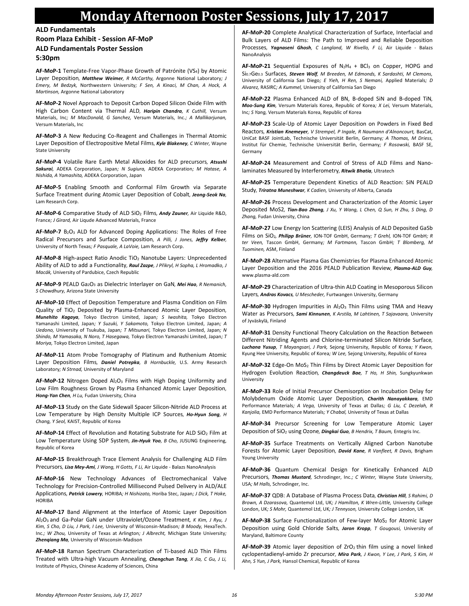### **Monday Afternoon Poster Sessions, July 17, 2017**

**ALD Fundamentals**

**Room Plaza Exhibit - Session AF-MoP**

**ALD Fundamentals Poster Session**

**5:30pm**

**AF-MoP-1** Template-Free Vapor-Phase Growth of Patrónite (VS4) by Atomic Layer Deposition*, Matthew Weimer, R McCarthy,* Argonne National Laboratory*; J Emery, M Bedzyk,* Northwestern University*; F Sen, A Kinaci, M Chan, A Hock, A Martinson,* Argonne National Laboratory

**AF-MoP-2** Novel Approach to Deposit Carbon Doped Silicon Oxide Film with High Carbon Content via Thermal ALD*, Haripin Chandra, K Cuthill,* Versum Materials, Inc*; M MacDonald, G Sanchez,* Versum Materials, Inc.*; A Mallikarjunan,*  Versum Materials, Inc

**AF-MoP-3** A New Reducing Co-Reagent and Challenges in Thermal Atomic Layer Deposition of Electropositive Metal Films*, Kyle Blakeney, C Winter,* Wayne State University

**AF-MoP-4** Volatile Rare Earth Metal Alkoxides for ALD precursors*, Atsushi Sakurai,* ADEKA Corporation, Japan*; N Sugiura,* ADEKA Corporation*; M Hatase, A Nishida, A Yamashita,* ADEKA Corporation, Japan

**AF-MoP-5** Enabling Smooth and Conformal Film Growth via Separate Surface Treatment during Atomic Layer Deposition of Cobalt*, Jeong-Seok Na,*  Lam Research Corp.

**AF-MoP-6** Comparative Study of ALD SiO<sup>2</sup> Films*, Andy Zauner,* Air Liquide R&D, France*; J Girard,* Air Liqude Advanced Materials, France

**AF-MoP-7** B2O<sup>3</sup> ALD for Advanced Doping Applications: The Roles of Free Radical Precursors and Surface Composition*, A Pilli, J Jones, Jeffry Kelber,*  University of North Texas*; F Pasquale, A LaVoie,* Lam Research Corp.

**AF-MoP-8** High-aspect Ratio Anodic TiO<sup>2</sup> Nanotube Layers: Unprecedented Ability of ALD to add a Functionality*, Raul Zazpe, J Přikryl, H Sopha, L Hromadko, J Macák,* University of Pardubice, Czech Republic

**AF-MoP-9** PEALD Ga2O<sup>3</sup> as Dielectric Interlayer on GaN*, Mei Hao, R Nemanich, S Chowdhury,* Arizona State University

**AF-MoP-10** Effect of Deposition Temperature and Plasma Condition on Film Quality of TiO<sup>2</sup> Deposited by Plasma-Enhanced Atomic Layer Deposition*, Munehito Kagaya,* Tokyo Electron Limited, Japan*; S Iwashita,* Tokyo Electron Yamanashi Limited, Japan*; Y Suzuki, Y Sakamoto,* Tokyo Electron Limited, Japan*; A Uedono,* University of Tsukuba, Japan*; T Mitsunari,* Tokyo Electron Limited, Japan*; N Shindo, M Yamasaka, N Noro, T Hasegawa,* Tokyo Electron Yamanashi Limited, Japan*; T Moriya,* Tokyo Electron Limited, Japan

**AF-MoP-11** Atom Probe Tomography of Platinum and Ruthenium Atomic Layer Deposition Films*, Daniel Potrepka, B Hornbuckle,* U.S. Army Research Laboratory*; N Strnad,* University of Maryland

AF-MoP-12 Nitrogen Doped Al<sub>2</sub>O<sub>3</sub> Films with High Doping Uniformity and Low Film Roughness Grown by Plasma Enhanced Atomic Layer Deposition*, Hong-Yan Chen, H Lu,* Fudan University, China

**AF-MoP-13** Study on the Gate Sidewall Spacer Silicon-Nitride ALD Process at Low Temperature by High Density Multiple ICP Sources*, Ho-Hyun Song, H Chang, Y Seol,* KAIST, Republic of Korea

**AF-MoP-14** Effect of Revolution and Rotating Substrate for ALD SiO<sup>2</sup> Film at Low Temperature Using SDP System*, Jin-Hyuk Yoo, B Cho,* JUSUNG Engineering, Republic of Korea

**AF-MoP-15** Breakthrough Trace Element Analysis for Challenging ALD Film Precursors*, Lisa Mey-Ami, J Wang, H Gotts, F Li,* Air Liquide - Balazs NanoAnalysis

**AF-MoP-16** New Technology Advances of Electromechanical Valve Technology for Precision-Controlled Millisecond Pulsed Delivery in ALD/ALE Applications*, Patrick Lowery,* HORIBA*; H Nishizato,* Horiba Stec, Japan*; J Dick, T Hoke,*  HORIBA

**AF-MoP-17** Band Alignment at the Interface of Atomic Layer Deposition Al2O3 and Ga-Polar GaN under Ultraviolet/Ozone Treatment*, K Kim, J Ryu, J Kim, S Cho, D Liu, J Park, I Lee,* University of Wisconsin-Madison*; B Moody,* HexaTech. Inc.*; W Zhou,* University of Texas at Arlington*; J Albrecht,* Michigan State University*; Zhenqiang Ma,* University of Wisconsin-Madison

**AF-MoP-18** Raman Spectrum Characterization of Ti-based ALD Thin Films Treated with Ultra-high Vacuum Annealing*, Chengchun Tang, X Jia, C Gu, J Li,*  Institute of Physics, Chinese Academy of Sciences, China

**AF-MoP-20** Complete Analytical Characterization of Surface, Interfacial and Bulk Layers of ALD Films: The Path to Improved and Reliable Deposition Processes*, Yagnaseni Ghosh, C Langland, W Rivello, F Li,* Air Liquide - Balazs NanoAnalysis

AF-MoP-21 Sequential Exposures of N<sub>2</sub>H<sub>4</sub> + BCl<sub>3</sub> on Copper, HOPG and Si<sub>0.7</sub>Ge<sub>0.3</sub> Surfaces, Steven Wolf, M Breeden, M Edmonds, K Sardashti, M Clemons, University of California San Diego*; E Yieh, H Ren, S Nemani,* Applied Materials*; D Alvarez,* RASIRC*; A Kummel,* University of California San Diego

**AF-MoP-22** Plasma Enhanced ALD of BN, B-doped SiN and B-doped TiN*, Moo-Sung Kim,* Versum Materials Korea, Republic of Korea*; X Lei,* Versum Materials, Inc*; S Yang,* Versum Materials Korea, Republic of Korea

**AF-MoP-23** Scale-Up of Atomic Layer Deposition on Powders in Fixed Bed Reactors*, Kristian Knemeyer, V Strempel, P Ingale, R Naumann d'Alnoncourt,* BasCat, UniCat BASF JointLab, Technische Universität Berlin, Germany*; A Thomas, M Driess,*  Institut für Chemie, Technische Universität Berlin, Germany*; F Rosowski,* BASF SE, Germany

**AF-MoP-24** Measurement and Control of Stress of ALD Films and Nanolaminates Measured by Interferometry*, Ritwik Bhatia,* Ultratech

**AF-MoP-25** Temperature Dependent Kinetics of ALD Reaction: SiN PEALD Study*, Triratna Muneshwar, K Cadien,* University of Alberta, Canada

**AF-MoP-26** Process Development and Characterization of the Atomic Layer Deposited MoS2*, Tian-Bao Zhang, J Xu, Y Wang, L Chen, Q Sun, H Zhu, S Ding, D Zhang,* Fudan University, China

**AF-MoP-27** Low Energy Ion Scattering (LEIS) Analysis of ALD Deposited GaSb Films on SiO2*, Philipp Brüner,* ION-TOF GmbH, Germany*; T Grehl,* ION-TOF GmbH*; R ter Veen,* Tascon GmbH, Germany*; M Fartmann,* Tascon GmbH*; T Blomberg, M Tuominen,* ASM, Finland

**AF-MoP-28** Alternative Plasma Gas Chemistries for Plasma Enhanced Atomic Layer Deposition and the 2016 PEALD Publication Review*, Plasma-ALD Guy,*  www.plasma-ald.com

**AF-MoP-29** Characterization of Ultra-thin ALD Coating in Mesoporous Silicon Layers*, Andras Kovacs, U Mescheder,* Furtwangen University, Germany

AF-MoP-30 Hydrogen Impurities in Al<sub>2</sub>O<sub>3</sub> Thin Films using TMA and Heavy Water as Precursors*, Sami Kinnunen, K Arstila, M Lahtinen, T Sajavaara,* University of Jyväskylä, Finland

**AF-MoP-31** Density Functional Theory Calculation on the Reaction Between Different Nitriding Agents and Chlorine-terminated Silicon Nitride Surface*, Luchana Yusup, T Mayangsari, J Park,* Sejong University, Republic of Korea*; Y Kwon,*  Kyung Hee University, Republic of Korea*; W Lee,* Sejong University, Republic of Korea

AF-MoP-32 Edge-On MoS<sub>2</sub> Thin Films by Direct Atomic Layer Deposition for Hydrogen Evolution Reaction*, Changdeuck Bae, T Ho, H Shin,* Sungkyunkwan University

**AF-MoP-33** Role of Initial Precursor Chemisorption on Incubation Delay for Molybdenum Oxide Atomic Layer Deposition*, Charith Nanayakkara,* EMD Performance Materials*; A Vega,* University of Texas at Dallas*; G Liu, C Dezelah, R Kanjolia,* EMD Performance Materials*; Y Chabal,* University of Texas at Dallas

**AF-MoP-34** Precursor Screening for Low Temperature Atomic Layer Deposition of SiO<sup>2</sup> using Ozone*, Dingkai Guo, B Hendrix, T Baum,* Entegris Inc.

**AF-MoP-35** Surface Treatments on Vertically Aligned Carbon Nanotube Forests for Atomic Layer Deposition*, David Kane, R Vanfleet, R Davis,* Brigham Young University

**AF-MoP-36** Quantum Chemical Design for Kinetically Enhanced ALD Precursors*, Thomas Mustard,* Schrodinger, Inc.*; C Winter,* Wayne State University, USA*; M Halls,* Schrodinger, Inc.

**AF-MoP-37** QDB: A Database of Plasma Process Data*, Christian Hill, S Rahimi, D Brown, A Dzarasova,* Quantemol Ltd, UK*; J Hamilton, K Wren-Little,* University College London, UK*; S Mohr,* Quantemol Ltd, UK*; J Tennyson,* University College London, UK

AF-MoP-38 Surface Functionalization of Few-layer MoS<sub>2</sub> for Atomic Layer Deposition using Gold Chloride Salts*, Jaron Kropp, T Gougousi,* University of Maryland, Baltimore County

AF-MoP-39 Atomic layer deposition of ZrO<sub>2</sub> thin film using a novel linked cyclopentadienyl-amido Zr precursor*, Mira Park, J Kwon, Y Lee, J Park, S Kim, H Ahn, S Yun, J Park,* Hansol Chemical, Republic of Korea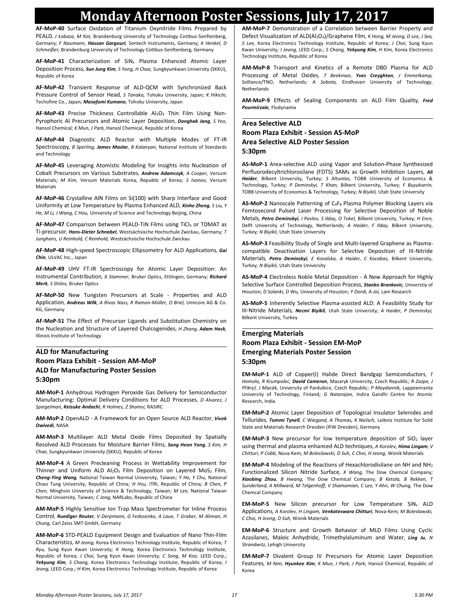### **Monday Afternoon Poster Sessions, July 17, 2017**

**AF-MoP-40** Surface Oxidation of Titanium Oxynitride Films Prepared by PEALD*, J Łobaza, M Kot,* Brandenburg University of Technology Cottbus-Senftenberg, Germany*; F Naumann, Hassan Gargouri,* Sentech Instruments, Germany*; K Henkel, D Schmeißer,* Brandenburg University of Technology Cottbus-Senftenberg, Germany

AF-MoP-41 Characterization of SiN<sub>x</sub> Plasma Enhanced Atomic Layer Deposition Process*, Sun Jung Kim, S Yong, H Chae,* Sungkyunkwan University (SKKU), Republic of Korea

**AF-MoP-42** Transient Response of ALD-QCM with Synchronized Back Pressure Control of Sensor Head*, S Tanaka,* Tohoku University, Japan*; K Hikichi,*  Techofine Co., Japan*; Masafumi Kumano,* Tohoku University, Japan

AF-MoP-43 Precise Thickness Controllable Al<sub>2</sub>O<sub>3</sub> Thin Film Using Non-Pyrophoric Al Precursors and Atomic Layer Deposition*, Donghak Jang, S Yeo,*  Hansol Chemical*; K Mun, J Park,* Hansol Chemical, Republic of Korea

**AF-MoP-44** Diagnostic ALD Reactor with Multiple Modes of FT-IR Spectroscopy*, B Sperling, James Maslar, B Kalanyan,* National Institute of Standards and Technology

**AF-MoP-45** Leveraging Atomistic Modeling for Insights into Nucleation of Cobalt Precursors on Various Substrates*, Andrew Adamczyk, A Cooper,* Versum Materials*; M Kim,* Versum Materials Korea, Republic of Korea*; S Ivanov,* Versum Materials

**AF-MoP-46** Crystalline AlN Films on Si(100) with Sharp Interface and Good Uniformity at Low Temperature by Plasma Enhanced ALD*, Xinhe Zheng, S Liu, Y He, M Li, J Wang, C Hou,* University of Science and Technology Beijing, China

AF-MoP-47 Comparison between PEALD-TiN Films using TiCl4 or TDMAT as Ti-precursor*, Hans-Dieter Schnabel,* Westsächsische Hochschule Zwickau, Germany*; T Junghans, U Reinhold, C Reinhold,* Westsächsische Hochschule Zwickau

**AF-MoP-48** High-speed Spectroscopic Ellipsometry for ALD Applications*, Gai Chin,* ULVAC Inc., Japan

**AF-MoP-49** UHV FT-IR Spectroscopy for Atomic Layer Deposition: An Instrumental Contribution*, X Stammer,* Bruker Optics, Ettlingen, Germany*; Richard Merk, S Shilov,* Bruker Optics

**AF-MoP-50** New Tungsten Precursors at Scale - Properties and ALD Application*, Andreas Wilk, A Rivas Nass, R Ramon-Müller, O Briel,* Umicore AG & Co. KG, Germany

**AF-MoP-51** The Effect of Precursor Ligands and Substitution Chemistry on the Nucleation and Structure of Layered Chalcogenides*, H Zhang, Adam Hock,*  Illinois Institute of Technology

#### **ALD for Manufacturing Room Plaza Exhibit - Session AM-MoP ALD for Manufacturing Poster Session 5:30pm**

**AM-MoP-1** Anhydrous Hydrogen Peroxide Gas Delivery for Semiconductor Manufacturing: Optimal Delivery Conditions for ALD Processes*, D Alvarez, J Spiegelman, Keisuke Andachi, R Holmes, Z Shamsi,* RASIRC

**AM-MoP-2** OpenALD - A Framework for an Open Source ALD Reactor*, Vivek Dwivedi,* NASA

**AM-MoP-3** Multilayer ALD Metal Oxide Films Deposited by Spatially Resolved ALD Processes for Moisture Barrier Films*, Sang Heon Yong, S Kim, H Chae,* Sungkyunkwan University (SKKU), Republic of Korea

**AM-MoP-4** A Green Precleaning Process in Wettability Improvement for Thinner and Uniform ALD Al<sub>2</sub>O<sub>3</sub> Film Deposition on Layered MoS<sub>2</sub> Film, *Cheng-Ying Wang,* National Taiwan Normal University, Taiwan*; Y Ho, Y Chu,* National Chiao Tung University, Republic of China*; H Hsu,* ITRI, Republic of China*; B Chen, P Chen,* Minghsin University of Science & Technology, Taiwan*; M Lee,* National Taiwan Normal University, Taiwan*; C Jong,* NARLabs, Republic of China

**AM-MoP-5** Highly Sensitive Ion Trap Mass Spectrometer for Inline Process Control*, Ruediger Reuter, V Derpmann, G Fedosenko, A Laue, T Graber, M Aliman, H Chung,* Carl Zeiss SMT GmbH, Germany

**AM-MoP-6** STD-PEALD Equipment Design and Evaluation of Nano Thin-Film Characteristics*, M Jeong,* Korea Electronics Technology Institute, Republic of Korea*; T Ryu,* Sung Kyun Kwan University*; K Hong,* Korea Electronics Technology Institute, Republic of Korea*; J Choi,* Sung Kyun Kwan University*; C Song, M Koo,* LEED Corp.*; Yekyung Kim, S Chang,* Korea Electronics Technology Institute, Republic of Korea*; I Jeong,* LEED Corp.*; H Kim,* Korea Electronics Technology Institute, Republic of Korea

**AM-MoP-7** Demonstration of a Correlation between Barrier Property and Defect Visualization of ALD(Al2O3)/Graphene Film*, K Hong, M Jeong, D Lee, J Seo, S Lee,* Korea Electronics Technology Institute, Republic of Korea*; J Choi,* Sung Kyun Kwan University*; I Jeong,* LEED Corp.*; S Chang, Yekyung Kim, H Kim,* Korea Electronics Technology Institute, Republic of Korea

**AM-MoP-8** Transport and Kinetics of a Remote DBD Plasma for ALD Processing of Metal Oxides*, T Beekman, Yves Creyghton, J Emmelkamp,*  Solliance/TNO, Netherlands*; A Sobota,* Eindhoven University of Technology, Netherlands

**AM-MoP-9** Effects of Sealing Components on ALD Film Quality*, Fred Pourmirzaie,* Flodynamix

#### **Area Selective ALD Room Plaza Exhibit - Session AS-MoP Area Selective ALD Poster Session 5:30pm**

**AS-MoP-1** Area-selective ALD using Vapor and Solution-Phase Synthesized Perfluorodecyltrichlorosilane (FDTS) SAMs as Growth Inhibition Layers*, Ali Haider,* Bilkent University, Turkey*; S Altuntas,* TOBB University of Economics & Technology, Turkey*; P Deminskyi, T Khan,* Bilkent University, Turkey*; F Buyukserin,*  TOBB University of Economics & Technology, Turkey*; N Biyikli,* Utah State University

**AS-MoP-2** Nanoscale Patterning of C4F<sup>8</sup> Plasma Polymer Blocking Layers via Femtosecond Pulsed Laser Processing for Selective Deposition of Noble Metals*, Petro Deminskyi, I Pavlov, S Ilday, O Tokel,* Bilkent University, Turkey*; H Eren,*  Delft University of Technology, Netherlands*; A Haider, F Ilday,* Bilkent University, Turkey*; N Biyikli,* Utah State University

**AS-MoP-3** Feasibility Study of Single and Multi-layered Graphene as Plasmacompatible Deactivation Layers for Selective Deposition of III-Nitride Materials*, Petro Deminskyi, E Kovalska, A Haider, C Kocabas,* Bilkent University, Turkey*; N Biyikli,* Utah State University

**AS-MoP-4** Electroless Noble Metal Deposition - A New Approach for Highly Selective Surface Controlled Deposition Process*, Stanko Brankovic,* Universtiy of Houston*; D Solanki, D Wu,* University of Houston*; Y Dordi, A Joi,* Lam Research

**AS-MoP-5** Inherently Selective Plasma-assisted ALD: A Feasibility Study for III-Nitride Materials*, Necmi Biyikli,* Utah State University*; A Haider, P Deminskyi,*  Bilkent University, Turkey

#### **Emerging Materials Room Plaza Exhibit - Session EM-MoP Emerging Materials Poster Session 5:30pm**

**EM-MoP-1** ALD of Copper(I) Halide Direct Bandgap Semiconductors*, T Homola, R Krumpolec, David Cameron,* Masaryk University, Czech Republic*; R Zazpe, J Přikryl, J Macák,* University of Pardubice, Czech Republic*; P Maydannik,* Lappeenranta University of Technology, Finland*; G Natarajan,* Indira Gandhi Centre for Atomic Research, India

**EM-MoP-2** Atomic Layer Deposition of Topological Insulator Selenides and Tellurides*, Tommi Tynell, C Wiegand, A Thomas, K Nielsch,* Leibniz Institute for Solid State and Materials Research Dresden (IFW Dresden), Germany

**EM-MoP-3** New precursor for low temperature deposition of SiO<sub>2</sub> layer using thermal and plasma enhanced ALD techniques*, A Korolev, Hima Lingam, V Chitturi, P Cobb,* Nova-Kem*; M Boleslawski, D Suh, C Choi, H Jeong,* Wonik Materials

**EM-MoP-4** Modeling of the Reactions of Hexachlorodisilane on NH and NH<sup>2</sup> Functionalized Silicon Nitride Surface*, X Wang,* The Dow Chemcal Company*; Xiaobing Zhou, B Hwang,* The Dow Chemical Company*; B Ketola, B Rekken, T Sunderland, A Millward, M Telgenhoff, V Shamamian, C Lee, Y Ahn, W Chung,* The Dow Chemcal Company

**EM-MoP-5** New Silicon precursor for Low Temperature SiN<sub>x</sub> ALD Applications*, A Korolev, H Lingam, Venkateswara Chitturi,* Nova-Kem*; M Boleslawski, C Choi, H Jeong, D Suh,* Wonik Materials

**EM-MoP-6** Structure and Growth Behavior of MLD Films Using Cyclic Azasilanes, Maleic Anhydride, Trimethylaluminum and Water*, Ling Ju, N Strandwitz,* Lehigh University

**EM-MoP-7** Divalent Group IV Precursors for Atomic Layer Deposition Features*, M Nim, Hyunkee Kim, K Mun, J Park, J Park,* Hansol Chemical, Republic of Korea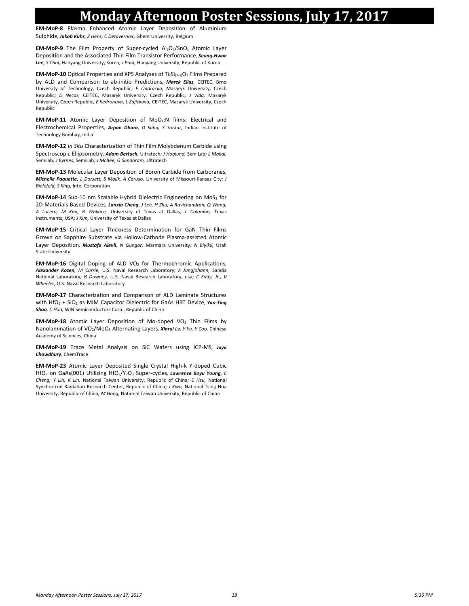### **Monday Afternoon Poster Sessions, July 17, 2017**

**EM-MoP-8** Plasma Enhanced Atomic Layer Deposition of Aluminium Sulphide*, Jakob Kuhs, Z Hens, C Detavernier,* Ghent University, Belgium

**EM-MoP-9** The Film Property of Super-cycled Al2O3/SnO<sup>x</sup> Atomic Layer Deposition and the Associated Thin Film Transistor Performance*, Seung-Hwan Lee, S Choi,* Hanyang University, Korea*; J Park,* Hanyang University, Republic of Korea

**EM-MoP-10** Optical Properties and XPS Analyses of Ti<sub>x</sub>Si<sub>(1-x)</sub>O<sub>2</sub> Films Prepared by ALD and Comparison to ab-initio Predictions*, Marek Elias,* CEITEC, Brno University of Technology, Czech Republic*; P Ondracka,* Masaryk University, Czech Republic*; D Necas,* CEITEC, Masaryk University, Czech Republic*; J Vida,* Masaryk University, Czech Republic*; E Kedronova, L Zajickova,* CEITEC, Masaryk University, Czech Republic

**EM-MoP-11** Atomic Layer Deposition of MoOx:N films: Electrical and Electrochemical Properties*, Arpan Dhara, D Saha, S Sarkar,* Indian Institute of Technology Bombay, India

**EM-MoP-12** *In Situ* Characterization of Thin Film Molybdenum Carbide using Spectroscopic Ellipsometry*, Adam Bertuch,* Ultratech*; J Hoglund,* SemiLab*; L Makai,*  Semilab*; J Byrnes,* SemiLab*; J McBee, G Sundaram,* Ultratech

**EM-MoP-13** Molecular Layer Deposition of Boron Carbide from Carboranes*, Michelle Paquette, L Dorsett, S Malik, A Caruso,* University of Missouri-Kansas City*; J Bielefeld, S King,* Intel Corporation

**EM-MoP-14** Sub-10 nm Scalable Hybrid Dielectric Engineering on MoS<sub>2</sub> for 2D Materials Based Devices*, Lanxia Cheng, J Lee, H Zhu, A Ravichandran, Q Wang, A Lucero, M Kim, R Wallace,* University of Texas at Dallas*; L Colombo,* Texas Instruments, USA*; J Kim,* University of Texas at Dallas

**EM-MoP-15** Critical Layer Thickness Determination for GaN Thin Films Grown on Sapphire Substrate via Hollow-Cathode Plasma-assisted Atomic Layer Deposition*, Mustafa Alevli, N Gungor,* Marmara University*; N Biyikli,* Utah State University

**EM-MoP-16** Digital Doping of ALD VO<sub>2</sub> for Thermochromic Applications, *Alexander Kozen, M Currie,* U.S. Naval Research Laboratory*; K Jungjohann,* Sandia National Laboratory*; B Downey,* U.S. Naval Research Laboratory, usa*; C Eddy, Jr., V Wheeler,* U.S. Naval Research Laboratory

**EM-MoP-17** Characterization and Comparison of ALD Laminate Structures with HfO<sup>2</sup> + SiO<sup>2</sup> as MIM Capacitor Dielectric for GaAs HBT Device*, Yao-Ting Shao, C Hua,* WIN Semiconductors Corp., Republic of China

**EM-MoP-18** Atomic Layer Deposition of Mo-doped VO<sub>2</sub> Thin Films by Nanolamination of VO2/MoO<sup>3</sup> Alternating Layers*, Xinrui Lv, Y Yu, Y Cao,* Chinese Academy of Sciences, China

**EM-MoP-19** Trace Metal Analysis on SiC Wafers using ICP-MS*, Jaya Chowdhury,* ChemTrace

**EM-MoP-23** Atomic Layer Deposited Single Crystal High-k Y-doped Cubic HfO<sup>2</sup> on GaAs(001) Utilizing HfO2/Y2O<sup>3</sup> Super-cycles*, Lawrence Boyu Young, C Cheng, Y Lin, K Lin,* National Taiwan University, Republic of China*; C Hsu,* National Synchrotron Radiation Research Center, Republic of China*; J Kwo,* National Tsing Hua University, Republic of China*; M Hong,* National Taiwan University, Republic of China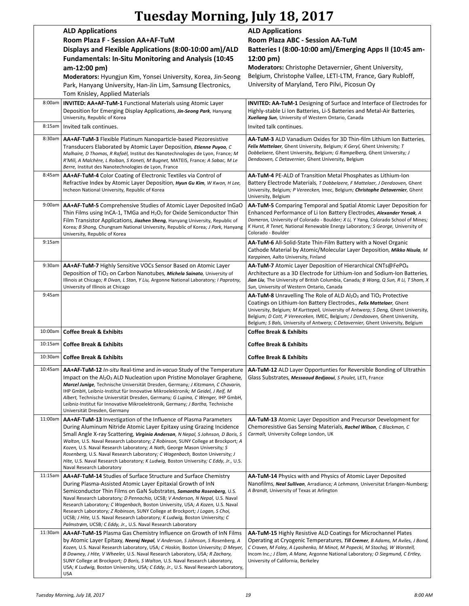# **Tuesday Morning, July 18, 2017**

|         | <b>ALD Applications</b><br>Room Plaza F - Session AA+AF-TuM<br>Displays and Flexible Applications (8:00-10:00 am)/ALD<br><b>Fundamentals: In-Situ Monitoring and Analysis (10:45</b><br>am-12:00 pm)<br>Moderators: Hyungjun Kim, Yonsei University, Korea, Jin-Seong<br>Park, Hanyang University, Han-Jin Lim, Samsung Electronics,<br>Tom Knisley, Applied Materials                                                                                                                                                                                                                                   | <b>ALD Applications</b><br>Room Plaza ABC - Session AA-TuM<br>Batteries I (8:00-10:00 am)/Emerging Apps II (10:45 am-<br>$12:00 \text{ pm}$<br>Moderators: Christophe Detavernier, Ghent University,<br>Belgium, Christophe Vallee, LETI-LTM, France, Gary Rubloff,<br>University of Maryland, Tero Pilvi, Picosun Oy                                                                                                   |
|---------|----------------------------------------------------------------------------------------------------------------------------------------------------------------------------------------------------------------------------------------------------------------------------------------------------------------------------------------------------------------------------------------------------------------------------------------------------------------------------------------------------------------------------------------------------------------------------------------------------------|-------------------------------------------------------------------------------------------------------------------------------------------------------------------------------------------------------------------------------------------------------------------------------------------------------------------------------------------------------------------------------------------------------------------------|
| 8:00am  | <b>INVITED: AA+AF-TuM-1 Functional Materials using Atomic Layer</b><br>Deposition for Emerging Display Applications, Jin-Seong Park, Hanyang<br>University, Republic of Korea                                                                                                                                                                                                                                                                                                                                                                                                                            | <b>INVITED: AA-TuM-1</b> Designing of Surface and Interface of Electrodes for<br>Highly-stable Li Ion Batteries, Li-S Batteries and Metal-Air Batteries,<br>Xueliang Sun, University of Western Ontario, Canada                                                                                                                                                                                                         |
| 8:15am  | Invited talk continues.                                                                                                                                                                                                                                                                                                                                                                                                                                                                                                                                                                                  | Invited talk continues.                                                                                                                                                                                                                                                                                                                                                                                                 |
| 8:30am  | <b>AA+AF-TuM-3</b> Flexible Platinum Nanoparticle-based Piezoresistive<br>Transducers Elaborated by Atomic Layer Deposition, Etienne Puyoo, C<br>Malhaire, D Thomas, R Rafaël, Institut des Nanotechnologies de Lyon, France; M<br>R'Mili, A Malchère, L Roiban, S Koneti, M Bugnet, MATEIS, France; A Sabac, M Le<br>Berre, Institut des Nanotechnologies de Lyon, France                                                                                                                                                                                                                               | <b>AA-TuM-3</b> ALD Vanadium Oxides for 3D Thin-film Lithium Ion Batteries,<br>Felix Mattelaer, Ghent University, Belgium; K Geryl, Ghent University; T<br>Dobbelaere, Ghent University, Belgium; G Rampelberg, Ghent University; J<br>Dendooven, C Detavernier, Ghent University, Belgium                                                                                                                              |
| 8:45am  | <b>AA+AF-TuM-4 Color Coating of Electronic Textiles via Control of</b><br>Refractive Index by Atomic Layer Deposition, Hyun Gu Kim, W Kwon, H Lee,<br>Incheon National University, Republic of Korea                                                                                                                                                                                                                                                                                                                                                                                                     | AA-TuM-4 PE-ALD of Transition Metal Phosphates as Lithium-Ion<br>Battery Electrode Materials, T Dobbelaere, F Mattelaer, J Dendooven, Ghent<br>University, Belgium; P Vereecken, Imec, Belgium; Christophe Detavernier, Ghent<br>University, Belgium                                                                                                                                                                    |
| 9:00am  | <b>AA+AF-TuM-5</b> Comprehensive Studies of Atomic Layer Deposited InGaO<br>Thin Films using InCA-1, TMGa and $H_2O_2$ for Oxide Semiconductor Thin<br>Film Transistor Applications, Jiazhen Sheng, Hanyang University, Republic of<br>Korea; B Shong, Chungnam National University, Republic of Korea; J Park, Hanyang<br>University, Republic of Korea                                                                                                                                                                                                                                                 | AA-TuM-5 Comparing Temporal and Spatial Atomic Layer Deposition for<br>Enhanced Performance of Li Ion Battery Electrodes, Alexander Yersak, A<br>Dameron, University of Colorado - Boulder; X Li, Y Yang, Colorado School of Mines;<br>K Hurst, R Tenet, National Renewable Energy Laboratory; S George, University of<br>Colorado - Boulder                                                                            |
| 9:15am  |                                                                                                                                                                                                                                                                                                                                                                                                                                                                                                                                                                                                          | <b>AA-TuM-6</b> All-Solid-State Thin-Film Battery with a Novel Organic<br>Cathode Material by Atomic/Molecular Layer Deposition, Mikko Nisula, M<br>Karppinen, Aalto University, Finland                                                                                                                                                                                                                                |
|         | 9:30am   AA+AF-TuM-7 Highly Sensitive VOCs Sensor Based on Atomic Layer<br>Deposition of TiO <sub>2</sub> on Carbon Nanotubes, Michela Sainato, University of<br>Illinois at Chicago; R Divan, L Stan, Y Liu, Argonne National Laboratory; I Paprotny,<br>University of Illinois at Chicago                                                                                                                                                                                                                                                                                                              | <b>AA-TuM-7</b> Atomic Layer Deposition of Hierarchical CNTs@FePO <sub>4</sub><br>Architecture as a 3D Electrode for Lithium-Ion and Sodium-Ion Batteries,<br>Jian Liu, The University of British Columbia, Canada; B Wang, Q Sun, R Li, T Sham, X<br>Sun, University of Western Ontario, Canada                                                                                                                        |
| 9:45am  |                                                                                                                                                                                                                                                                                                                                                                                                                                                                                                                                                                                                          | <b>AA-TuM-8</b> Unravelling The Role of ALD $Al_2O_3$ and TiO <sub>2</sub> Protective<br>Coatings on Lithium-Ion Battery Electrodes., Felix Mattelaer, Ghent<br>University, Belgium; M Kurttepeli, University of Antwerp; S Deng, Ghent University,<br>Belgium; D Cott, P Vereeceken, IMEC, Belgium; J Dendooven, Ghent University,<br>Belgium; S Bals, University of Antwerp; C Detavernier, Ghent University, Belgium |
|         | 10:00am   Coffee Break & Exhibits                                                                                                                                                                                                                                                                                                                                                                                                                                                                                                                                                                        | <b>Coffee Break &amp; Exhibits</b>                                                                                                                                                                                                                                                                                                                                                                                      |
| 10:15am | <b>Coffee Break &amp; Exhibits</b>                                                                                                                                                                                                                                                                                                                                                                                                                                                                                                                                                                       | <b>Coffee Break &amp; Exhibits</b>                                                                                                                                                                                                                                                                                                                                                                                      |
|         | 10:30am   Coffee Break & Exhibits                                                                                                                                                                                                                                                                                                                                                                                                                                                                                                                                                                        | <b>Coffee Break &amp; Exhibits</b>                                                                                                                                                                                                                                                                                                                                                                                      |
|         | 10:45am   AA+AF-TuM-12 In-situ Real-time and in-vacuo Study of the Temperature<br>Impact on the Al <sub>2</sub> O <sub>3</sub> ALD Nucleation upon Pristine Monolayer Graphene,<br>Marcel Junige, Technische Universität Dresden, Germany; J Kitzmann, C Chavarin,<br>IHP GmbH, Leibniz-Institut für Innovative Mikroelektronik; M Geidel, J Reif, M<br>Albert, Technische Universität Dresden, Germany; G Lupina, C Wenger, IHP GmbH,<br>Leibniz-Institut für Innovative Mikroelektronik, Germany; J Bartha, Technische<br>Universität Dresden, Germany                                                 | <b>AA-TuM-12</b> ALD Layer Opportunties for Reversible Bonding of Ultrathin<br>Glass Substrates, Messaoud Bedjaoui, S Poulet, LETI, France                                                                                                                                                                                                                                                                              |
| 11:00am | AA+AF-TuM-13 Investigation of the Influence of Plasma Parameters<br>During Aluminum Nitride Atomic Layer Epitaxy using Grazing Incidence<br>Small Angle X-ray Scattering, Virginia Anderson, N Nepal, S Johnson, D Boris, S<br>Walton, U.S. Naval Research Laboratory; Z Robinson, SUNY College at Brockport; A<br>Kozen, U.S. Naval Research Laboratory; A Nath, George Mason University; S<br>Rosenberg, U.S. Naval Research Laboratory; C Wagenbach, Boston University; J<br>Hite, U.S. Naval Research Laboratory; K Ludwig, Boston University; C Eddy, Jr., U.S.<br>Naval Research Laboratory        | AA-TuM-13 Atomic Layer Deposition and Precursor Development for<br>Chemoresistive Gas Sensing Materials, Rachel Wilson, C Blackman, C<br>Carmalt, University College London, UK                                                                                                                                                                                                                                         |
| 11:15am | AA+AF-TuM-14 Studies of Surface Structure and Surface Chemistry<br>During Plasma-Assisted Atomic Layer Epitaxial Growth of InN<br>Semiconductor Thin Films on GaN Substrates, Samantha Rosenberg, U.S.<br>Naval Research Laboratory; D Pennachio, UCSB; V Anderson, N Nepal, U.S. Naval<br>Research Laboratory; C Wagenbach, Boston University, USA; A Kozen, U.S. Naval<br>Research Laboratory; Z Robinson, SUNY College at Brockport; J Logan, S Choi,<br>UCSB; J Hite, U.S. Naval Research Laboratory; K Ludwig, Boston University; C<br>Palmstrøm, UCSB; C Eddy, Jr., U.S. Naval Research Laboratory | <b>AA-TuM-14</b> Physics with and Physics of Atomic Layer Deposited<br>Nanofilms, Neal Sullivan, Arradiance; A Lehmann, Universitat Erlangen-Numberg;<br>A Brandt, University of Texas at Arlington                                                                                                                                                                                                                     |
| 11:30am | AA+AF-TuM-15 Plasma Gas Chemistry Influence on Growth of InN Films<br>by Atomic Layer Epitaxy, Neeraj Nepal, V Anderson, S Johnson, S Rosenberg, A<br>Kozen, U.S. Naval Research Laboratory, USA; C Hoskin, Boston University; D Meyer,<br>B Downey, J Hite, V Wheeler, U.S. Naval Research Laboratory, USA; R Zachary,<br>SUNY College at Brockport; D Boris, S Walton, U.S. Naval Research Laboratory,<br>USA; K Ludwig, Boston University, USA; C Eddy, Jr., U.S. Naval Research Laboratory,<br>USA                                                                                                   | <b>AA-TuM-15 Highly Resistive ALD Coatings for Microchannel Plates</b><br>Operating at Cryogenic Temperatures, Till Cremer, B Adams, M Aviles, J Bond,<br>C Craven, M Foley, A Lyashenko, M Minot, M Popecki, M Stochaj, W Worstell,<br>Incom Inc.; J Elam, A Mane, Argonne National Laboratory; O Siegmund, C Ertley,<br>University of California, Berkeley                                                            |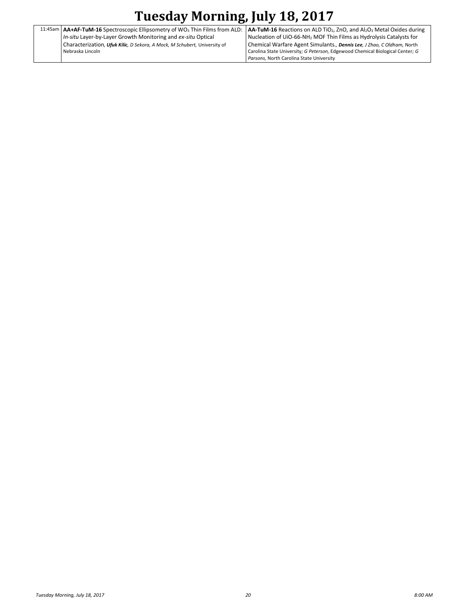## **Tuesday Morning, July 18, 2017**

|  | 11:45am   $AA+AF-TuM-16$ Spectroscopic Ellipsometry of WO <sub>3</sub> Thin Films from ALD: |  |
|--|---------------------------------------------------------------------------------------------|--|
|  | In-situ Layer-by-Layer Growth Monitoring and ex-situ Optical                                |  |
|  | Characterization, Ufuk Kilic, D Sekora, A Mock, M Schubert, University of                   |  |
|  | Nebraska Lincoln                                                                            |  |
|  |                                                                                             |  |

**AA-TuM-16** Reactions on ALD TiO2, ZnO, and Al2O<sup>3</sup> Metal Oxides during Nucleation of UiO-66-NH<sup>2</sup> MOF Thin Films as Hydrolysis Catalysts for Chemical Warfare Agent Simulants.*, Dennis Lee, J Zhao, C Oldham,* North Carolina State University*; G Peterson,* Edgewood Chemical Biological Center*; G Parsons,* North Carolina State University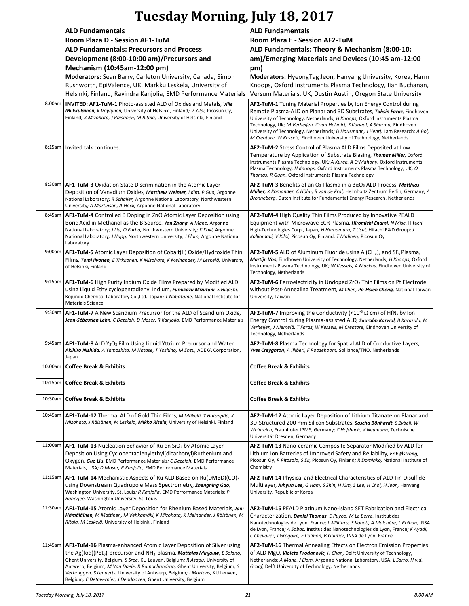# **Tuesday Morning, July 18, 2017**

|         | <b>ALD Fundamentals</b>                                                                                                                                                                                                                                                                                                                                                                                                                                                                                    | <b>ALD Fundamentals</b>                                                                                                                                                                                                                                                                                                                                                                                                                                               |
|---------|------------------------------------------------------------------------------------------------------------------------------------------------------------------------------------------------------------------------------------------------------------------------------------------------------------------------------------------------------------------------------------------------------------------------------------------------------------------------------------------------------------|-----------------------------------------------------------------------------------------------------------------------------------------------------------------------------------------------------------------------------------------------------------------------------------------------------------------------------------------------------------------------------------------------------------------------------------------------------------------------|
|         | Room Plaza D - Session AF1-TuM                                                                                                                                                                                                                                                                                                                                                                                                                                                                             | Room Plaza E - Session AF2-TuM                                                                                                                                                                                                                                                                                                                                                                                                                                        |
|         | <b>ALD Fundamentals: Precursors and Process</b>                                                                                                                                                                                                                                                                                                                                                                                                                                                            | ALD Fundamentals: Theory & Mechanism (8:00-10:                                                                                                                                                                                                                                                                                                                                                                                                                        |
|         | Development (8:00-10:00 am)/Precursors and                                                                                                                                                                                                                                                                                                                                                                                                                                                                 | am)/Emerging Materials and Devices (10:45 am-12:00                                                                                                                                                                                                                                                                                                                                                                                                                    |
|         |                                                                                                                                                                                                                                                                                                                                                                                                                                                                                                            |                                                                                                                                                                                                                                                                                                                                                                                                                                                                       |
|         | Mechanism (10:45am-12:00 pm)<br>Moderators: Sean Barry, Carleton University, Canada, Simon<br>Rushworth, EpiValence, UK, Markku Leskela, University of<br>Helsinki, Finland, Ravindra Kanjolia, EMD Performance Materials                                                                                                                                                                                                                                                                                  | pm)<br>Moderators: HyeongTag Jeon, Hanyang University, Korea, Harm<br>Knoops, Oxford Instruments Plasma Technology, Iian Buchanan,<br>Versum Materials, UK, Dustin Austin, Oregon State University                                                                                                                                                                                                                                                                    |
| 8:00am  | <b>INVITED: AF1-TuM-1 Photo-assisted ALD of Oxides and Metals, Ville</b><br>Miikkulainen, K Väyrynen, University of Helsinki, Finland; V Kilpi, Picosun Oy,<br>Finland; K Mizohata, J Räisänen, M Ritala, University of Helsinki, Finland                                                                                                                                                                                                                                                                  | AF2-TuM-1 Tuning Material Properties by Ion Energy Control during<br>Remote Plasma-ALD on Planar and 3D Substrates, Tahsin Faraz, Eindhoven<br>University of Technology, Netherlands; H Knoops, Oxford Instruments Plasma<br>Technology, UK; M Verheijen, C van Helvoirt, S Karwal, A Sharma, Eindhoven<br>University of Technology, Netherlands; D Hausmann, J Henri, Lam Research; A Bol,<br>M Creatore, W Kessels, Eindhoven University of Technology, Netherlands |
| 8:15am  | Invited talk continues.                                                                                                                                                                                                                                                                                                                                                                                                                                                                                    | AF2-TuM-2 Stress Control of Plasma ALD Films Deposited at Low<br>Temperature by Application of Substrate Biasing, Thomas Miller, Oxford<br>Instruments Plasma Technology, UK; A Kurek, A O'Mahony, Oxford Instruments<br>Plasma Technology; H Knoops, Oxford Instruments Plasma Technology, UK; O<br>Thomas, R Gunn, Oxford Instruments Plasma Technology                                                                                                             |
| 8:30am  | AF1-TuM-3 Oxidation State Discrimination in the Atomic Layer<br>Deposition of Vanadium Oxides, Matthew Weimer, I Kim, P Guo, Argonne<br>National Laboratory; R Schaller, Argonne National Laboratory, Northwestern<br>University; A Martinson, A Hock, Argonne National Laboratory                                                                                                                                                                                                                         | AF2-TuM-3 Benefits of an O <sub>2</sub> Plasma in a Bi <sub>2</sub> O <sub>3</sub> ALD Process, Matthias<br>Müller, K Komander, C Höhn, R van de Krol, Helmholtz Zentrum Berlin, Germany; A<br>Bronneberg, Dutch Institute for Fundamental Energy Research, Netherlands                                                                                                                                                                                               |
| 8:45am  | AF1-TuM-4 Controlled B Doping in ZnO Atomic Layer Deposition using<br>Boric Acid in Methanol as the B Source, Yan Zhang, A Mane, Argonne<br>National Laboratory; J Liu, O Farha, Northwestern University; K Kovi, Argonne<br>National Laboratory; J Hupp, Northwestern University; J Elam, Argonne National<br>Laboratory                                                                                                                                                                                  | <b>AF2-TuM-4 High Quality Thin Films Produced by Innovative PEALD</b><br>Equipment with Microwave ECR Plasma, Hiromichi Enami, N Mise, Hitachi<br>High-Technologies Corp., Japan; H Hamamura, T Usui, Hitachi R&D Group; J<br>Kalliomaki, V Kilpi, Picosun Oy, Finland; T Malinen, Picosun Oy                                                                                                                                                                         |
| 9:00am  | AF1-TuM-5 Atomic Layer Deposition of Cobalt(II) Oxide/Hydroxide Thin<br>Films, Tomi livonen, E Tirkkonen, K Mizohata, K Meinander, M Leskelä, University<br>of Helsinki, Finland                                                                                                                                                                                                                                                                                                                           | <b>AF2-TuM-5</b> ALD of Aluminum Fluoride using $AI(CH_3)_3$ and $SF_6$ Plasma,<br>Martijn Vos, Eindhoven University of Technology, Netherlands; H Knoops, Oxford<br>Instruments Plasma Technology, UK; W Kessels, A Mackus, Eindhoven University of<br>Technology, Netherlands                                                                                                                                                                                       |
|         | 9:15am   AF1-TuM-6 High Purity Indium Oxide Films Prepared by Modified ALD<br>using Liquid Ethylcyclopentadienyl Indium, Fumikazu Mizutani, S Higashi,<br>Kojundo Chemical Laboratory Co., Ltd., Japan; T Nabatame, National Institute for<br><b>Materials Science</b>                                                                                                                                                                                                                                     | <b>AF2-TuM-6</b> Ferroelectricity in Undoped ZrO <sub>2</sub> Thin Films on Pt Electrode<br>without Post-Annealing Treatment, M Chen, Po-Hsien Cheng, National Taiwan<br>University, Taiwan                                                                                                                                                                                                                                                                           |
| 9:30am  | AF1-TuM-7 A New Scandium Precursor for the ALD of Scandium Oxide,<br>Jean-Sébastien Lehn, C Dezelah, D Moser, R Kanjolia, EMD Performance Materials                                                                                                                                                                                                                                                                                                                                                        | <b>AF2-TuM-7</b> Improving the Conductivity (<10 <sup>-3</sup> $\Omega$ cm) of HfN <sub>x</sub> by Ion<br>Energy Control during Plasma-assisted ALD, Saurabh Karwal, B Karasulu, M<br>Verheijen, J Niemelä, T Faraz, W Kessels, M Creatore, Eindhoven University of<br>Technology, Netherlands                                                                                                                                                                        |
| 9:45am  | AF1-TuM-8 ALD Y <sub>2</sub> O <sub>3</sub> Film Using Liquid Yttrium Precursor and Water,<br>Akihiro Nishida, A Yamashita, M Hatase, T Yoshino, M Enzu, ADEKA Corporation,<br>Japan                                                                                                                                                                                                                                                                                                                       | <b>AF2-TuM-8</b> Plasma Technology for Spatial ALD of Conductive Layers,<br>Yves Creyghton, A Illiberi, F Roozeboom, Solliance/TNO, Netherlands                                                                                                                                                                                                                                                                                                                       |
|         | 10:00am   Coffee Break & Exhibits                                                                                                                                                                                                                                                                                                                                                                                                                                                                          | <b>Coffee Break &amp; Exhibits</b>                                                                                                                                                                                                                                                                                                                                                                                                                                    |
|         | 10:15am   Coffee Break & Exhibits                                                                                                                                                                                                                                                                                                                                                                                                                                                                          | <b>Coffee Break &amp; Exhibits</b>                                                                                                                                                                                                                                                                                                                                                                                                                                    |
| 10:30am | <b>Coffee Break &amp; Exhibits</b>                                                                                                                                                                                                                                                                                                                                                                                                                                                                         | <b>Coffee Break &amp; Exhibits</b>                                                                                                                                                                                                                                                                                                                                                                                                                                    |
| 10:45am | AF1-TuM-12 Thermal ALD of Gold Thin Films, M Mäkelä, T Hatanpää, K<br>Mizohata, J Räisänen, M Leskelä, Mikko Ritala, University of Helsinki, Finland                                                                                                                                                                                                                                                                                                                                                       | AF2-TuM-12 Atomic Layer Deposition of Lithium Titanate on Planar and<br>3D-Structured 200 mm Silicon Substrates, Sascha Bönhardt, S Zybell, W<br>Weinreich, Fraunhofer IPMS, Germany; C Hoßbach, V Neumann, Technische<br>Universität Dresden, Germany                                                                                                                                                                                                                |
| 11:00am | AF1-TuM-13 Nucleation Behavior of Ru on SiO <sub>2</sub> by Atomic Layer<br>Deposition Using Cyclopentadienylethyl(dicarbonyl)Ruthenium and<br>Oxygen, Guo Liu, EMD Performance Materials; C Dezelah, EMD Performance<br>Materials, USA; D Moser, R Kanjolia, EMD Performance Materials                                                                                                                                                                                                                    | AF2-TuM-13 Nano-ceramic Composite Separator Modified by ALD for<br>Lithium Ion Batteries of Improved Safety and Reliability, <i>Erik Østreng</i> ,<br>Picosun Oy; R Ritasalo, S Ek, Picosun Oy, Finland; R Dominko, National Institute of<br>Chemistry                                                                                                                                                                                                                |
| 11:15am | <b>AF1-TuM-14</b> Mechanistic Aspects of Ru ALD Based on $Ru(DMBD)(CO)_{3}$<br>using Downstream Quadrupole Mass Spectrometry, Zhengning Gao,<br>Washington University, St. Louis; R Kanjolia, EMD Performance Materials; P<br>Banerjee, Washington University, St. Louis                                                                                                                                                                                                                                   | <b>AF2-TuM-14</b> Physical and Electrical Characteristics of ALD Tin Disulfide<br>Multilayer, Juhyun Lee, G Ham, S Shin, H Kim, S Lee, H Choi, H Jeon, Hanyang<br>University, Republic of Korea                                                                                                                                                                                                                                                                       |
| 11:30am | AF1-TuM-15 Atomic Layer Deposition for Rhenium Based Materials, Jani<br>Hämäläinen, M Mattinen, M Vehkamäki, K Mizohata, K Meinander, J Räisänen, M<br>Ritala, M Leskelä, University of Helsinki, Finland                                                                                                                                                                                                                                                                                                  | AF2-TuM-15 PEALD Platinum Nano-island SET Fabrication and Electrical<br>Characterization, Daniel Thomas, E Puyoo, M Le Berre, Institut des<br>Nanotechnologies de Lyon, France; L Militaru, S Koneti, A Malchère, L Roiban, INSA<br>de Lyon, France; A Sabac, Institut des Nanotechnologies de Lyon, France; K Ayadi,<br>C Chevalier, J Grégoire, F Calmon, B Gautier, INSA de Lyon, France                                                                           |
| 11:45am | AF1-TuM-16 Plasma-enhanced Atomic Layer Deposition of Silver using<br>the Ag(fod)(PEt <sub>3</sub> )-precursor and NH <sub>3</sub> -plasma, <i>Matthias Minjauw</i> , <i>E Solano</i> ,<br>Ghent University, Belgium; S Sree, KU Leuven, Belgium; R Asapu, University of<br>Antwerp, Belgium; M Van Daele, R Ramachandran, Ghent University, Belgium; S<br>Verbruggen, S Lenaerts, University of Antwerp, Belgium; J Martens, KU Leuven,<br>Belgium; C Detavernier, J Dendooven, Ghent University, Belgium | <b>AF2-TuM-16</b> Thermal Annealing Effects on Electron Emission Properties<br>of ALD MgO, Violeta Prodanovic, H Chan, Delft University of Technology,<br>Netherlands; A Mane, J Elam, Argonne National Laboratory, USA; L Sarro, H v.d.<br>Graaf, Delft University of Technology, Netherlands                                                                                                                                                                        |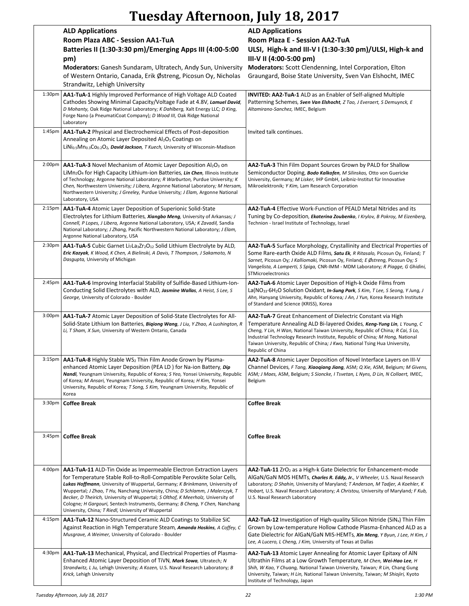# **Tuesday Afternoon, July 18, 2017**

|                    | <b>ALD Applications</b>                                                                                                                                                                                                                                                                                                                                                                                                                                                                                                                   | <b>ALD Applications</b>                                                                                                                                                                                                                                                                                                                                                                                               |
|--------------------|-------------------------------------------------------------------------------------------------------------------------------------------------------------------------------------------------------------------------------------------------------------------------------------------------------------------------------------------------------------------------------------------------------------------------------------------------------------------------------------------------------------------------------------------|-----------------------------------------------------------------------------------------------------------------------------------------------------------------------------------------------------------------------------------------------------------------------------------------------------------------------------------------------------------------------------------------------------------------------|
|                    | Room Plaza ABC - Session AA1-TuA                                                                                                                                                                                                                                                                                                                                                                                                                                                                                                          | Room Plaza E - Session AA2-TuA                                                                                                                                                                                                                                                                                                                                                                                        |
|                    | Batteries II (1:30-3:30 pm)/Emerging Apps III (4:00-5:00                                                                                                                                                                                                                                                                                                                                                                                                                                                                                  | ULSI, High-k and III-V I (1:30-3:30 pm)/ULSI, High-k and                                                                                                                                                                                                                                                                                                                                                              |
|                    | pm)<br>Moderators: Ganesh Sundaram, Ultratech, Andy Sun, University                                                                                                                                                                                                                                                                                                                                                                                                                                                                       | III-V II (4:00-5:00 pm)<br>Moderators: Scott Clendenning, Intel Corporation, Elton                                                                                                                                                                                                                                                                                                                                    |
|                    | of Western Ontario, Canada, Erik Østreng, Picosun Oy, Nicholas                                                                                                                                                                                                                                                                                                                                                                                                                                                                            | Graungard, Boise State University, Sven Van Elshocht, IMEC                                                                                                                                                                                                                                                                                                                                                            |
|                    | Strandwitz, Lehigh University                                                                                                                                                                                                                                                                                                                                                                                                                                                                                                             |                                                                                                                                                                                                                                                                                                                                                                                                                       |
| 1:30 <sub>pm</sub> | AA1-TuA-1 Highly Improved Performance of High Voltage ALD Coated<br>Cathodes Showing Minimal Capacity/Voltage Fade at 4.8V, Lamuel David,<br>D Mohanty, Oak Ridge National Laboratory; K Dahlberg, Xalt Energy LLC; D King,<br>Forge Nano (a PneumatiCoat Company); D Wood III, Oak Ridge National<br>Laboratory                                                                                                                                                                                                                          | <b>INVITED: AA2-TuA-1</b> ALD as an Enabler of Self-aligned Multiple<br>Patterning Schemes, Sven Van Elshocht, Z Tao, J Everaert, S Demuynck, E<br>Altamirano-Sanchez, IMEC, Belgium                                                                                                                                                                                                                                  |
| 1:45 <sub>pm</sub> | AA1-TuA-2 Physical and Electrochemical Effects of Post-deposition                                                                                                                                                                                                                                                                                                                                                                                                                                                                         | Invited talk continues.                                                                                                                                                                                                                                                                                                                                                                                               |
|                    | Annealing on Atomic Layer Deposited Al2O3 Coatings on<br>LiNi <sub>0.5</sub> Mn <sub>0.3</sub> Co <sub>0.2</sub> O <sub>2</sub> , <b>David Jackson</b> , T Kuech, University of Wisconsin-Madison                                                                                                                                                                                                                                                                                                                                         |                                                                                                                                                                                                                                                                                                                                                                                                                       |
| 2:00 <sub>pm</sub> | AA1-TuA-3 Novel Mechanism of Atomic Layer Deposition Al2O3 on<br>LiMn <sub>2</sub> O <sub>4</sub> for High Capacity Lithium-ion Batteries, Lin Chen, Illinois Institute<br>of Technology; Argonne National Laboratory; R Warburton, Purdue University; K<br>Chen, Northwestern University; J Libera, Argonne National Laboratory; M Hersam,<br>Northwestern University; J Greeley, Purdue University; J Elam, Argonne National<br>Laboratory, USA                                                                                         | AA2-TuA-3 Thin Film Dopant Sources Grown by PALD for Shallow<br>Semiconductor Doping, Bodo Kalkofen, M Silinskas, Otto von Guericke<br>University, Germany; M Lisker, IHP GmbH, Leibniz-Institut für Innovative<br>Mikroelektronik; Y Kim, Lam Research Corporation                                                                                                                                                   |
| 2:15 <sub>pm</sub> | AA1-TuA-4 Atomic Layer Deposition of Superionic Solid-State<br>Electrolytes for Lithium Batteries, Xiangbo Meng, University of Arkansas; J<br>Connell, P Lopes, J Libera, Argonne National Laboratory, USA; K Zavadil, Sandia<br>National Laboratory; J Zhang, Pacific Northwestern National Laboratory; J Elam,<br>Argonne National Laboratory, USA                                                                                                                                                                                      | AA2-TuA-4 Effective Work-Function of PEALD Metal Nitrides and its<br>Tuning by Co-deposition, Ekaterina Zoubenko, I Krylov, B Pokroy, M Eizenberg,<br>Technion - Israel Institute of Technology, Israel                                                                                                                                                                                                               |
| 2:30 <sub>pm</sub> | AA1-TuA-5 Cubic Garnet Li <sub>7</sub> La <sub>3</sub> Zr <sub>2</sub> O <sub>12</sub> Solid Lithium Electrolyte by ALD,<br>Eric Kazyak, K Wood, K Chen, A Bielinski, A Davis, T Thompson, J Sakamoto, N<br>Dasgupta, University of Michigan                                                                                                                                                                                                                                                                                              | AA2-TuA-5 Surface Morphology, Crystallinity and Electrical Properties of<br>Some Rare-earth Oxide ALD Films, Satu Ek, R Ritasalo, Picosun Oy, Finland; T<br>Sarnet, Picosun Oy; J Kalliomaki, Picosun Oy, Finland; E Østreng, Picosun Oy; S<br>Vangelista, A Lamperti, S Spiga, CNR-IMM - MDM Laboratory; R Piagge, G Ghidini,<br>STMicroelectronics                                                                  |
| 2:45 <sub>pm</sub> | AA1-TuA-6 Improving Interfacial Stability of Sulfide-Based Lithium-Ion-<br>Conducting Solid Electrolytes with ALD, Jasmine Wallas, A Heist, S Lee, S<br>George, University of Colorado - Boulder                                                                                                                                                                                                                                                                                                                                          | AA2-TuA-6 Atomic Layer Deposition of High-k Oxide Films from<br>La(NO <sub>33</sub> ·6H <sub>2</sub> O Solution Oxidant, In-Sung Park, S Kim, T Lee, S Seong, Y Jung, J<br>Ahn, Hanyang University, Republic of Korea; J An, J Yun, Korea Research Institute<br>of Standard and Science (KRISS), Korea                                                                                                                |
| 3:00 <sub>pm</sub> | <b>AA1-TuA-7</b> Atomic Layer Deposition of Solid-State Electrolytes for All-<br>Solid-State Lithium Ion Batteries, Biqiong Wang, J Liu, Y Zhao, A Lushington, R<br>Li, T Sham, X Sun, University of Western Ontario, Canada                                                                                                                                                                                                                                                                                                              | <b>AA2-TuA-7</b> Great Enhancement of Dielectric Constant via High<br>Temperature Annealing ALD Bi-layered Oxides, Keng-Yung Lin, L Young, C<br>Cheng, Y Lin, H Wan, National Taiwan University, Republic of China; R Cai, S Lo,<br>Industrial Technology Research Institute, Republic of China; M Hong, National<br>Taiwan University, Republic of China; J Kwo, National Tsing Hua University,<br>Republic of China |
|                    | 3:15pm   AA1-TuA-8 Highly Stable WS <sub>2</sub> Thin Film Anode Grown by Plasma-<br>enhanced Atomic Layer Deposition (PEA LD) for Na-ion Battery, Dip<br>Nandi, Yeungnam University, Republic of Korea; S Yeo, Yonsei University, Republic<br>of Korea; M Ansari, Yeungnam University, Republic of Korea; H Kim, Yonsei<br>University, Republic of Korea; T Song, S Kim, Yeungnam University, Republic of<br>Korea                                                                                                                       | AA2-TuA-8 Atomic Layer Deposition of Novel Interface Layers on III-V<br>Channel Devices, F Tang, Xiaoqiang Jiang, ASM; Q Xie, ASM, Belgium; M Givens,<br>ASM; J Maes, ASM, Belgium; S Sioncke, I Tsvetan, L Nyns, D Lin, N Collaert, IMEC,<br>Belgium                                                                                                                                                                 |
| 3:30 <sub>pm</sub> | <b>Coffee Break</b>                                                                                                                                                                                                                                                                                                                                                                                                                                                                                                                       | <b>Coffee Break</b>                                                                                                                                                                                                                                                                                                                                                                                                   |
| 3:45pm             | <b>Coffee Break</b>                                                                                                                                                                                                                                                                                                                                                                                                                                                                                                                       | <b>Coffee Break</b>                                                                                                                                                                                                                                                                                                                                                                                                   |
| 4:00pm             | AA1-TuA-11 ALD-Tin Oxide as Impermeable Electron Extraction Layers<br>for Temperature Stable Roll-to-Roll-Compatible Perovskite Solar Cells,<br>Lukas Hoffmann, University of Wuppertal, Germany; K Brinkmann, University of<br>Wuppertal; J Zhao, T Hu, Nanchang University, China; D Schlamm, J Malerczyk, T<br>Becker, D Theirich, University of Wuppertal; S Olthof, K Meerholz, University of<br>Cologne; H Gargouri, Sentech Instruments, Germany; B Cheng, Y Chen, Nanchang<br>University, China; T Riedl, University of Wuppertal | AA2-TuA-11 ZrO <sub>2</sub> as a High-k Gate Dielectric for Enhancement-mode<br>AlGaN/GaN MOS HEMTs, Charles R. Eddy, Jr., V Wheeler, U.S. Naval Research<br>Laboratory; D Shahin, University of Maryland; T Anderson, M Tadjer, A Koehler, K<br>Hobart, U.S. Naval Research Laboratory; A Christou, University of Maryland; F Kub,<br>U.S. Naval Research Laboratory                                                 |
| 4:15 <sub>pm</sub> | AA1-TuA-12 Nano-Structured Ceramic ALD Coatings to Stabilize SiC<br>Against Reaction in High Temperature Steam, Amanda Hoskins, A Coffey, C<br>Musgrave, A Weimer, University of Colorado - Boulder                                                                                                                                                                                                                                                                                                                                       | <b>AA2-TuA-12</b> Investigation of High-quality Silicon Nitride (SiN <sub>x</sub> ) Thin Film<br>Grown by Low-temperature Hollow Cathode Plasma-Enhanced ALD as a<br>Gate Dielectric for AlGaN/GaN MIS-HEMTs, Xin Meng, Y Byun, J Lee, H Kim, J<br>Lee, A Lucero, L Cheng, J Kim, University of Texas at Dallas                                                                                                       |
| 4:30pm             | <b>AA1-TuA-13</b> Mechanical, Physical, and Electrical Properties of Plasma-<br>Enhanced Atomic Layer Deposition of TiVN, Mark Sowa, Ultratech; N<br>Strandwitz, L Ju, Lehigh University; A Kozen, U.S. Naval Research Laboratory; B<br>Krick, Lehigh University                                                                                                                                                                                                                                                                          | AA2-TuA-13 Atomic Layer Annealing for Atomic Layer Epitaxy of AIN<br>Ultrathin Films at a Low Growth Temperature, M Chen, Wei-Hao Lee, H<br>Shih, W Kao, Y Chuang, National Taiwan University, Taiwan; R Lin, Chang Gung<br>University, Taiwan; H Lin, National Taiwan University, Taiwan; M Shiojiri, Kyoto<br>Institute of Technology, Japan                                                                        |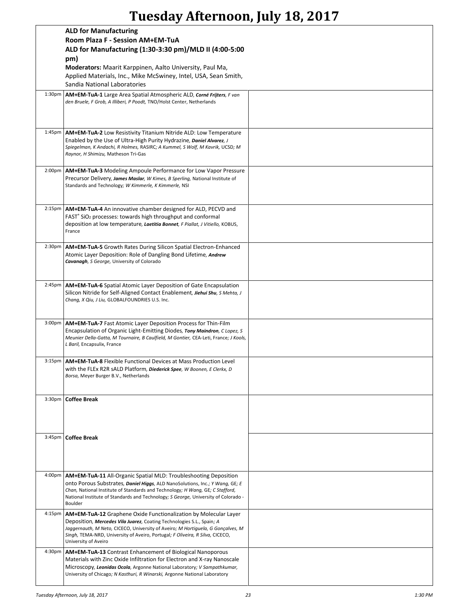# **Tuesday Afternoon, July 18, 2017**

|                     | <b>ALD for Manufacturing</b>                                                                                                                                        |  |
|---------------------|---------------------------------------------------------------------------------------------------------------------------------------------------------------------|--|
|                     | Room Plaza F - Session AM+EM-TuA                                                                                                                                    |  |
|                     | ALD for Manufacturing (1:30-3:30 pm)/MLD II (4:00-5:00                                                                                                              |  |
|                     | pm)                                                                                                                                                                 |  |
|                     | Moderators: Maarit Karppinen, Aalto University, Paul Ma,                                                                                                            |  |
|                     | Applied Materials, Inc., Mike McSwiney, Intel, USA, Sean Smith,                                                                                                     |  |
|                     | Sandia National Laboratories                                                                                                                                        |  |
| 1:30pm              | AM+EM-TuA-1 Large Area Spatial Atmospheric ALD, Corné Frijters, F van<br>den Bruele, F Grob, A Illiberi, P Poodt, TNO/Holst Center, Netherlands                     |  |
|                     |                                                                                                                                                                     |  |
|                     |                                                                                                                                                                     |  |
|                     |                                                                                                                                                                     |  |
|                     | 1:45pm   AM+EM-TuA-2 Low Resistivity Titanium Nitride ALD: Low Temperature                                                                                          |  |
|                     | Enabled by the Use of Ultra-High Purity Hydrazine, Daniel Alvarez, J<br>Spiegelman, K Andachi, R Holmes, RASIRC; A Kummel, S Wolf, M Kavrik, UCSD; M                |  |
|                     | Raynor, H Shimizu, Matheson Tri-Gas                                                                                                                                 |  |
|                     |                                                                                                                                                                     |  |
| 2:00pm              | AM+EM-TuA-3 Modeling Ampoule Performance for Low Vapor Pressure<br>Precursor Delivery, James Maslar, W Kimes, B Sperling, National Institute of                     |  |
|                     | Standards and Technology; W Kimmerle, K Kimmerle, NSI                                                                                                               |  |
|                     |                                                                                                                                                                     |  |
|                     |                                                                                                                                                                     |  |
|                     | 2:15pm   AM+EM-TuA-4 An innovative chamber designed for ALD, PECVD and<br>FAST <sup>®</sup> SiO <sub>2</sub> processes: towards high throughput and conformal       |  |
|                     | deposition at low temperature, Laetitia Bonnet, F Piallat, J Vitiello, KOBUS,                                                                                       |  |
|                     | France                                                                                                                                                              |  |
|                     |                                                                                                                                                                     |  |
| 2:30 <sub>pm</sub>  | <b>AM+EM-TuA-5</b> Growth Rates During Silicon Spatial Electron-Enhanced<br>Atomic Layer Deposition: Role of Dangling Bond Lifetime, Andrew                         |  |
|                     | Cavanagh, S George, University of Colorado                                                                                                                          |  |
|                     |                                                                                                                                                                     |  |
|                     |                                                                                                                                                                     |  |
| 2:45 <sub>pm</sub>  | AM+EM-TuA-6 Spatial Atomic Layer Deposition of Gate Encapsulation<br>Silicon Nitride for Self-Aligned Contact Enablement, Jiehui Shu, S Mehta, J                    |  |
|                     | Chang, X Qiu, J Liu, GLOBALFOUNDRIES U.S. Inc.                                                                                                                      |  |
|                     |                                                                                                                                                                     |  |
| $3:00p$ m           | AM+EM-TuA-7 Fast Atomic Layer Deposition Process for Thin-Film                                                                                                      |  |
|                     | Encapsulation of Organic Light-Emitting Diodes, Tony Maindron, C Lopez, S                                                                                           |  |
|                     | Meunier Della-Gatta, M Tournaire, B Caulfield, M Gontier, CEA-Leti, France; J Kools,                                                                                |  |
|                     | L Baril, Encapsulix, France                                                                                                                                         |  |
|                     | 3:15pm   AM+EM-TuA-8 Flexible Functional Devices at Mass Production Level                                                                                           |  |
|                     | with the FLEx R2R sALD Platform, Diederick Spee, W Boonen, E Clerkx, D                                                                                              |  |
|                     | Borsa, Meyer Burger B.V., Netherlands                                                                                                                               |  |
|                     |                                                                                                                                                                     |  |
|                     | 3:30pm   Coffee Break                                                                                                                                               |  |
|                     |                                                                                                                                                                     |  |
|                     |                                                                                                                                                                     |  |
|                     |                                                                                                                                                                     |  |
|                     | 3:45pm   Coffee Break                                                                                                                                               |  |
|                     |                                                                                                                                                                     |  |
|                     |                                                                                                                                                                     |  |
|                     |                                                                                                                                                                     |  |
| 4:00pm              | <b>AM+EM-TuA-11</b> All-Organic Spatial MLD: Troubleshooting Deposition                                                                                             |  |
|                     | onto Porous Substrates, Daniel Higgs, ALD NanoSolutions, Inc.; Y Wang, GE; E                                                                                        |  |
|                     | Chan, National Institute of Standards and Technology; H Wang, GE; C Stafford,<br>National Institute of Standards and Technology; S George, University of Colorado - |  |
|                     | Boulder                                                                                                                                                             |  |
| 4:15pm              | <b>AM+EM-TuA-12</b> Graphene Oxide Functionalization by Molecular Layer                                                                                             |  |
|                     | Deposition, Mercedes Vila Juarez, Coating Technologies S.L., Spain; A                                                                                               |  |
|                     | Jaggernauth, M Neto, CICECO, University of Aveiro; M Hortiguela, G Gonçalves, M<br>Singh, TEMA-NRD, University of Aveiro, Portugal; F Oliveira, R Silva, CICECO,    |  |
|                     | University of Aveiro                                                                                                                                                |  |
| 4:30 <sub>p</sub> m | <b>AM+EM-TuA-13</b> Contrast Enhancement of Biological Nanoporous                                                                                                   |  |
|                     | Materials with Zinc Oxide Infiltration for Electron and X-ray Nanoscale                                                                                             |  |
|                     | Microscopy, Leonidas Ocola, Argonne National Laboratory; V Sampathkumar,                                                                                            |  |
|                     | University of Chicago; N Kasthuri, R Winarski, Argonne National Laboratory                                                                                          |  |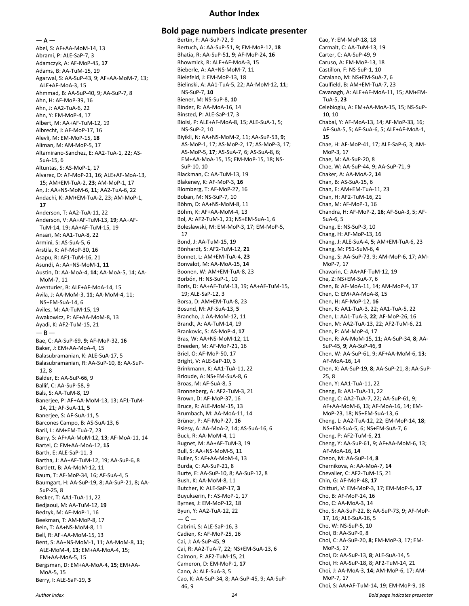#### **Author Index**

 $- A -$ 

Abel, S: AF+AA-MoM-14, 13 Abrami, P: ALE-SaP-7, 3 Adamczyk, A: AF-MoP-45, **17** Adams, B: AA-TuM-15, 19 Agarwal, S: AA-SuP-43, 9; AF+AA-MoM-7, 13; ALE+AF-MoA-3, 15 Ahmmad, B: AA-SuP-40, 9; AA-SuP-7, 8 Ahn, H: AF-MoP-39, 16 Ahn, J: AA2-TuA-6, 22 Ahn, Y: EM-MoP-4, 17 Albert, M: AA+AF-TuM-12, 19 Albrecht, J: AF-MoP-17, 16 Alevli, M: EM-MoP-15, **18** Aliman, M: AM-MoP-5, 17 Altamirano-Sanchez, E: AA2-TuA-1, 22; AS-SuA-15, 6 Altuntas, S: AS-MoP-1, 17 Alvarez, D: AF-MoP-21, 16; ALE+AF-MoA-13, 15; AM+EM-TuA-2, **23**; AM-MoP-1, 17 An, J: AA+NS-MoM-6, **11**; AA2-TuA-6, 22 Andachi, K: AM+EM-TuA-2, 23; AM-MoP-1, **17** Anderson, T: AA2-TuA-11, 22 Anderson, V: AA+AF-TuM-13, **19**; AA+AF-TuM-14, 19; AA+AF-TuM-15, 19 Ansari, M: AA1-TuA-8, 22 Armini, S: AS-SuA-5, 6 Arstila, K: AF-MoP-30, 16 Asapu, R: AF1-TuM-16, 21 Asundi, A: AA+NS-MoM-1, **11** Austin, D: AA-MoA-4, **14**; AA-MoA-5, 14; AA-MoM-7, 11 Aventurier, B: ALE+AF-MoA-14, 15 Avila, J: AA-MoM-3, **11**; AA-MoM-4, 11; NS+EM-SuA-14, 6 Aviles, M: AA-TuM-15, 19 Awakowicz, P: AF+AA-MoM-8, 13 Ayadi, K: AF2-TuM-15, 21  $-$  B  $-$ Bae, C: AA-SuP-69, **9**; AF-MoP-32, **16** Baker, J: EM+AA-MoA-4, 15 Balasubramanian, K: ALE-SuA-17, 5 Balasubramanian, R: AA-SuP-10, 8; AA-SuP-12, 8 Balder, E: AA-SuP-66, 9 Ballif, C: AA-SuP-58, 9 Bals, S: AA-TuM-8, 19 Banerjee, P: AF+AA-MoM-13, 13; AF1-TuM-14, 21; AF-SuA-11, **5** Banerjee, S: AF-SuA-11, 5 Barcones Campo, B: AS-SuA-13, 6 Baril, L: AM+EM-TuA-7, 23 Barry, S: AF+AA-MoM-12, **13**; AF-MoA-11, 14 Bartel, C: EM+AA-MoA-12, **15** Barth, E: ALE-SaP-11, 3 Bartha, J: AA+AF-TuM-12, 19; AA-SuP-6, 8 Bartlett, B: AA-MoM-12, 11 Baum, T: AF-MoP-34, 16; AF-SuA-4, 5 Baumgart, H: AA-SuP-19, 8; AA-SuP-21, 8; AA-SuP-25, 8 Becker, T: AA1-TuA-11, 22 Bedjaoui, M: AA-TuM-12, **19** Bedzyk, M: AF-MoP-1, 16 Beekman, T: AM-MoP-8, 17 Bein, T: AA+NS-MoM-8, 11 Bell, R: AF+AA-MoM-15, 13 Bent, S: AA+NS-MoM-1, 11; AA-MoM-8, **11**; ALE-MoM-4, **13**; EM+AA-MoA-4, 15; EM+AA-MoA-5, 15 Bergsman, D: EM+AA-MoA-4, **15**; EM+AA-MoA-5, 15 Berry, I: ALE-SaP-19, **3**

#### **Bold page numbers indicate presenter**

Bertin, F: AA-SuP-72, 9 Bertuch, A: AA-SuP-51, 9; EM-MoP-12, **18** Bhatia, R: AA-SuP-51, **9**; AF-MoP-24, **16** Bhowmick, R: ALE+AF-MoA-3, 15 Bieberle, A: AA+NS-MoM-7, 11 Bielefeld, J: EM-MoP-13, 18 Bielinski, A: AA1-TuA-5, 22; AA-MoM-12, **11**; NS-SuP-7, **10** Biener, M: NS-SuP-8, **10** Binder, R: AA-MoA-16, 14 Binsted, P: ALE-SaP-17, 3 Biolsi, P: ALE+AF-MoA-8, 15; ALE-SuA-1, 5; NS-SuP-2, 10 Biyikli, N: AA+NS-MoM-2, 11; AA-SuP-53, **9**; AS-MoP-1, 17; AS-MoP-2, 17; AS-MoP-3, 17; AS-MoP-5, **17**; AS-SuA-7, 6; AS-SuA-8, 6; EM+AA-MoA-15, 15; EM-MoP-15, 18; NS-SuP-10, 10 Blackman, C: AA-TuM-13, 19 Blakeney, K: AF-MoP-3, **16** Blomberg, T: AF-MoP-27, 16 Boban, M: NS-SuP-7, 10 Böhm, D: AA+NS-MoM-8, 11 Böhm, K: AF+AA-MoM-4, 13 Bol, A: AF2-TuM-1, 21; NS+EM-SuA-1, 6 Boleslawski, M: EM-MoP-3, 17; EM-MoP-5, 17 Bond, J: AA-TuM-15, 19 Bönhardt, S: AF2-TuM-12, **21** Bonnet, L: AM+EM-TuA-4, **23** Bonvalot, M: AA-MoA-15, **14** Boonen, W: AM+EM-TuA-8, 23 Borbón, H: NS-SuP-1, 10 Boris, D: AA+AF-TuM-13, 19; AA+AF-TuM-15, 19; ALE-SaP-12, 3 Borsa, D: AM+EM-TuA-8, 23 Bosund, M: AF-SuA-13, **5** Brancho, J: AA-MoM-12, 11 Brandt, A: AA-TuM-14, 19 Brankovic, S: AS-MoP-4, **17** Bras, W: AA+NS-MoM-12, 11 Breeden, M: AF-MoP-21, 16 Briel, O: AF-MoP-50, 17 Bright, V: ALE-SaP-10, 3 Brinkmann, K: AA1-TuA-11, 22 Brioude, A: NS+EM-SuA-8, 6 Broas, M: AF-SuA-8, 5 Bronneberg, A: AF2-TuM-3, 21 Brown, D: AF-MoP-37, 16 Bruce, R: ALE-MoM-15, 13 Brumbach, M: AA-MoA-11, 14 Brüner, P: AF-MoP-27, **16** Bsiesy, A: AA-MoA-2, 14; AS-SuA-16, 6 Buck, R: AA-MoM-4, 11 Bugnet, M: AA+AF-TuM-3, 19 Bull, S: AA+NS-MoM-5, 11 Buller, S: AF+AA-MoM-4, 13 Burda, C: AA-SuP-21, 8 Burte, E: AA-SuP-10, 8; AA-SuP-12, 8 Bush, K: AA-MoM-8, 11 Butcher, K: ALE-SaP-17, **3** Buyukserin, F: AS-MoP-1, 17 Byrnes, J: EM-MoP-12, 18 Byun, Y: AA2-TuA-12, 22  $-$  C  $-$ Cabrini, S: ALE-SaP-16, 3 Cadien, K: AF-MoP-25, 16 Cai, J: AA-SuP-45, 9 Cai, R: AA2-TuA-7, 22; NS+EM-SuA-13, 6 Calmon, F: AF2-TuM-15, 21 Cameron, D: EM-MoP-1, **17** Cano, A: ALE-SuA-3, 5 Cao, K: AA-SuP-34, 8; AA-SuP-45, 9; AA-SuP-46, 9

Cao, Y: EM-MoP-18, 18 Carmalt, C: AA-TuM-13, 19 Carter, C: AA-SuP-49, 9 Caruso, A: EM-MoP-13, 18 Castillon, F: NS-SuP-1, 10 Catalano, M: NS+EM-SuA-7, 6 Caulfield, B: AM+EM-TuA-7, 23 Cavanagh, A: ALE+AF-MoA-11, 15; AM+EM-TuA-5, **23** Celebioglu, A: EM+AA-MoA-15, 15; NS-SuP-10, 10 Chabal, Y: AF-MoA-13, 14; AF-MoP-33, 16; AF-SuA-5, 5; AF-SuA-6, 5; ALE+AF-MoA-1, **15** Chae, H: AF-MoP-41, 17; ALE-SaP-6, 3; AM-MoP-3, 17 Chae, M: AA-SuP-20, 8 Chae, W: AA-SuP-44, 9; AA-SuP-71, 9 Chaker, A: AA-MoA-2, **14** Chan, B: AS-SuA-15, 6 Chan, E: AM+EM-TuA-11, 23 Chan, H: AF2-TuM-16, 21 Chan, M: AF-MoP-1, 16 Chandra, H: AF-MoP-2, **16**; AF-SuA-3, 5; AF-SuA-6, 5 Chang, E: NS-SuP-3, 10 Chang, H: AF-MoP-13, 16 Chang, J: ALE-SuA-4, **5**; AM+EM-TuA-6, 23 Chang, M: PS1-SuM-6, **4** Chang, S: AA-SuP-73, 9; AM-MoP-6, 17; AM-MoP-7, 17 Chavarin, C: AA+AF-TuM-12, 19 Che, Z: NS+EM-SuA-7, 6 Chen, B: AF-MoA-11, 14; AM-MoP-4, 17 Chen, C: EM+AA-MoA-8, 15 Chen, H: AF-MoP-12, **16** Chen, K: AA1-TuA-3, 22; AA1-TuA-5, 22 Chen, L: AA1-TuA-3, **22**; AF-MoP-26, 16 Chen, M: AA2-TuA-13, 22; AF2-TuM-6, 21 Chen, P: AM-MoP-4, 17 Chen, R: AA-MoM-15, 11; AA-SuP-34, **8**; AA-SuP-45, **9**; AA-SuP-46, **9** Chen, W: AA-SuP-61, 9; AF+AA-MoM-6, **13**; AF-MoA-16, 14 Chen, X: AA-SuP-19, **8**; AA-SuP-21, 8; AA-SuP-25, 8 Chen, Y: AA1-TuA-11, 22 Cheng, B: AA1-TuA-11, 22 Cheng, C: AA2-TuA-7, 22; AA-SuP-61, 9; AF+AA-MoM-6, 13; AF-MoA-16, 14; EM-MoP-23, 18; NS+EM-SuA-13, 6 Cheng, L: AA2-TuA-12, 22; EM-MoP-14, **18**; NS+EM-SuA-5, 6; NS+EM-SuA-7, 6 Cheng, P: AF2-TuM-6, **21** Cheng, Y: AA-SuP-61, 9; AF+AA-MoM-6, 13; AF-MoA-16, **14** Cheon, M: AA-SuP-14, **8** Chernikova, A: AA-MoA-7, **14** Chevalier, C: AF2-TuM-15, 21 Chin, G: AF-MoP-48, **17** Chitturi, V: EM-MoP-3, 17; EM-MoP-5, **17** Cho, B: AF-MoP-14, 16 Cho, C: AA-MoA-3, 14 Cho, S: AA-SuP-22, 8; AA-SuP-73, 9; AF-MoP-17, 16; ALE-SuA-16, 5 Cho, W: NS-SuP-5, 10 Choi, B: AA-SuP-9, 8 Choi, C: AA-SuP-20, **8**; EM-MoP-3, 17; EM-MoP-5, 17 Choi, D: AA-SuP-13, **8**; ALE-SuA-14, 5 Choi, H: AA-SuP-18, 8; AF2-TuM-14, 21 Choi, J: AA-MoA-3, **14**; AM-MoP-6, 17; AM-MoP-7, 17 Choi, S: AA+AF-TuM-14, 19; EM-MoP-9, 18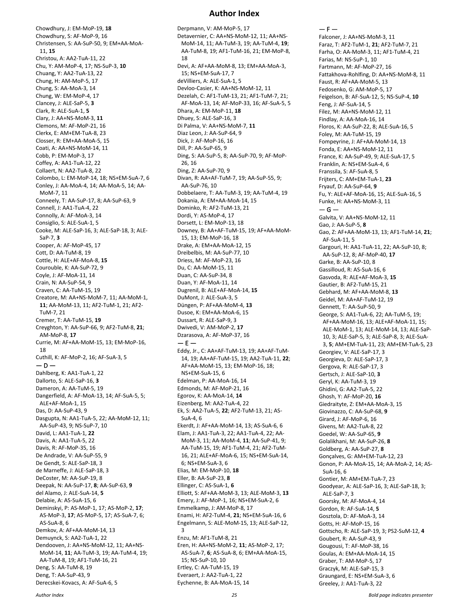#### **Author Index**

Chowdhury, J: EM-MoP-19, **18** Chowdhury, S: AF-MoP-9, 16 Christensen, S: AA-SuP-50, 9; EM+AA-MoA-11, **15** Christou, A: AA2-TuA-11, 22 Chu, Y: AM-MoP-4, 17; NS-SuP-3, **10** Chuang, Y: AA2-TuA-13, 22 Chung, H: AM-MoP-5, 17 Chung, S: AA-MoA-3, 14 Chung, W: EM-MoP-4, 17 Clancey, J: ALE-SaP-5, **3** Clark, R: ALE-SuA-1, **5** Clary, J: AA+NS-MoM-3, **11** Clemons, M: AF-MoP-21, 16 Clerkx, E: AM+EM-TuA-8, 23 Closser, R: EM+AA-MoA-5, 15 Coati, A: AA+NS-MoM-14, 11 Cobb, P: EM-MoP-3, 17 Coffey, A: AA1-TuA-12, 22 Collaert, N: AA2-TuA-8, 22 Colombo, L: EM-MoP-14, 18; NS+EM-SuA-7, 6 Conley, J: AA-MoA-4, 14; AA-MoA-5, 14; AA-MoM-7, 11 Conneely, T: AA-SuP-17, 8; AA-SuP-63, 9 Connell, J: AA1-TuA-4, 22 Connolly, A: AF-MoA-3, 14 Consiglio, S: ALE-SuA-1, 5 Cooke, M: ALE-SaP-16, 3; ALE-SaP-18, 3; ALE-SaP-7, **3** Cooper, A: AF-MoP-45, 17 Cott, D: AA-TuM-8, 19 Cottle, H: ALE+AF-MoA-8, **15** Courouble, K: AA-SuP-72, 9 Coyle, J: AF-MoA-11, 14 Crain, N: AA-SuP-54, 9 Craven, C: AA-TuM-15, 19 Creatore, M: AA+NS-MoM-7, 11; AA-MoM-1, **11**; AA-MoM-13, 11; AF2-TuM-1, 21; AF2- TuM-7, 21 Cremer, T: AA-TuM-15, **19** Creyghton, Y: AA-SuP-66, 9; AF2-TuM-8, **21**; AM-MoP-8, **17** Currie, M: AF+AA-MoM-15, 13; EM-MoP-16, 18 Cuthill, K: AF-MoP-2, 16; AF-SuA-3, 5  $-$  D – Dahlberg, K: AA1-TuA-1, 22 Dallorto, S: ALE-SaP-16, **3** Dameron, A: AA-TuM-5, 19 Dangerfield, A: AF-MoA-13, 14; AF-SuA-5, 5; ALE+AF-MoA-1, 15 Das, D: AA-SuP-43, 9 Dasgupta, N: AA1-TuA-5, 22; AA-MoM-12, 11; AA-SuP-43, 9; NS-SuP-7, 10 David, L: AA1-TuA-1, **22** Davis, A: AA1-TuA-5, 22 Davis, R: AF-MoP-35, 16 De Andrade, V: AA-SuP-55, 9 De Gendt, S: ALE-SaP-18, 3 de Marneffe, J: ALE-SaP-18, 3 DeCoster, M: AA-SuP-19, 8 Deepak, N: AA-SuP-17, **8**; AA-SuP-63, **9** del Alamo, J: ALE-SuA-14, **5** Delabie, A: AS-SuA-15, 6 Deminskyi, P: AS-MoP-1, 17; AS-MoP-2, **17**; AS-MoP-3, **17**; AS-MoP-5, 17; AS-SuA-7, 6; AS-SuA-8, 6 Demkov, A: AF+AA-MoM-14, 13 Demuynck, S: AA2-TuA-1, 22 Dendooven, J: AA+NS-MoM-12, 11; AA+NS-MoM-14, **11**; AA-TuM-3, 19; AA-TuM-4, 19; AA-TuM-8, 19; AF1-TuM-16, 21 Deng, S: AA-TuM-8, 19 Deng, T: AA-SuP-43, 9 Derecskei-Kovacs, A: AF-SuA-6, 5

Derpmann, V: AM-MoP-5, 17 Detavernier, C: AA+NS-MoM-12, 11; AA+NS-MoM-14, 11; AA-TuM-3, 19; AA-TuM-4, **19**; AA-TuM-8, 19; AF1-TuM-16, 21; EM-MoP-8, 18 Devi, A: AF+AA-MoM-8, 13; EM+AA-MoA-3, 15; NS+EM-SuA-17, 7 deVilliers, A: ALE-SuA-1, 5 Devloo-Casier, K: AA+NS-MoM-12, 11 Dezelah, C: AF1-TuM-13, 21; AF1-TuM-7, 21; AF-MoA-13, 14; AF-MoP-33, 16; AF-SuA-5, 5 Dhara, A: EM-MoP-11, **18** Dhuey, S: ALE-SaP-16, 3 Di Palma, V: AA+NS-MoM-7, **11** Diaz Leon, J: AA-SuP-64, 9 Dick, J: AF-MoP-16, 16 Dill, P: AA-SuP-65, 9 Ding, S: AA-SuP-5, 8; AA-SuP-70, 9; AF-MoP-26, 16 Ding, Z: AA-SuP-70, 9 Divan, R: AA+AF-TuM-7, 19; AA-SuP-55, 9; AA-SuP-76, 10 Dobbelaere, T: AA-TuM-3, 19; AA-TuM-4, 19 Dokania, A: EM+AA-MoA-14, 15 Dominko, R: AF2-TuM-13, 21 Dordi, Y: AS-MoP-4, 17 Dorsett, L: EM-MoP-13, 18 Downey, B: AA+AF-TuM-15, 19; AF+AA-MoM-15, 13; EM-MoP-16, 18 Drake, A: EM+AA-MoA-12, 15 Dreibelbis, M: AA-SuP-77, 10 Driess, M: AF-MoP-23, 16 Du, C: AA-MoM-15, 11 Duan, C: AA-SuP-34, 8 Duan, Y: AF-MoA-11, 14 Dugrenil, B: ALE+AF-MoA-14, **15** DuMont, J: ALE-SuA-3, 5 Düngen, P: AF+AA-MoM-4, **13** Dusoe, K: EM+AA-MoA-6, 15 Dussart, R: ALE-SaP-9, 3 Dwivedi, V: AM-MoP-2, **17** Dzarasova, A: AF-MoP-37, 16  $- E -$ Eddy, Jr., C: AA+AF-TuM-13, 19; AA+AF-TuM-14, 19; AA+AF-TuM-15, 19; AA2-TuA-11, **22**; AF+AA-MoM-15, 13; EM-MoP-16, 18; NS+EM-SuA-15, 6 Edelman, P: AA-MoA-16, 14 Edmonds, M: AF-MoP-21, 16 Egorov, K: AA-MoA-14, **14** Eizenberg, M: AA2-TuA-4, 22 Ek, S: AA2-TuA-5, **22**; AF2-TuM-13, 21; AS-SuA-4, 6 Ekerdt, J: AF+AA-MoM-14, 13; AS-SuA-6, 6 Elam, J: AA1-TuA-3, 22; AA1-TuA-4, 22; AA-MoM-3, 11; AA-MoM-4, **11**; AA-SuP-41, 9; AA-TuM-15, 19; AF1-TuM-4, 21; AF2-TuM-16, 21; ALE+AF-MoA-6, 15; NS+EM-SuA-14, 6; NS+EM-SuA-3, 6 Elias, M: EM-MoP-10, **18** Eller, B: AA-SuP-23, **8** Ellinger, C: AS-SuA-1, **6** Elliott, S: AF+AA-MoM-3, 13; ALE-MoM-3, **13** Emery, J: AF-MoP-1, 16; NS+EM-SuA-2, 6 Emmelkamp, J: AM-MoP-8, 17 Enami, H: AF2-TuM-4, **21**; NS+EM-SuA-16, 6 Engelmann, S: ALE-MoM-15, 13; ALE-SaP-12, 3 Enzu, M: AF1-TuM-8, 21 Eren, H: AA+NS-MoM-2, **11**; AS-MoP-2, 17; AS-SuA-7, **6**; AS-SuA-8, 6; EM+AA-MoA-15, 15; NS-SuP-10, 10 Ertley, C: AA-TuM-15, 19 Everaert, J: AA2-TuA-1, 22

 $- F -$ Falconer, J: AA+NS-MoM-3, 11 Faraz, T: AF2-TuM-1, **21**; AF2-TuM-7, 21 Farha, O: AA-MoM-3, 11; AF1-TuM-4, 21 Farias, M: NS-SuP-1, 10 Fartmann, M: AF-MoP-27, 16 Fattakhova-Rohlfing, D: AA+NS-MoM-8, 11 Faust, R: AF+AA-MoM-5, 13 Fedosenko, G: AM-MoP-5, 17 Feigelson, B: AF-SuA-12, 5; NS-SuP-4, **10** Feng, J: AF-SuA-14, 5 Filez, M: AA+NS-MoM-12, 11 Findlay, A: AA-MoA-16, 14 Floros, K: AA-SuP-22, 8; ALE-SuA-16, 5 Foley, M: AA-TuM-15, 19 Fompeyrine, J: AF+AA-MoM-14, 13 Fonda, E: AA+NS-MoM-12, 11 France, K: AA-SuP-49, 9; ALE-SuA-17, 5 Franklin, A: NS+EM-SuA-4, 6 Franssila, S: AF-SuA-8, 5 Frijters, C: AM+EM-TuA-1, **23** Fryauf, D: AA-SuP-64, **9** Fu, Y: ALE+AF-MoA-16, 15; ALE-SuA-16, 5 Funke, H: AA+NS-MoM-3, 11 — G — Galvita, V: AA+NS-MoM-12, 11 Gao, J: AA-SuP-5, **8** Gao, Z: AF+AA-MoM-13, 13; AF1-TuM-14, **21**; AF-SuA-11, 5 Gargouri, H: AA1-TuA-11, 22; AA-SuP-10, 8; AA-SuP-12, 8; AF-MoP-40, **17** Garke, B: AA-SuP-10, 8 Gassilloud, R: AS-SuA-16, 6 Gasvoda, R: ALE+AF-MoA-3, **15** Gautier, B: AF2-TuM-15, 21 Gebhard, M: AF+AA-MoM-8, **13** Geidel, M: AA+AF-TuM-12, 19 Gennett, T: AA-SuP-50, 9 George, S: AA1-TuA-6, 22; AA-TuM-5, 19; AF+AA-MoM-16, 13; ALE+AF-MoA-11, 15; ALE-MoM-1, 13; ALE-MoM-14, 13; ALE-SaP-10, 3; ALE-SaP-5, 3; ALE-SaP-8, 3; ALE-SuA-3, **5**; AM+EM-TuA-11, 23; AM+EM-TuA-5, 23 Georgiev, V: ALE-SaP-17, 3 Georgieva, D: ALE-SaP-17, 3 Gergova, R: ALE-SaP-17, 3 Gertsch, J: ALE-SaP-10, **3** Geryl, K: AA-TuM-3, 19 Ghidini, G: AA2-TuA-5, 22 Ghosh, Y: AF-MoP-20, **16** Giedraityte, Z: EM+AA-MoA-3, 15 Giovinazzo, C: AA-SuP-68, **9** Girard, J: AF-MoP-6, 16 Givens, M: AA2-TuA-8, 22 Goedel, W: AA-SuP-65, **9** Golalikhani, M: AA-SuP-26, **8** Goldberg, A: AA-SuP-27, **8** Gonçalves, G: AM+EM-TuA-12, 23 Gonon, P: AA-MoA-15, 14; AA-MoA-2, 14; AS-SuA-16, 6 Gontier, M: AM+EM-TuA-7, 23 Goodyear, A: ALE-SaP-16, 3; ALE-SaP-18, 3; ALE-SaP-7, 3 Goorsky, M: AF-MoA-4, 14 Gordon, R: AF-SuA-14, **5** Gosztola, D: AF-MoA-3, 14 Gotts, H: AF-MoP-15, 16 Gottscho, R: ALE-SaP-19, 3; PS2-SuM-12, **4** Goubert, R: AA-SuP-43, 9 Gougousi, T: AF-MoP-38, 16 Goulas, A: EM+AA-MoA-14, 15 Graber, T: AM-MoP-5, 17 Graczyk, M: ALE-SaP-15, 3 Graungard, E: NS+EM-SuA-3, 6 Greeley, J: AA1-TuA-3, 22

Eychenne, B: AA-MoA-15, 14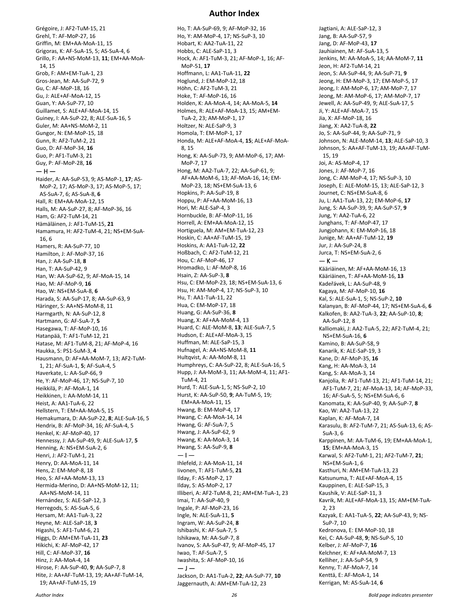Grégoire, J: AF2-TuM-15, 21 Grehl, T: AF-MoP-27, 16 Griffin, M: EM+AA-MoA-11, 15 Grigoras, K: AF-SuA-15, 5; AS-SuA-4, 6 Grillo, F: AA+NS-MoM-13, **11**; EM+AA-MoA-14, 15 Grob, F: AM+EM-TuA-1, 23 Gros-Jean, M: AA-SuP-72, 9 Gu, C: AF-MoP-18, 16 Gu, J: ALE+AF-MoA-12, 15 Guan, Y: AA-SuP-77, 10 Guillamet, S: ALE+AF-MoA-14, 15 Guiney, I: AA-SuP-22, 8; ALE-SuA-16, 5 Guler, M: AA+NS-MoM-2, 11 Gungor, N: EM-MoP-15, 18 Gunn, R: AF2-TuM-2, 21 Guo, D: AF-MoP-34, **16** Guo, P: AF1-TuM-3, 21 Guy, P: AF-MoP-28, **16**  $-$  H  $-$ Haider, A: AA-SuP-53, 9; AS-MoP-1, **17**; AS-MoP-2, 17; AS-MoP-3, 17; AS-MoP-5, 17; AS-SuA-7, 6; AS-SuA-8, **6** Hall, R: EM+AA-MoA-12, 15 Halls, M: AA-SuP-27, 8; AF-MoP-36, 16 Ham, G: AF2-TuM-14, 21 Hämäläinen, J: AF1-TuM-15, **21** Hamamura, H: AF2-TuM-4, 21; NS+EM-SuA-16, 6 Hamers, R: AA-SuP-77, 10 Hamilton, J: AF-MoP-37, 16 Han, J: AA-SuP-18, **8** Han, T: AA-SuP-42, 9 Han, W: AA-SuP-62, 9; AF-MoA-15, 14 Hao, M: AF-MoP-9, **16** Hao, W: NS+EM-SuA-8, **6** Harada, S: AA-SuP-17, 8; AA-SuP-63, 9 Häringer, S: AA+NS-MoM-8, 11 Harmgarth, N: AA-SuP-12, 8 Hartmann, G: AF-SuA-7, **5** Hasegawa, T: AF-MoP-10, 16 Hatanpää, T: AF1-TuM-12, 21 Hatase, M: AF1-TuM-8, 21; AF-MoP-4, 16 Haukka, S: PS1-SuM-3, **4** Hausmann, D: AF+AA-MoM-7, 13; AF2-TuM-1, 21; AF-SuA-1, **5**; AF-SuA-4, 5 Haverkate, L: AA-SuP-66, 9 He, Y: AF-MoP-46, 17; NS-SuP-7, 10 Heikkilä, P: AF-MoA-1, 14 Heikkinen, I: AA-MoM-14, 11 Heist, A: AA1-TuA-6, 22 Hellstern, T: EM+AA-MoA-5, 15 Hemakumara, D: AA-SuP-22, **8**; ALE-SuA-16, 5 Hendrix, B: AF-MoP-34, 16; AF-SuA-4, 5 Henkel, K: AF-MoP-40, 17 Hennessy, J: AA-SuP-49, 9; ALE-SuA-17, **5** Henning, A: NS+EM-SuA-2, 6 Henri, J: AF2-TuM-1, 21 Henry, D: AA-MoA-11, 14 Hens, Z: EM-MoP-8, 18 Heo, S: AF+AA-MoM-13, 13 Hermida-Merino, D: AA+NS-MoM-12, 11; AA+NS-MoM-14, 11 Hernández, S: ALE-SaP-12, 3 Herregods, S: AS-SuA-5, 6 Hersam, M: AA1-TuA-3, 22 Heyne, M: ALE-SaP-18, **3** Higashi, S: AF1-TuM-6, 21 Higgs, D: AM+EM-TuA-11, **23** Hikichi, K: AF-MoP-42, 17 Hill, C: AF-MoP-37, **16** Hinz, J: AA-MoA-4, 14 Hirose, F: AA-SuP-40, **9**; AA-SuP-7, 8 Hite, J: AA+AF-TuM-13, 19; AA+AF-TuM-14, 19; AA+AF-TuM-15, 19

#### **Author Index**

Ho, T: AA-SuP-69, 9; AF-MoP-32, 16 Ho, Y: AM-MoP-4, 17; NS-SuP-3, 10 Hobart, K: AA2-TuA-11, 22 Hobbs, C: ALE-SaP-11, 3 Hock, A: AF1-TuM-3, 21; AF-MoP-1, 16; AF-MoP-51, **17** Hoffmann, L: AA1-TuA-11, **22** Hoglund, J: EM-MoP-12, 18 Höhn, C: AF2-TuM-3, 21 Hoke, T: AF-MoP-16, 16 Holden, K: AA-MoA-4, 14; AA-MoA-5, **14** Holmes, R: ALE+AF-MoA-13, 15; AM+EM-TuA-2, 23; AM-MoP-1, 17 Holtzer, N: ALE-SaP-9, 3 Homola, T: EM-MoP-1, 17 Honda, M: ALE+AF-MoA-4, **15**; ALE+AF-MoA-8, 15 Hong, K: AA-SuP-73, 9; AM-MoP-6, 17; AM-MoP-7, 17 Hong, M: AA2-TuA-7, 22; AA-SuP-61, 9; AF+AA-MoM-6, 13; AF-MoA-16, 14; EM-MoP-23, 18; NS+EM-SuA-13, 6 Hopkins, P: AA-SuP-19, 8 Hoppu, P: AF+AA-MoM-16, 13 Hori, M: ALE-SaP-4, 3 Hornbuckle, B: AF-MoP-11, 16 Horrell, A: EM+AA-MoA-12, 15 Hortiguela, M: AM+EM-TuA-12, 23 Hoskin, C: AA+AF-TuM-15, 19 Hoskins, A: AA1-TuA-12, **22** Hoßbach, C: AF2-TuM-12, 21 Hou, C: AF-MoP-46, 17 Hromadko, L: AF-MoP-8, 16 Hsain, Z: AA-SuP-3, **8** Hsu, C: EM-MoP-23, 18; NS+EM-SuA-13, 6 Hsu, H: AM-MoP-4, 17; NS-SuP-3, 10 Hu, T: AA1-TuA-11, 22 Hua, C: EM-MoP-17, 18 Huang, G: AA-SuP-36, **8** Huang, X: AF+AA-MoM-4, 13 Huard, C: ALE-MoM-8, **13**; ALE-SuA-7, 5 Hudson, E: ALE+AF-MoA-3, 15 Huffman, M: ALE-SaP-15, 3 Hufnagel, A: AA+NS-MoM-8, **11** Hultqvist, A: AA-MoM-8, 11 Humphreys, C: AA-SuP-22, 8; ALE-SuA-16, 5 Hupp, J: AA-MoM-3, 11; AA-MoM-4, 11; AF1- TuM-4, 21 Hurd, T: ALE-SuA-1, 5; NS-SuP-2, 10 Hurst, K: AA-SuP-50, **9**; AA-TuM-5, 19; EM+AA-MoA-11, 15 Hwang, B: EM-MoP-4, 17 Hwang, C: AA-MoA-14, 14 Hwang, G: AF-SuA-7, 5 Hwang, J: AA-SuP-62, 9 Hwang, K: AA-MoA-3, 14 Hwang, S: AA-SuP-9, **8**  $-1-$ Ihlefeld, J: AA-MoA-11, 14 Iivonen, T: AF1-TuM-5, **21** Ilday, F: AS-MoP-2, 17 Ilday, S: AS-MoP-2, 17 Illiberi, A: AF2-TuM-8, 21; AM+EM-TuA-1, 23 Imai, T: AA-SuP-40, 9 Ingale, P: AF-MoP-23, 16 Ingle, N: ALE-SuA-11, **5** Ingram, W: AA-SuP-24, **8** Ishibashi, K: AF-SuA-7, 5 Ishikawa, M: AA-SuP-7, 8 Ivanov, S: AA-SuP-47, 9; AF-MoP-45, 17 Iwao, T: AF-SuA-7, 5 Iwashita, S: AF-MoP-10, 16 — J — Jackson, D: AA1-TuA-2, **22**; AA-SuP-77, **10** Jaggernauth, A: AM+EM-TuA-12, 23

Jagtiani, A: ALE-SaP-12, 3 Jang, B: AA-SuP-57, 9 Jang, D: AF-MoP-43, **17** Jauhiainen, M: AF-SuA-13, 5 Jenkins, M: AA-MoA-5, 14; AA-MoM-7, **11** Jeon, H: AF2-TuM-14, 21 Jeon, S: AA-SuP-44, 9; AA-SuP-71, **9** Jeong, H: EM-MoP-3, 17; EM-MoP-5, 17 Jeong, I: AM-MoP-6, 17; AM-MoP-7, 17 Jeong, M: AM-MoP-6, 17; AM-MoP-7, 17 Jewell, A: AA-SuP-49, 9; ALE-SuA-17, 5 Ji, Y: ALE+AF-MoA-7, 15 Jia, X: AF-MoP-18, 16 Jiang, X: AA2-TuA-8, **22** Jo, S: AA-SuP-44, 9; AA-SuP-71, 9 Johnson, N: ALE-MoM-14, **13**; ALE-SaP-10, 3 Johnson, S: AA+AF-TuM-13, 19; AA+AF-TuM-15, 19 Joi, A: AS-MoP-4, 17 Jones, J: AF-MoP-7, 16 Jong, C: AM-MoP-4, 17; NS-SuP-3, 10 Joseph, E: ALE-MoM-15, 13; ALE-SaP-12, 3 Journet, C: NS+EM-SuA-8, 6 Ju, L: AA1-TuA-13, 22; EM-MoP-6, **17** Jung, S: AA-SuP-39, 9; AA-SuP-57, **9** Jung, Y: AA2-TuA-6, 22 Junghans, T: AF-MoP-47, 17 Jungjohann, K: EM-MoP-16, 18 Junige, M: AA+AF-TuM-12, **19** Jur, J: AA-SuP-24, 8 Jurca, T: NS+EM-SuA-2, 6  $-$  K  $-$ Kääriäinen, M: AF+AA-MoM-16, 13 Kääriäinen, T: AF+AA-MoM-16, **13** Kadeřávek, L: AA-SuP-48, 9 Kagaya, M: AF-MoP-10, **16** Kal, S: ALE-SuA-1, 5; NS-SuP-2, **10** Kalanyan, B: AF-MoP-44, 17; NS+EM-SuA-6, **6** Kalkofen, B: AA2-TuA-3, **22**; AA-SuP-10, **8**; AA-SuP-12, 8 Kalliomaki, J: AA2-TuA-5, 22; AF2-TuM-4, 21; NS+EM-SuA-16, **6** Kamino, B: AA-SuP-58, 9 Kanarik, K: ALE-SaP-19, 3 Kane, D: AF-MoP-35, **16** Kang, H: AA-MoA-3, 14 Kang, S: AA-MoA-3, 14 Kanjolia, R: AF1-TuM-13, 21; AF1-TuM-14, 21; AF1-TuM-7, 21; AF-MoA-13, 14; AF-MoP-33, 16; AF-SuA-5, 5; NS+EM-SuA-6, 6 Kanomata, K: AA-SuP-40, 9; AA-SuP-7, **8** Kao, W: AA2-TuA-13, 22 Kaplan, K: AF-MoA-7, 14 Karasulu, B: AF2-TuM-7, 21; AS-SuA-13, 6; AS-SuA-3, 6 Karppinen, M: AA-TuM-6, 19; EM+AA-MoA-1, **15**; EM+AA-MoA-3, 15 Karwal, S: AF2-TuM-1, 21; AF2-TuM-7, **21**; NS+EM-SuA-1, 6 Kasthuri, N: AM+EM-TuA-13, 23 Katsunuma, T: ALE+AF-MoA-4, 15 Kauppinen, E: ALE-SaP-15, 3 Kaushik, V: ALE-SaP-11, 3 Kavrik, M: ALE+AF-MoA-13, 15; AM+EM-TuA-2, 23 Kazyak, E: AA1-TuA-5, **22**; AA-SuP-43, 9; NS-SuP-7, 10 Kedronova, E: EM-MoP-10, 18 Kei, C: AA-SuP-48, **9**; NS-SuP-5, 10 Kelber, J: AF-MoP-7, **16** Kelchner, K: AF+AA-MoM-7, 13 Kelliher, J: AA-SuP-54, 9 Kenny, T: AF-MoA-7, 14 Kenttä, E: AF-MoA-1, 14 Kerrigan, M: AS-SuA-14, **6**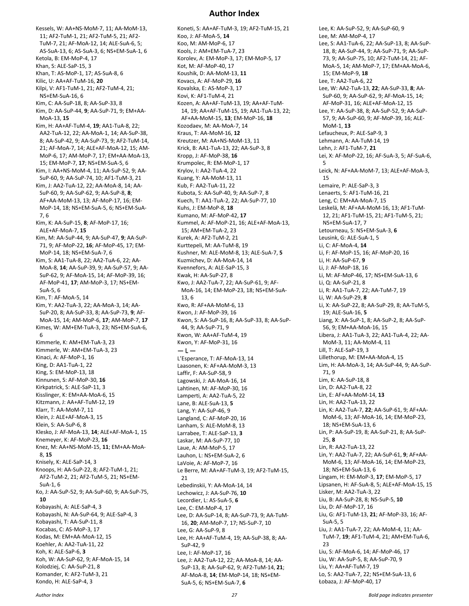#### **Author Index**

Kessels, W: AA+NS-MoM-7, 11; AA-MoM-13, 11; AF2-TuM-1, 21; AF2-TuM-5, 21; AF2- TuM-7, 21; AF-MoA-12, 14; ALE-SuA-6, 5; AS-SuA-13, 6; AS-SuA-3, 6; NS+EM-SuA-1, 6 Ketola, B: EM-MoP-4, 17 Khan, S: ALE-SaP-15, 3 Khan, T: AS-MoP-1, 17; AS-SuA-8, 6 Kilic, U: AA+AF-TuM-16, **20** Kilpi, V: AF1-TuM-1, 21; AF2-TuM-4, 21; NS+EM-SuA-16, 6 Kim, C: AA-SuP-18, 8; AA-SuP-33, 8 Kim, D: AA-SuP-44, **9**; AA-SuP-71, 9; EM+AA-MoA-13, **15** Kim, H: AA+AF-TuM-4, **19**; AA1-TuA-8, 22; AA2-TuA-12, 22; AA-MoA-1, 14; AA-SuP-38, 8; AA-SuP-42, 9; AA-SuP-73, 9; AF2-TuM-14, 21; AF-MoA-7, 14; ALE+AF-MoA-12, 15; AM-MoP-6, 17; AM-MoP-7, 17; EM+AA-MoA-13, 15; EM-MoP-7, **17**; NS+EM-SuA-5, 6 Kim, I: AA+NS-MoM-4, 11; AA-SuP-52, 9; AA-SuP-60, 9; AA-SuP-74, 10; AF1-TuM-3, 21 Kim, J: AA2-TuA-12, 22; AA-MoA-8, 14; AA-SuP-60, 9; AA-SuP-62, 9; AA-SuP-8, **8**; AF+AA-MoM-13, 13; AF-MoP-17, 16; EM-MoP-14, 18; NS+EM-SuA-5, 6; NS+EM-SuA-7, 6 Kim, K: AA-SuP-15, **8**; AF-MoP-17, 16; ALE+AF-MoA-7, **15** Kim, M: AA-SuP-44, 9; AA-SuP-47, **9**; AA-SuP-71, 9; AF-MoP-22, **16**; AF-MoP-45, 17; EM-MoP-14, 18; NS+EM-SuA-7, 6 Kim, S: AA1-TuA-8, 22; AA2-TuA-6, 22; AA-MoA-8, **14**; AA-SuP-39, 9; AA-SuP-57, 9; AA-SuP-62, 9; AF-MoA-15, 14; AF-MoP-39, 16; AF-MoP-41, **17**; AM-MoP-3, 17; NS+EM-SuA-5, 6 Kim, T: AF-MoA-5, 14 Kim, Y: AA2-TuA-3, 22; AA-MoA-3, 14; AA-SuP-20, 8; AA-SuP-33, 8; AA-SuP-73, **9**; AF-MoA-15, 14; AM-MoP-6, **17**; AM-MoP-7, **17** Kimes, W: AM+EM-TuA-3, 23; NS+EM-SuA-6, 6 Kimmerle, K: AM+EM-TuA-3, 23 Kimmerle, W: AM+EM-TuA-3, 23 Kinaci, A: AF-MoP-1, 16 King, D: AA1-TuA-1, 22 King, S: EM-MoP-13, 18 Kinnunen, S: AF-MoP-30, **16** Kirkpatrick, S: ALE-SaP-11, 3 Kisslinger, K: EM+AA-MoA-6, 15 Kitzmann, J: AA+AF-TuM-12, 19 Klarr, T: AA-MoM-7, 11 Klein, J: ALE+AF-MoA-3, 15 Klein, S: AA-SuP-6, 8 Klesko, J: AF-MoA-13, **14**; ALE+AF-MoA-1, 15 Knemeyer, K: AF-MoP-23, **16** Knez, M: AA+NS-MoM-15, **11**; EM+AA-MoA-8, **15** Knisely, K: ALE-SaP-14, 3 Knoops, H: AA-SuP-22, 8; AF2-TuM-1, 21; AF2-TuM-2, 21; AF2-TuM-5, 21; NS+EM-SuA-1, 6 Ko, J: AA-SuP-52, 9; AA-SuP-60, 9; AA-SuP-75, **10** Kobayashi, A: ALE-SaP-4, 3 Kobayashi, N: AA-SuP-64, 9; ALE-SaP-4, 3 Kobayashi, T: AA-SuP-11, 8 Kocabas, C: AS-MoP-3, 17 Kodas, M: EM+AA-MoA-12, 15 Koehler, A: AA2-TuA-11, 22 Koh, K: ALE-SaP-6, **3** Koh, W: AA-SuP-62, 9; AF-MoA-15, 14 Kolodziej, C: AA-SuP-21, 8 Komander, K: AF2-TuM-3, 21 Kondo, H: ALE-SaP-4, 3

Koneti, S: AA+AF-TuM-3, 19; AF2-TuM-15, 21 Koo, J: AF-MoA-5, **14** Koo, M: AM-MoP-6, 17 Kools, J: AM+EM-TuA-7, 23 Korolev, A: EM-MoP-3, 17; EM-MoP-5, 17 Kot, M: AF-MoP-40, 17 Koushik, D: AA-MoM-13, **11** Kovacs, A: AF-MoP-29, **16** Kovalska, E: AS-MoP-3, 17 Kovi, K: AF1-TuM-4, 21 Kozen, A: AA+AF-TuM-13, 19; AA+AF-TuM-14, 19; AA+AF-TuM-15, 19; AA1-TuA-13, 22; AF+AA-MoM-15, **13**; EM-MoP-16, **18** Kozodaev, M: AA-MoA-7, 14 Kraus, T: AA-MoM-16, **12** Kreutzer, M: AA+NS-MoM-13, 11 Krick, B: AA1-TuA-13, 22; AA-SuP-3, 8 Kropp, J: AF-MoP-38, **16** Krumpolec, R: EM-MoP-1, 17 Krylov, I: AA2-TuA-4, 22 Kuang, Y: AA-MoM-13, 11 Kub, F: AA2-TuA-11, 22 Kubota, S: AA-SuP-40, 9; AA-SuP-7, 8 Kuech, T: AA1-TuA-2, 22; AA-SuP-77, 10 Kuhs, J: EM-MoP-8, **18** Kumano, M: AF-MoP-42, **17** Kummel, A: AF-MoP-21, 16; ALE+AF-MoA-13, 15; AM+EM-TuA-2, 23 Kurek, A: AF2-TuM-2, 21 Kurttepeli, M: AA-TuM-8, 19 Kushner, M: ALE-MoM-8, 13; ALE-SuA-7, **5** Kuzmichev, D: AA-MoA-14, 14 Kvennefors, A: ALE-SaP-15, 3 Kwak, H: AA-SuP-27, 8 Kwo, J: AA2-TuA-7, 22; AA-SuP-61, 9; AF-MoA-16, 14; EM-MoP-23, 18; NS+EM-SuA-13, 6 Kwo, R: AF+AA-MoM-6, 13 Kwon, J: AF-MoP-39, 16 Kwon, S: AA-SuP-16, 8; AA-SuP-33, 8; AA-SuP-44, 9; AA-SuP-71, 9 Kwon, W: AA+AF-TuM-4, 19 Kwon, Y: AF-MoP-31, 16 — L — L'Esperance, T: AF-MoA-13, 14 Laasonen, K: AF+AA-MoM-3, 13 Laffir, F: AA-SuP-58, 9 Lagowski, J: AA-MoA-16, 14 Lahtinen, M: AF-MoP-30, 16 Lamperti, A: AA2-TuA-5, 22 Lane, B: ALE-SuA-13, **5** Lang, Y: AA-SuP-46, 9 Langland, C: AF-MoP-20, 16 Lanham, S: ALE-MoM-8, 13 Larrabee, T: ALE-SaP-13, **3** Laskar, M: AA-SuP-77, 10 Laue, A: AM-MoP-5, 17 Lauhon, L: NS+EM-SuA-2, 6 LaVoie, A: AF-MoP-7, 16 Le Berre, M: AA+AF-TuM-3, 19; AF2-TuM-15, 21 Lebedinskii, Y: AA-MoA-14, 14 Lechowicz, J: AA-SuP-76, **10** Lecordier, L: AS-SuA-5, **6** Lee, C: EM-MoP-4, 17 Lee, D: AA-SuP-14, 8; AA-SuP-73, 9; AA-TuM-16, **20**; AM-MoP-7, 17; NS-SuP-7, 10 Lee, G: AA-SuP-9, 8 Lee, H: AA+AF-TuM-4, 19; AA-SuP-38, 8; AA-SuP-42, 9 Lee, I: AF-MoP-17, 16 Lee, J: AA2-TuA-12, 22; AA-MoA-8, 14; AA-SuP-13, 8; AA-SuP-62, 9; AF2-TuM-14, **21**; AF-MoA-8, **14**; EM-MoP-14, 18; NS+EM-SuA-5, 6; NS+EM-SuA-7, **6**

Lee, K: AA-SuP-52, 9; AA-SuP-60, 9 Lee, M: AM-MoP-4, 17 Lee, S: AA1-TuA-6, 22; AA-SuP-13, 8; AA-SuP-18, 8; AA-SuP-44, 9; AA-SuP-71, 9; AA-SuP-73, 9; AA-SuP-75, 10; AF2-TuM-14, 21; AF-MoA-5, 14; AM-MoP-7, 17; EM+AA-MoA-6, 15; EM-MoP-9, **18** Lee, T: AA2-TuA-6, 22 Lee, W: AA2-TuA-13, **22**; AA-SuP-33, **8**; AA-SuP-60, 9; AA-SuP-62, 9; AF-MoA-15, 14; AF-MoP-31, 16; ALE+AF-MoA-12, 15 Lee, Y: AA-SuP-38, 8; AA-SuP-52, 9; AA-SuP-57, 9; AA-SuP-60, 9; AF-MoP-39, 16; ALE-MoM-1, **13** Lefaucheux, P: ALE-SaP-9, 3 Lehmann, A: AA-TuM-14, 19 Lehn, J: AF1-TuM-7, **21** Lei, X: AF-MoP-22, 16; AF-SuA-3, 5; AF-SuA-6, 5 Leick, N: AF+AA-MoM-7, 13; ALE+AF-MoA-3, 15 Lemaire, P: ALE-SaP-3, 3 Lenaerts, S: AF1-TuM-16, 21 Leng, C: EM+AA-MoA-7, 15 Leskelä, M: AF+AA-MoM-16, 13; AF1-TuM-12, 21; AF1-TuM-15, 21; AF1-TuM-5, 21; NS+EM-SuA-17, 7 Letourneau, S: NS+EM-SuA-3, **6** Leusink, G: ALE-SuA-1, 5 Li, C: AF-MoA-4, **14** Li, F: AF-MoP-15, 16; AF-MoP-20, 16 Li, H: AA-SuP-67, **9** Li, J: AF-MoP-18, 16 Li, M: AF-MoP-46, 17; NS+EM-SuA-13, 6 Li, Q: AA-SuP-21, 8 Li, R: AA1-TuA-7, 22; AA-TuM-7, 19 Li, W: AA-SuP-29, **8** Li, X: AA-SuP-22, 8; AA-SuP-29, 8; AA-TuM-5, 19; ALE-SuA-16, **5** Liang, X: AA-SuP-1, 8; AA-SuP-2, 8; AA-SuP-56, 9; EM+AA-MoA-16, 15 Libera, J: AA1-TuA-3, 22; AA1-TuA-4, 22; AA-MoM-3, 11; AA-MoM-4, 11 Lill, T: ALE-SaP-19, 3 Lillethorup, M: EM+AA-MoA-4, 15 Lim, H: AA-MoA-3, 14; AA-SuP-44, 9; AA-SuP-71, 9 Lim, K: AA-SuP-18, 8 Lin, D: AA2-TuA-8, 22 Lin, E: AF+AA-MoM-14, **13** Lin, H: AA2-TuA-13, 22 Lin, K: AA2-TuA-7, **22**; AA-SuP-61, 9; AF+AA-MoM-6, 13; AF-MoA-16, 14; EM-MoP-23, 18; NS+EM-SuA-13, 6 Lin, P: AA-SuP-19, 8; AA-SuP-21, 8; AA-SuP-25, **8** Lin, R: AA2-TuA-13, 22 Lin, Y: AA2-TuA-7, 22; AA-SuP-61, **9**; AF+AA-MoM-6, 13; AF-MoA-16, 14; EM-MoP-23, 18; NS+EM-SuA-13, 6 Lingam, H: EM-MoP-3, **17**; EM-MoP-5, 17 Lipsanen, H: AF-SuA-8, 5; ALE+AF-MoA-15, 15 Lisker, M: AA2-TuA-3, 22 Liu, B: AA-SuP-28, 8; NS-SuP-5, **10** Liu, D: AF-MoP-17, 16 Liu, G: AF1-TuM-13, **21**; AF-MoP-33, 16; AF-SuA-5, 5 Liu, J: AA1-TuA-7, 22; AA-MoM-4, 11; AA-TuM-7, **19**; AF1-TuM-4, 21; AM+EM-TuA-6, 23 Liu, S: AF-MoA-6, 14; AF-MoP-46, 17 Liu, W: AA-SuP-5, 8; AA-SuP-70, 9 Liu, Y: AA+AF-TuM-7, 19 Lo, S: AA2-TuA-7, 22; NS+EM-SuA-13, 6 Łobaza, J: AF-MoP-40, 17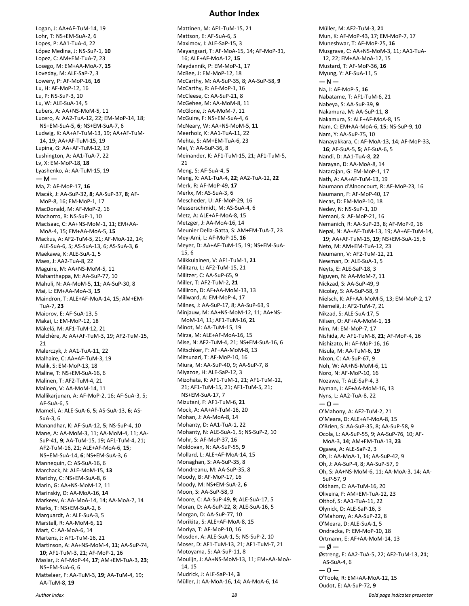#### **Author Index**

Logan, J: AA+AF-TuM-14, 19 Lohr, T: NS+EM-SuA-2, 6 Lopes, P: AA1-TuA-4, 22 López Medina, J: NS-SuP-1, **10** Lopez, C: AM+EM-TuA-7, 23 Losego, M: EM+AA-MoA-7, **15** Loveday, M: ALE-SaP-7, 3 Lowery, P: AF-MoP-16, **16** Lu, H: AF-MoP-12, 16 Lu, P: NS-SuP-3, 10 Lu, W: ALE-SuA-14, 5 Lubers, A: AA+NS-MoM-5, 11 Lucero, A: AA2-TuA-12, 22; EM-MoP-14, 18; NS+EM-SuA-5, **6**; NS+EM-SuA-7, 6 Ludwig, K: AA+AF-TuM-13, 19; AA+AF-TuM-14, 19; AA+AF-TuM-15, 19 Lupina, G: AA+AF-TuM-12, 19 Lushington, A: AA1-TuA-7, 22 Lv, X: EM-MoP-18, **18** Lyashenko, A: AA-TuM-15, 19  $- M -$ Ma, Z: AF-MoP-17, **16** Macák, J: AA-SuP-32, **8**; AA-SuP-37, **8**; AF-MoP-8, 16; EM-MoP-1, 17 MacDonald, M: AF-MoP-2, 16 Machorro, R: NS-SuP-1, 10 MacIsaac, C: AA+NS-MoM-1, 11; EM+AA-MoA-4, 15; EM+AA-MoA-5, **15** Mackus, A: AF2-TuM-5, 21; AF-MoA-12, 14; ALE-SuA-6, 5; AS-SuA-13, 6; AS-SuA-3, **6** Maekawa, K: ALE-SuA-1, 5 Maes, J: AA2-TuA-8, 22 Maguire, M: AA+NS-MoM-5, 11 Mahanthappa, M: AA-SuP-77, 10 Mahuli, N: AA-MoM-5, **11**; AA-SuP-30, 8 Mai, L: EM+AA-MoA-3, **15** Maindron, T: ALE+AF-MoA-14, 15; AM+EM-TuA-7, **23** Maiorov, E: AF-SuA-13, 5 Makai, L: EM-MoP-12, 18 Mäkelä, M: AF1-TuM-12, 21 Malchère, A: AA+AF-TuM-3, 19; AF2-TuM-15, 21 Malerczyk, J: AA1-TuA-11, 22 Malhaire, C: AA+AF-TuM-3, 19 Malik, S: EM-MoP-13, 18 Maline, T: NS+EM-SuA-16, 6 Malinen, T: AF2-TuM-4, 21 Malinen, V: AA-MoM-14, 11 Mallikarjunan, A: AF-MoP-2, 16; AF-SuA-3, 5; AF-SuA-6, 5 Mameli, A: ALE-SuA-6, **5**; AS-SuA-13, **6**; AS-SuA-3, 6 Manandhar, K: AF-SuA-12, **5**; NS-SuP-4, 10 Mane, A: AA-MoM-3, 11; AA-MoM-4, 11; AA-SuP-41, **9**; AA-TuM-15, 19; AF1-TuM-4, 21; AF2-TuM-16, 21; ALE+AF-MoA-6, **15**; NS+EM-SuA-14, **6**; NS+EM-SuA-3, 6 Mannequin, C: AS-SuA-16, 6 Marchack, N: ALE-MoM-15, **13** Marichy, C: NS+EM-SuA-8, 6 Marin, G: AA+NS-MoM-12, 11 Marinskiy, D: AA-MoA-16, **14** Markeev, A: AA-MoA-14, 14; AA-MoA-7, 14 Marks, T: NS+EM-SuA-2, 6 Marquardt, A: ALE-SuA-3, 5 Marstell, R: AA-MoM-6, **11** Mart, C: AA-MoA-6, 14 Martens, J: AF1-TuM-16, 21 Martinson, A: AA+NS-MoM-4, **11**; AA-SuP-74, **10**; AF1-TuM-3, 21; AF-MoP-1, 16 Maslar, J: AF-MoP-44, **17**; AM+EM-TuA-3, **23**; NS+EM-SuA-6, 6 Mattelaer, F: AA-TuM-3, **19**; AA-TuM-4, 19; AA-TuM-8, **19**

Mattinen, M: AF1-TuM-15, 21 Mattson, E: AF-SuA-6, 5 Maximov, I: ALE-SaP-15, 3 Mayangsari, T: AF-MoA-15, 14; AF-MoP-31, 16; ALE+AF-MoA-12, **15** Maydannik, P: EM-MoP-1, 17 McBee, J: EM-MoP-12, 18 McCarthy, M: AA-SuP-35, 8; AA-SuP-58, **9** McCarthy, R: AF-MoP-1, 16 McCleese, C: AA-SuP-21, 8 McGehee, M: AA-MoM-8, 11 McGlone, J: AA-MoM-7, 11 McGuire, F: NS+EM-SuA-4, 6 McNeary, W: AA+NS-MoM-5, **11** Meerholz, K: AA1-TuA-11, 22 Mehta, S: AM+EM-TuA-6, 23 Mei, Y: AA-SuP-36, 8 Meinander, K: AF1-TuM-15, 21; AF1-TuM-5, 21 Meng, S: AF-SuA-4, **5** Meng, X: AA1-TuA-4, **22**; AA2-TuA-12, **22** Merk, R: AF-MoP-49, **17** Merkx, M: AS-SuA-3, 6 Mescheder, U: AF-MoP-29, 16 Messerschmidt, M: AS-SuA-4, 6 Metz, A: ALE+AF-MoA-8, 15 Metzger, J: AA-MoA-16, 14 Meunier Della-Gatta, S: AM+EM-TuA-7, 23 Mey-Ami, L: AF-MoP-15, **16** Meyer, D: AA+AF-TuM-15, 19; NS+EM-SuA-15, 6 Miikkulainen, V: AF1-TuM-1, **21** Militaru, L: AF2-TuM-15, 21 Militzer, C: AA-SuP-65, 9 Miller, T: AF2-TuM-2, **21** Milliron, D: AF+AA-MoM-13, 13 Millward, A: EM-MoP-4, 17 Milnes, J: AA-SuP-17, 8; AA-SuP-63, 9 Minjauw, M: AA+NS-MoM-12, 11; AA+NS-MoM-14, 11; AF1-TuM-16, **21** Minot, M: AA-TuM-15, 19 Mirza, M: ALE+AF-MoA-16, 15 Mise, N: AF2-TuM-4, 21; NS+EM-SuA-16, 6 Mitschker, F: AF+AA-MoM-8, 13 Mitsunari, T: AF-MoP-10, 16 Miura, M: AA-SuP-40, 9; AA-SuP-7, 8 Miyazoe, H: ALE-SaP-12, 3 Mizohata, K: AF1-TuM-1, 21; AF1-TuM-12, 21; AF1-TuM-15, 21; AF1-TuM-5, 21; NS+EM-SuA-17, 7 Mizutani, F: AF1-TuM-6, **21** Mock, A: AA+AF-TuM-16, 20 Mohan, J: AA-MoA-8, 14 Mohanty, D: AA1-TuA-1, 22 Mohanty, N: ALE-SuA-1, 5; NS-SuP-2, 10 Mohr, S: AF-MoP-37, 16 Moldovan, N: AA-SuP-55, **9** Mollard, L: ALE+AF-MoA-14, 15 Monaghan, S: AA-SuP-35, 8 Mondreanu, M: AA-SuP-35, 8 Moody, B: AF-MoP-17, 16 Moody, M: NS+EM-SuA-2, **6** Moon, S: AA-SuP-58, 9 Moore, C: AA-SuP-49, **9**; ALE-SuA-17, 5 Moran, D: AA-SuP-22, 8; ALE-SuA-16, 5 Morgan, D: AA-SuP-77, 10 Morikita, S: ALE+AF-MoA-8, 15 Moriya, T: AF-MoP-10, 16 Mosden, A: ALE-SuA-1, 5; NS-SuP-2, 10 Moser, D: AF1-TuM-13, 21; AF1-TuM-7, 21 Motoyama, S: AA-SuP-11, 8 Moulijn, J: AA+NS-MoM-13, 11; EM+AA-MoA-14, 15 Mudrick, J: ALE-SaP-14, **3** Müller, J: AA-MoA-16, 14; AA-MoA-6, 14

Müller, M: AF2-TuM-3, **21** Mun, K: AF-MoP-43, 17; EM-MoP-7, 17 Muneshwar, T: AF-MoP-25, **16** Musgrave, C: AA+NS-MoM-3, 11; AA1-TuA-12, 22; EM+AA-MoA-12, 15 Mustard, T: AF-MoP-36, **16** Myung, Y: AF-SuA-11, 5  $- N -$ Na, J: AF-MoP-5, **16** Nabatame, T: AF1-TuM-6, 21 Nabeya, S: AA-SuP-39, **9** Nakamura, M: AA-SuP-11, **8** Nakamura, S: ALE+AF-MoA-8, 15 Nam, C: EM+AA-MoA-6, **15**; NS-SuP-9, **10** Nam, Y: AA-SuP-75, 10 Nanayakkara, C: AF-MoA-13, 14; AF-MoP-33, **16**; AF-SuA-5, **5**; AF-SuA-6, 5 Nandi, D: AA1-TuA-8, **22** Narayan, D: AA-MoA-8, 14 Natarajan, G: EM-MoP-1, 17 Nath, A: AA+AF-TuM-13, 19 Naumann d'Alnoncourt, R: AF-MoP-23, 16 Naumann, F: AF-MoP-40, 17 Necas, D: EM-MoP-10, 18 Nedev, N: NS-SuP-1, 10 Nemani, S: AF-MoP-21, 16 Nemanich, R: AA-SuP-23, 8; AF-MoP-9, 16 Nepal, N: AA+AF-TuM-13, 19; AA+AF-TuM-14, 19; AA+AF-TuM-15, **19**; NS+EM-SuA-15, 6 Neto, M: AM+EM-TuA-12, 23 Neumann, V: AF2-TuM-12, 21 Newman, D: ALE-SuA-1, 5 Neyts, E: ALE-SaP-18, 3 Nguyen, N: AA-MoM-7, 11 Nickzad, S: AA-SuP-49, 9 Nicolay, S: AA-SuP-58, 9 Nielsch, K: AF+AA-MoM-5, 13; EM-MoP-2, 17 Niemelä, J: AF2-TuM-7, 21 Nikzad, S: ALE-SuA-17, 5 Nilsen, O: AF+AA-MoM-1, **13** Nim, M: EM-MoP-7, 17 Nishida, A: AF1-TuM-8, **21**; AF-MoP-4, 16 Nishizato, H: AF-MoP-16, 16 Nisula, M: AA-TuM-6, **19** Nixon, C: AA-SuP-67, 9 Noh, W: AA+NS-MoM-6, 11 Noro, N: AF-MoP-10, 16 Nozawa, T: ALE-SaP-4, 3 Nyman, J: AF+AA-MoM-16, 13 Nyns, L: AA2-TuA-8, 22  $-0 -$ O'Mahony, A: AF2-TuM-2, 21 O'Meara, D: ALE+AF-MoA-8, 15 O'Brien, S: AA-SuP-35, 8; AA-SuP-58, 9 Ocola, L: AA-SuP-55, 9; AA-SuP-76, 10; AF-MoA-3, **14**; AM+EM-TuA-13, **23** Ogawa, A: ALE-SaP-2, 3 Oh, I: AA-MoA-1, 14; AA-SuP-42, 9 Oh, J: AA-SuP-4, 8; AA-SuP-57, 9 Oh, S: AA+NS-MoM-6, 11; AA-MoA-3, 14; AA-SuP-57, 9 Oldham, C: AA-TuM-16, 20 Oliveira, F: AM+EM-TuA-12, 23 Olthof, S: AA1-TuA-11, 22 Olynick, D: ALE-SaP-16, 3 O'Mahony, A: AA-SuP-22, 8 O'Meara, D: ALE-SuA-1, 5 Ondracka, P: EM-MoP-10, 18 Ortmann, E: AF+AA-MoM-14, 13  $-\phi$  – Østreng, E: AA2-TuA-5, 22; AF2-TuM-13, **21**; AS-SuA-4, 6  $-0-$ O'Toole, R: EM+AA-MoA-12, 15 Oudot, E: AA-SuP-72, **9**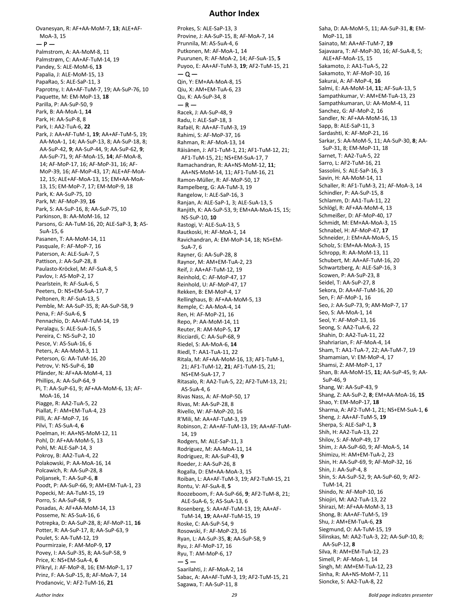MoA-3, 15  $- P -$ Palmstrom, A: AA-MoM-8, 11 Palmstrøm, C: AA+AF-TuM-14, 19 Pandey, S: ALE-MoM-6, **13** Papalia, J: ALE-MoM-15, 13 PapaRao, S: ALE-SaP-11, 3 Paprotny, I: AA+AF-TuM-7, 19; AA-SuP-76, 10 Paquette, M: EM-MoP-13, **18** Parilla, P: AA-SuP-50, 9 Park, B: AA-MoA-1, **14** Park, H: AA-SuP-8, 8 Park, I: AA2-TuA-6, **22** Park, J: AA+AF-TuM-1, **19**; AA+AF-TuM-5, 19; AA-MoA-1, 14; AA-SuP-13, 8; AA-SuP-18, 8; AA-SuP-42, **9**; AA-SuP-44, 9; AA-SuP-62, **9**; AA-SuP-71, 9; AF-MoA-15, **14**; AF-MoA-8, 14; AF-MoP-17, 16; AF-MoP-31, 16; AF-MoP-39, 16; AF-MoP-43, 17; ALE+AF-MoA-12, 15; ALE+AF-MoA-13, 15; EM+AA-MoA-13, 15; EM-MoP-7, 17; EM-MoP-9, 18 Park, K: AA-SuP-75, 10 Park, M: AF-MoP-39, **16** Park, S: AA-SuP-16, 8; AA-SuP-75, 10 Parkinson, B: AA-MoM-16, 12 Parsons, G: AA-TuM-16, 20; ALE-SaP-3, **3**; AS-SuA-15, 6 Pasanen, T: AA-MoM-14, 11 Pasquale, F: AF-MoP-7, 16 Paterson, A: ALE-SuA-7, 5 Pattison, J: AA-SuP-28, 8 Paulasto-Kröckel, M: AF-SuA-8, 5 Pavlov, I: AS-MoP-2, 17 Pearlstein, R: AF-SuA-6, 5 Peeters, D: NS+EM-SuA-17, 7 Peltonen, R: AF-SuA-13, 5 Pemble, M: AA-SuP-35, 8; AA-SuP-58, 9 Pena, F: AF-SuA-6, **5** Pennachio, D: AA+AF-TuM-14, 19 Peralagu, S: ALE-SuA-16, 5 Pereira, C: NS-SuP-2, 10 Pesce, V: AS-SuA-16, 6 Peters, A: AA-MoM-3, 11 Peterson, G: AA-TuM-16, 20 Petrov, V: NS-SuP-6, **10** Pfänder, N: AF+AA-MoM-4, 13 Phillips, A: AA-SuP-64, 9 Pi, T: AA-SuP-61, 9; AF+AA-MoM-6, 13; AF-MoA-16, 14 Piagge, R: AA2-TuA-5, 22 Piallat, F: AM+EM-TuA-4, 23 Pilli, A: AF-MoP-7, 16 Pilvi, T: AS-SuA-4, **6** Poelman, H: AA+NS-MoM-12, 11 Pohl, D: AF+AA-MoM-5, 13 Pohl, M: ALE-SaP-14, 3 Pokroy, B: AA2-TuA-4, 22 Polakowski, P: AA-MoA-16, 14 Polcawich, R: AA-SuP-28, 8 Poljansek, T: AA-SuP-6, **8** Poodt, P: AA-SuP-66, 9; AM+EM-TuA-1, 23 Popecki, M: AA-TuM-15, 19 Porro, S: AA-SuP-68, 9 Posadas, A: AF+AA-MoM-14, 13 Posseme, N: AS-SuA-16, 6 Potrepka, D: AA-SuP-28, 8; AF-MoP-11, **16** Potter, R: AA-SuP-17, 8; AA-SuP-63, 9 Poulet, S: AA-TuM-12, 19 Pourmirzaie, F: AM-MoP-9, **17** Povey, I: AA-SuP-35, 8; AA-SuP-58, 9 Price, K: NS+EM-SuA-4, **6** Přikryl, J: AF-MoP-8, 16; EM-MoP-1, 17 Prinz, F: AA-SuP-15, 8; AF-MoA-7, 14 Prodanovic, V: AF2-TuM-16, **21**

Ovanesyan, R: AF+AA-MoM-7, **13**; ALE+AF-

#### **Author Index**

Prokes, S: ALE-SaP-13, 3 Provine, J: AA-SuP-15, 8; AF-MoA-7, 14 Prunnila, M: AS-SuA-4, 6 Putkonen, M: AF-MoA-1, 14 Puurunen, R: AF-MoA-2, 14; AF-SuA-15, **5** Puyoo, E: AA+AF-TuM-3, **19**; AF2-TuM-15, 21 — Q — Qin, Y: EM+AA-MoA-8, 15 Qiu, X: AM+EM-TuA-6, 23 Qu, K: AA-SuP-34, 8  $- R -$ Racek, J: AA-SuP-48, 9 Radu, I: ALE-SaP-18, 3 Rafaël, R: AA+AF-TuM-3, 19 Rahimi, S: AF-MoP-37, 16 Rahman, R: AF-MoA-13, 14 Räisänen, J: AF1-TuM-1, 21; AF1-TuM-12, 21; AF1-TuM-15, 21; NS+EM-SuA-17, 7 Ramachandran, R: AA+NS-MoM-12, **11**; AA+NS-MoM-14, 11; AF1-TuM-16, 21 Ramon-Müller, R: AF-MoP-50, 17 Rampelberg, G: AA-TuM-3, 19 Rangelow, I: ALE-SaP-16, 3 Ranjan, A: ALE-SaP-1, 3; ALE-SuA-13, 5 Ranjith, K: AA-SuP-53, 9; EM+AA-MoA-15, 15; NS-SuP-10, **10** Rastogi, V: ALE-SuA-13, 5 Rautkoski, H: AF-MoA-1, 14 Ravichandran, A: EM-MoP-14, 18; NS+EM- $S<sub>II</sub>A-7, 6$ Rayner, G: AA-SuP-28, 8 Raynor, M: AM+EM-TuA-2, 23 Reif, J: AA+AF-TuM-12, 19 Reinhold, C: AF-MoP-47, 17 Reinhold, U: AF-MoP-47, 17 Rekken, B: EM-MoP-4, 17 Rellinghaus, B: AF+AA-MoM-5, 13 Remple, C: AA-MoA-4, 14 Ren, H: AF-MoP-21, 16 Repo, P: AA-MoM-14, 11 Reuter, R: AM-MoP-5, **17** Ricciardi, C: AA-SuP-68, 9 Riedel, S: AA-MoA-6, **14** Riedl, T: AA1-TuA-11, 22 Ritala, M: AF+AA-MoM-16, 13; AF1-TuM-1, 21; AF1-TuM-12, **21**; AF1-TuM-15, 21; NS+EM-SuA-17, 7 Ritasalo, R: AA2-TuA-5, 22; AF2-TuM-13, 21; AS-SuA-4, 6 Rivas Nass, A: AF-MoP-50, 17 Rivas, M: AA-SuP-28, 8 Rivello, W: AF-MoP-20, 16 R'Mili, M: AA+AF-TuM-3, 19 Robinson, Z: AA+AF-TuM-13, 19; AA+AF-TuM-14, 19 Rodgers, M: ALE-SaP-11, 3 Rodriguez, M: AA-MoA-11, 14 Rodriguez, R: AA-SuP-43, **9** Roeder, J: AA-SuP-26, 8 Rogalla, D: EM+AA-MoA-3, 15 Roiban, L: AA+AF-TuM-3, 19; AF2-TuM-15, 21 Rontu, V: AF-SuA-8, **5** Roozeboom, F: AA-SuP-66, **9**; AF2-TuM-8, 21; ALE-SuA-6, 5; AS-SuA-13, 6 Rosenberg, S: AA+AF-TuM-13, 19; AA+AF-TuM-14, **19**; AA+AF-TuM-15, 19 Roske, C: AA-SuP-54, 9 Rosowski, F: AF-MoP-23, 16 Ryan, L: AA-SuP-35, **8**; AA-SuP-58, 9 Ryu, J: AF-MoP-17, 16 Ryu, T: AM-MoP-6, 17  $-5-$ Saarilahti, J: AF-MoA-2, 14 Sabac, A: AA+AF-TuM-3, 19; AF2-TuM-15, 21 Sagawa, T: AA-SuP-11, 8

Saha, D: AA-MoM-5, 11; AA-SuP-31, **8**; EM-MoP-11, 18 Sainato, M: AA+AF-TuM-7, **19** Sajavaara, T: AF-MoP-30, 16; AF-SuA-8, 5; ALE+AF-MoA-15, 15 Sakamoto, J: AA1-TuA-5, 22 Sakamoto, Y: AF-MoP-10, 16 Sakurai, A: AF-MoP-4, **16** Salmi, E: AA-MoM-14, **11**; AF-SuA-13, 5 Sampathkumar, V: AM+EM-TuA-13, 23 Sampathkumaran, U: AA-MoM-4, 11 Sanchez, G: AF-MoP-2, 16 Sandler, N: AF+AA-MoM-16, 13 Sapp, B: ALE-SaP-11, 3 Sardashti, K: AF-MoP-21, 16 Sarkar, S: AA-MoM-5, 11; AA-SuP-30, **8**; AA-SuP-31, 8; EM-MoP-11, 18 Sarnet, T: AA2-TuA-5, 22 Sarro, L: AF2-TuM-16, 21 Sassolini, S: ALE-SaP-16, 3 Savin, H: AA-MoM-14, 11 Schaller, R: AF1-TuM-3, 21; AF-MoA-3, 14 Schindler, P: AA-SuP-15, 8 Schlamm, D: AA1-TuA-11, 22 Schlögl, R: AF+AA-MoM-4, 13 Schmeißer, D: AF-MoP-40, 17 Schmidt, M: EM+AA-MoA-3, 15 Schnabel, H: AF-MoP-47, **17** Schneider, J: EM+AA-MoA-5, 15 Scholz, S: EM+AA-MoA-3, 15 Schropp, R: AA-MoM-13, 11 Schubert, M: AA+AF-TuM-16, 20 Schwartzberg, A: ALE-SaP-16, 3 Scowen, P: AA-SuP-23, 8 Seidel, T: AA-SuP-27, 8 Sekora, D: AA+AF-TuM-16, 20 Sen, F: AF-MoP-1, 16 Seo, J: AA-SuP-73, 9; AM-MoP-7, 17 Seo, S: AA-MoA-1, 14 Seol, Y: AF-MoP-13, 16 Seong, S: AA2-TuA-6, 22 Shahin, D: AA2-TuA-11, 22 Shahriarian, F: AF-MoA-4, 14 Sham, T: AA1-TuA-7, 22; AA-TuM-7, 19 Shamamian, V: EM-MoP-4, 17 Shamsi, Z: AM-MoP-1, 17 Shan, B: AA-MoM-15, **11**; AA-SuP-45, 9; AA-SuP-46, 9 Shang, W: AA-SuP-43, 9 Shang, Z: AA-SuP-2, **8**; EM+AA-MoA-16, **15** Shao, Y: EM-MoP-17, **18** Sharma, A: AF2-TuM-1, 21; NS+EM-SuA-1, **6** Sheng, J: AA+AF-TuM-5, **19** Sherpa, S: ALE-SaP-1, **3** Shih, H: AA2-TuA-13, 22 Shilov, S: AF-MoP-49, 17 Shim, J: AA-SuP-60, 9; AF-MoA-5, 14 Shimizu, H: AM+EM-TuA-2, 23 Shin, H: AA-SuP-69, 9; AF-MoP-32, 16 Shin, J: AA-SuP-4, 8 Shin, S: AA-SuP-52, 9; AA-SuP-60, 9; AF2- TuM-14, 21 Shindo, N: AF-MoP-10, 16 Shiojiri, M: AA2-TuA-13, 22 Shirazi, M: AF+AA-MoM-3, 13 Shong, B: AA+AF-TuM-5, 19 Shu, J: AM+EM-TuA-6, **23** Siegmund, O: AA-TuM-15, 19 Silinskas, M: AA2-TuA-3, 22; AA-SuP-10, 8; AA-SuP-12, **8** Silva, R: AM+EM-TuA-12, 23 Simell, P: AF-MoA-1, 14 Singh, M: AM+EM-TuA-12, 23 Sinha, R: AA+NS-MoM-7, 11 Sioncke, S: AA2-TuA-8, 22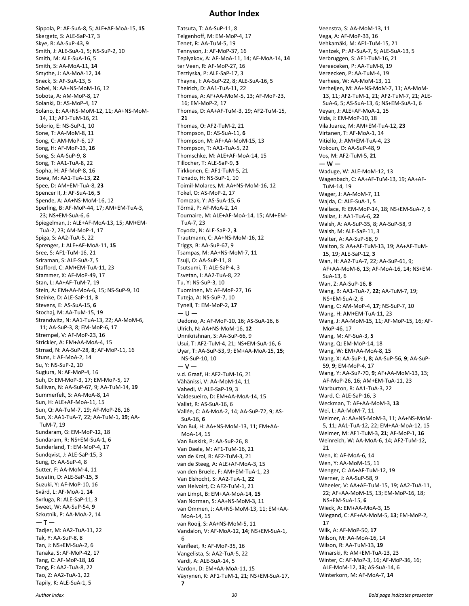#### **Author Index**

Sippola, P: AF-SuA-8, 5; ALE+AF-MoA-15, **15** Skergetc, S: ALE-SaP-17, 3 Skye, R: AA-SuP-43, 9 Smith, J: ALE-SuA-1, 5; NS-SuP-2, 10 Smith, M: ALE-SuA-16, 5 Smith, S: AA-MoA-11, **14** Smythe, J: AA-MoA-12, **14** Sneck, S: AF-SuA-13, 5 Sobel, N: AA+NS-MoM-16, 12 Sobota, A: AM-MoP-8, 17 Solanki, D: AS-MoP-4, 17 Solano, E: AA+NS-MoM-12, 11; AA+NS-MoM-14, 11; AF1-TuM-16, 21 Solorio, E: NS-SuP-1, 10 Sone, T: AA-MoM-8, 11 Song, C: AM-MoP-6, 17 Song, H: AF-MoP-13, **16** Song, S: AA-SuP-9, 8 Song, T: AA1-TuA-8, 22 Sopha, H: AF-MoP-8, 16 Sowa, M: AA1-TuA-13, **22** Spee, D: AM+EM-TuA-8, **23** Spencer II, J: AF-SuA-16, **5** Spende, A: AA+NS-MoM-16, 12 Sperling, B: AF-MoP-44, 17; AM+EM-TuA-3, 23; NS+EM-SuA-6, 6 Spiegelman, J: ALE+AF-MoA-13, 15; AM+EM-TuA-2, 23; AM-MoP-1, 17 Spiga, S: AA2-TuA-5, 22 Sprenger, J: ALE+AF-MoA-11, **15** Sree, S: AF1-TuM-16, 21 Sriraman, S: ALE-SuA-7, 5 Stafford, C: AM+EM-TuA-11, 23 Stammer, X: AF-MoP-49, 17 Stan, L: AA+AF-TuM-7, 19 Stein, A: EM+AA-MoA-6, 15; NS-SuP-9, 10 Steinke, D: ALE-SaP-11, **3** Stevens, E: AS-SuA-15, **6** Stochaj, M: AA-TuM-15, 19 Strandwitz, N: AA1-TuA-13, 22; AA-MoM-6, 11; AA-SuP-3, 8; EM-MoP-6, 17 Strempel, V: AF-MoP-23, 16 Strickler, A: EM+AA-MoA-4, 15 Strnad, N: AA-SuP-28, **8**; AF-MoP-11, 16 Stuns, I: AF-MoA-2, 14 Su, Y: NS-SuP-2, 10 Sugiura, N: AF-MoP-4, 16 Suh, D: EM-MoP-3, 17; EM-MoP-5, 17 Sullivan, N: AA-SuP-67, 9; AA-TuM-14, **19** Summerfelt, S: AA-MoA-8, 14 Sun, H: ALE+AF-MoA-11, 15 Sun, Q: AA-TuM-7, 19; AF-MoP-26, 16 Sun, X: AA1-TuA-7, 22; AA-TuM-1, **19**; AA-TuM-7, 19 Sundaram, G: EM-MoP-12, 18 Sundaram, R: NS+EM-SuA-1, 6 Sunderland, T: EM-MoP-4, 17 Sundqvist, J: ALE-SaP-15, 3 Sung, D: AA-SuP-4, 8 Sutter, F: AA-MoM-4, 11 Suyatin, D: ALE-SaP-15, **3** Suzuki, Y: AF-MoP-10, 16 Svärd, L: AF-MoA-1, **14** Svrluga, R: ALE-SaP-11, 3 Sweet, W: AA-SuP-54, **9** Szkutnik, P: AA-MoA-2, 14  $-$  T  $-$ Tadjer, M: AA2-TuA-11, 22 Tak, Y: AA-SuP-8, 8 Tan, J: NS+EM-SuA-2, 6 Tanaka, S: AF-MoP-42, 17 Tang, C: AF-MoP-18, **16** Tang, F: AA2-TuA-8, 22 Tao, Z: AA2-TuA-1, 22

Tatsuta, T: AA-SuP-11, 8 Telgenhoff, M: EM-MoP-4, 17 Tenet, R: AA-TuM-5, 19 Tennyson, J: AF-MoP-37, 16 Teplyakov, A: AF-MoA-11, 14; AF-MoA-14, **14** ter Veen, R: AF-MoP-27, 16 Terziyska, P: ALE-SaP-17, 3 Thayne, I: AA-SuP-22, 8; ALE-SuA-16, 5 Theirich, D: AA1-TuA-11, 22 Thomas, A: AF+AA-MoM-5, 13; AF-MoP-23, 16; EM-MoP-2, 17 Thomas, D: AA+AF-TuM-3, 19; AF2-TuM-15, **21** Thomas, O: AF2-TuM-2, 21 Thompson, D: AS-SuA-11, **6** Thompson, M: AF+AA-MoM-15, 13 Thompson, T: AA1-TuA-5, 22 Thomschke, M: ALE+AF-MoA-14, 15 Tillocher, T: ALE-SaP-9, **3** Tirkkonen, E: AF1-TuM-5, 21 Tiznado, H: NS-SuP-1, 10 Toimil-Molares, M: AA+NS-MoM-16, 12 Tokel, O: AS-MoP-2, 17 Tomczak, Y: AS-SuA-15, 6 Törmä, P: AF-MoA-2, 14 Tournaire, M: ALE+AF-MoA-14, 15; AM+EM-TuA-7, 23 Toyoda, N: ALE-SaP-2, **3** Trautmann, C: AA+NS-MoM-16, 12 Triggs, B: AA-SuP-67, 9 Tsampas, M: AA+NS-MoM-7, 11 Tsuji, O: AA-SuP-11, 8 Tsutsumi, T: ALE-SaP-4, 3 Tsvetan, I: AA2-TuA-8, 22 Tu, Y: NS-SuP-3, 10 Tuominen, M: AF-MoP-27, 16 Tuteja, A: NS-SuP-7, 10 Tynell, T: EM-MoP-2, **17** — U — Uedono, A: AF-MoP-10, 16; AS-SuA-16, 6 Ulrich, N: AA+NS-MoM-16, **12** Unnikrishnan, S: AA-SuP-66, 9 Usui, T: AF2-TuM-4, 21; NS+EM-SuA-16, 6 Uyar, T: AA-SuP-53, 9; EM+AA-MoA-15, **15**; NS-SuP-10, 10  $-V$ v.d. Graaf, H: AF2-TuM-16, 21 Vähänissi, V: AA-MoM-14, 11 Vahedi, V: ALE-SaP-19, 3 Valdesueiro, D: EM+AA-MoA-14, 15 Vallat, R: AS-SuA-16, 6 Vallée, C: AA-MoA-2, 14; AA-SuP-72, 9; AS-SuA-16, **6** Van Bui, H: AA+NS-MoM-13, 11; EM+AA-MoA-14, 15 Van Buskirk, P: AA-SuP-26, 8 Van Daele, M: AF1-TuM-16, 21 van de Krol, R: AF2-TuM-3, 21 van de Steeg, A: ALE+AF-MoA-3, 15 van den Bruele, F: AM+EM-TuA-1, 23 Van Elshocht, S: AA2-TuA-1, **22** van Helvoirt, C: AF2-TuM-1, 21 van Limpt, B: EM+AA-MoA-14, **15** Van Norman, S: AA+NS-MoM-3, 11 van Ommen, J: AA+NS-MoM-13, 11; EM+AA-MoA-14, 15 van Rooij, S: AA+NS-MoM-5, 11 Vandalon, V: AF-MoA-12, **14**; NS+EM-SuA-1, 6 Vanfleet, R: AF-MoP-35, 16 Vangelista, S: AA2-TuA-5, 22 Vardi, A: ALE-SuA-14, 5 Vardon, D: EM+AA-MoA-11, 15 Väyrynen, K: AF1-TuM-1, 21; NS+EM-SuA-17, **7**

Veenstra, S: AA-MoM-13, 11 Vega, A: AF-MoP-33, 16 Vehkamäki, M: AF1-TuM-15, 21 Ventzek, P: AF-SuA-7, 5; ALE-SuA-13, 5 Verbruggen, S: AF1-TuM-16, 21 Vereeceken, P: AA-TuM-8, 19 Vereecken, P: AA-TuM-4, 19 Verhees, W: AA-MoM-13, 11 Verheijen, M: AA+NS-MoM-7, 11; AA-MoM-13, 11; AF2-TuM-1, 21; AF2-TuM-7, 21; ALE-SuA-6, 5; AS-SuA-13, 6; NS+EM-SuA-1, 6 Veyan, J: ALE+AF-MoA-1, 15 Vida, J: EM-MoP-10, 18 Vila Juarez, M: AM+EM-TuA-12, **23** Virtanen, T: AF-MoA-1, 14 Vitiello, J: AM+EM-TuA-4, 23 Vokoun, D: AA-SuP-48, 9 Vos, M: AF2-TuM-5, **21**  $-$  W  $-$ Waduge, W: ALE-MoM-12, 13 Wagenbach, C: AA+AF-TuM-13, 19; AA+AF-TuM-14, 19 Wager, J: AA-MoM-7, 11 Wajda, C: ALE-SuA-1, 5 Wallace, R: EM-MoP-14, 18; NS+EM-SuA-7, 6 Wallas, J: AA1-TuA-6, **22** Walsh, A: AA-SuP-35, 8; AA-SuP-58, 9 Walsh, M: ALE-SaP-11, 3 Walter, A: AA-SuP-58, 9 Walton, S: AA+AF-TuM-13, 19; AA+AF-TuM-15, 19; ALE-SaP-12, **3** Wan, H: AA2-TuA-7, 22; AA-SuP-61, 9; AF+AA-MoM-6, 13; AF-MoA-16, 14; NS+EM-SuA-13, 6 Wan, Z: AA-SuP-16, **8** Wang, B: AA1-TuA-7, **22**; AA-TuM-7, 19; NS+EM-SuA-2, 6 Wang, C: AM-MoP-4, **17**; NS-SuP-7, 10 Wang, H: AM+EM-TuA-11, 23 Wang, J: AA-MoM-15, 11; AF-MoP-15, 16; AF-MoP-46, 17 Wang, M: AF-SuA-3, **5** Wang, Q: EM-MoP-14, 18 Wang, W: EM+AA-MoA-8, 15 Wang, X: AA-SuP-1, **8**; AA-SuP-56, **9**; AA-SuP-59, **9**; EM-MoP-4, 17 Wang, Y: AA-SuP-70, **9**; AF+AA-MoM-13, 13; AF-MoP-26, 16; AM+EM-TuA-11, 23 Warburton, R: AA1-TuA-3, 22 Ward, C: ALE-SaP-16, 3 Weckman, T: AF+AA-MoM-3, **13** Wei, L: AA-MoM-7, 11 Weimer, A: AA+NS-MoM-3, 11; AA+NS-MoM-5, 11; AA1-TuA-12, 22; EM+AA-MoA-12, 15 Weimer, M: AF1-TuM-3, **21**; AF-MoP-1, **16** Weinreich, W: AA-MoA-6, 14; AF2-TuM-12, 21 Wen, K: AF-MoA-6, 14 Wen, Y: AA-MoM-15, 11 Wenger, C: AA+AF-TuM-12, 19 Werner, J: AA-SuP-58, 9 Wheeler, V: AA+AF-TuM-15, 19; AA2-TuA-11, 22; AF+AA-MoM-15, 13; EM-MoP-16, 18; NS+EM-SuA-15, **6** Wieck, A: EM+AA-MoA-3, 15 Wiegand, C: AF+AA-MoM-5, **13**; EM-MoP-2, 17 Wilk, A: AF-MoP-50, **17** Wilson, M: AA-MoA-16, 14 Wilson, R: AA-TuM-13, **19** Winarski, R: AM+EM-TuA-13, 23 Winter, C: AF-MoP-3, 16; AF-MoP-36, 16; ALE-MoM-12, **13**; AS-SuA-14, 6 Winterkorn, M: AF-MoA-7, **14**

Tapily, K: ALE-SuA-1, 5